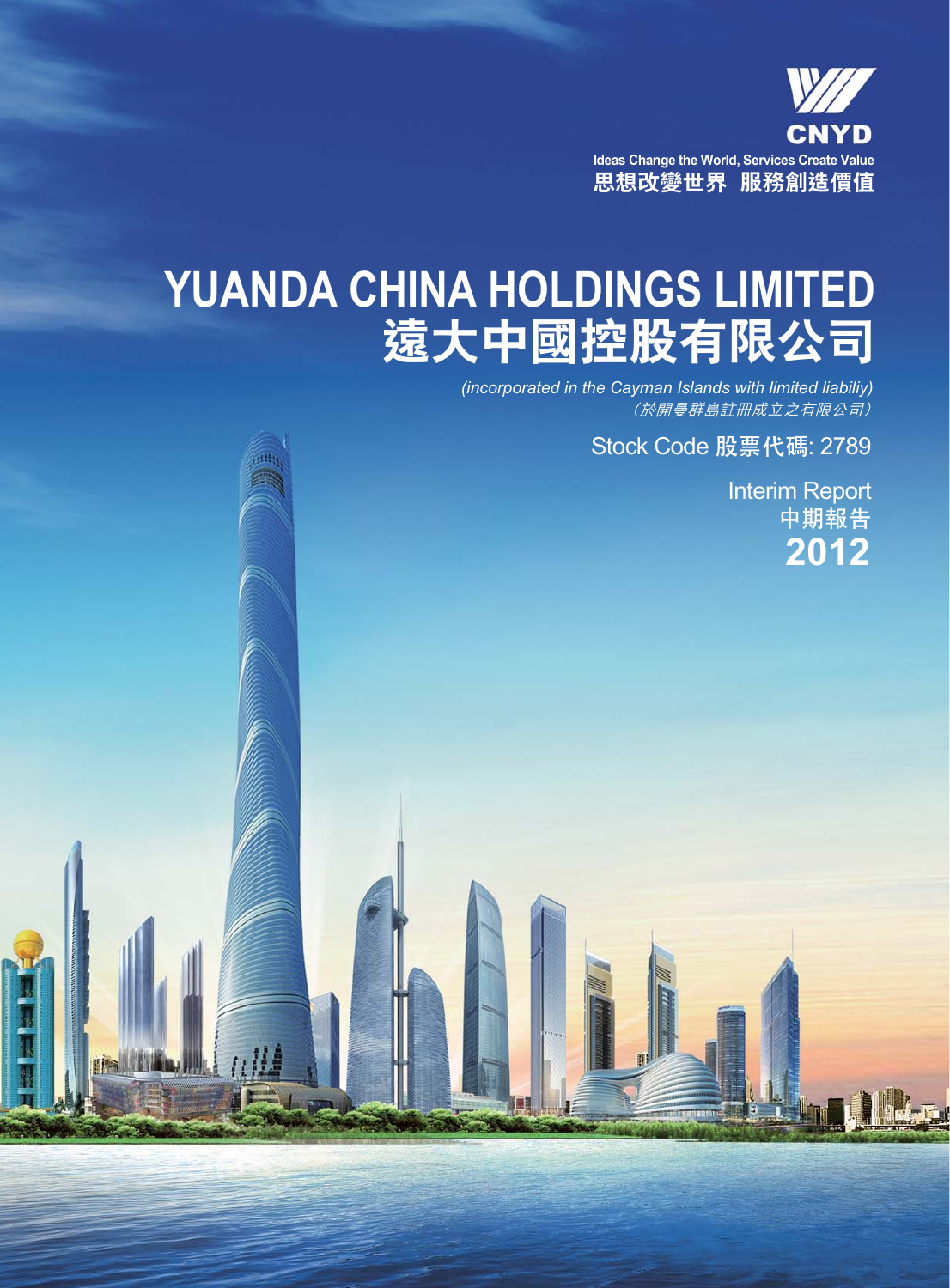

# **YUANDA CHINA HOLDINGS LIMITED 遠大中國控股有限公司**

**Alli** 

**IPAL** 

*。*<br>*(於開曼群島註冊成立之有限公司) (incorporated in the Cayman Islands with limited liabiliy)*

Stock Code **股票代碼**: 2789

Interim Report **中期報告 2012**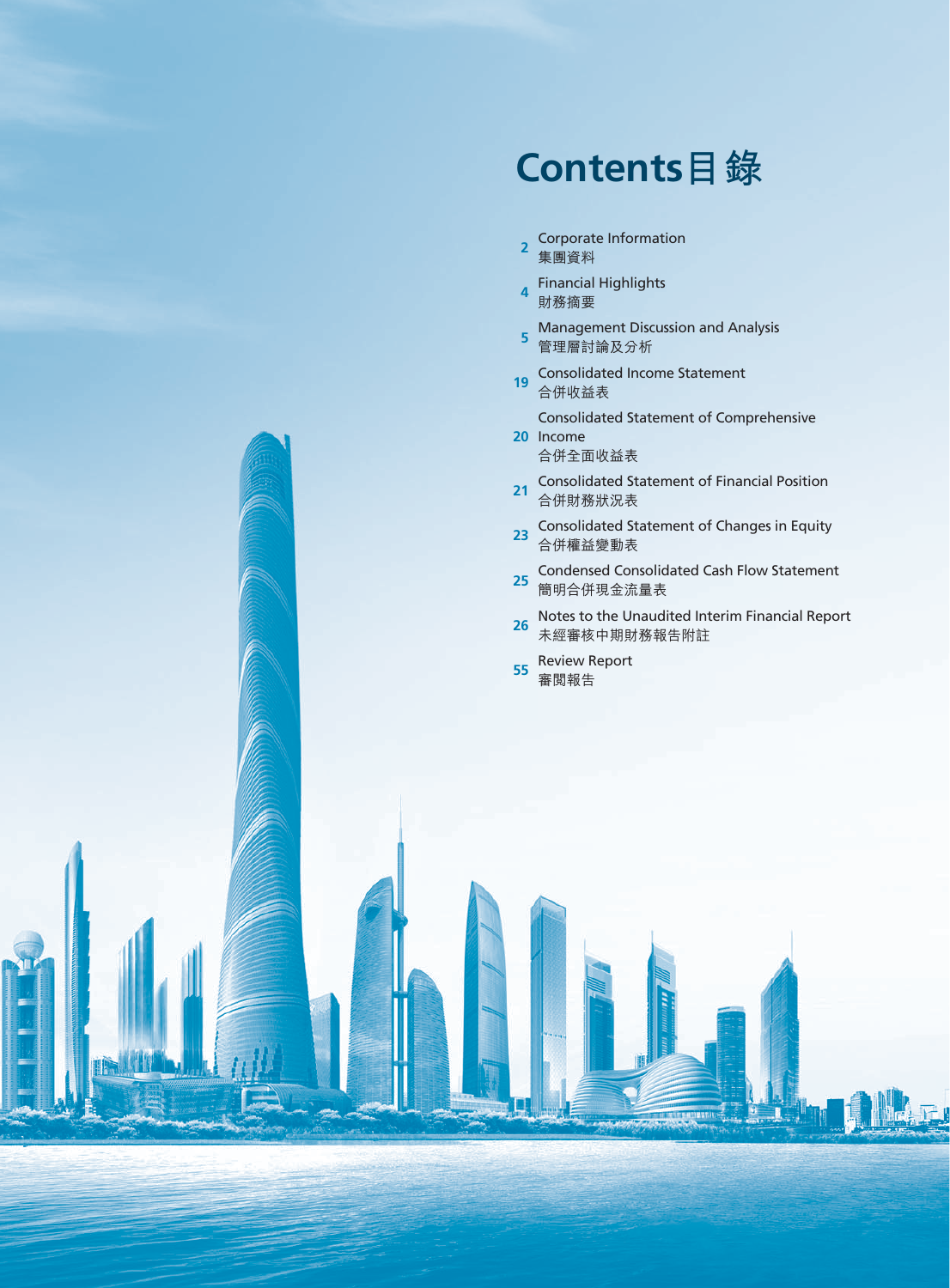# **Contents目錄**

- **2** Corporate Information 集團資料
- **<sup>4</sup>** Financial Highlights 財務摘要
- **5** Management Discussion and Analysis 管理層討論及分析
- **19** Consolidated Income Statement 合併收益表

Consolidated Statement of Comprehensive

- **20** Income 合併全面收益表
- **21** Consolidated Statement of Financial Position 合併財務狀況表
- **23** Consolidated Statement of Changes in Equity 合併權益變動表
- 25 Condensed Consolidated Cash Flow Statement 簡明合併現金流量表
- **26** Notes to the Unaudited Interim Financial Report 未經審核中期財務報告附註
- **<sup>55</sup>** Review Report 審閱報告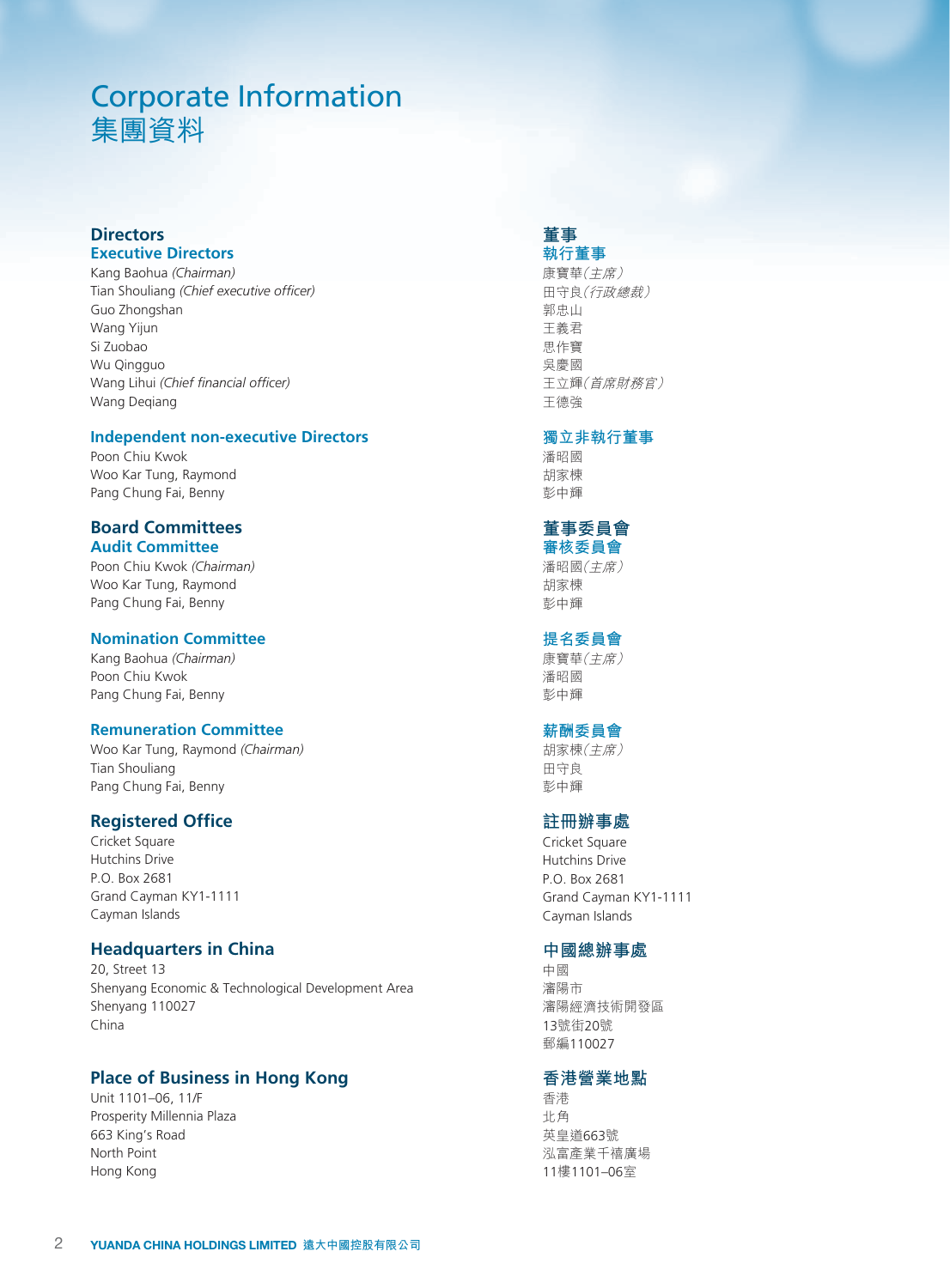# Corporate Information 集團資料

# **Directors Executive Directors**

Kang Baohua *(Chairman)* Tian Shouliang *(Chief executive officer)* Guo Zhongshan Wang Yijun Si Zuobao Wu Qingguo Wang Lihui *(Chief financial officer)* Wang Deqiang

#### **Independent non-executive Directors**

Poon Chiu Kwok Woo Kar Tung, Raymond Pang Chung Fai, Benny

#### **Board Committees Audit Committee**

Poon Chiu Kwok *(Chairman)* Woo Kar Tung, Raymond Pang Chung Fai, Benny

#### **Nomination Committee**

Kang Baohua *(Chairman)* Poon Chiu Kwok Pang Chung Fai, Benny

#### **Remuneration Committee**

Woo Kar Tung, Raymond *(Chairman)* Tian Shouliang Pang Chung Fai, Benny

# **Registered Office**

Cricket Square Hutchins Drive P.O. Box 2681 Grand Cayman KY1-1111 Cayman Islands

# **Headquarters in China**

20, Street 13 Shenyang Economic & Technological Development Area Shenyang 110027 China

# **Place of Business in Hong Kong**

Unit 1101–06, 11/F Prosperity Millennia Plaza 663 King's Road North Point Hong Kong

#### **董事 執行董事**

康寶華(主席) 田守良(行政總裁) 郭忠山 王義君 思作寶 吳慶國 王立輝(首席財務官) 王德強

#### **獨立非執行董事**

潘昭國 胡家棟 彭中輝

#### **董事委員會 審核委員會**

潘昭國(主席) 胡家棟 彭中輝

#### **提名委員會**

康寶華(主席) 潘昭國 彭中輝

# **薪酬委員會**

胡家棟(主席) 田守良 彭中輝

# **註冊辦事處**

Cricket Square Hutchins Drive P.O. Box 2681 Grand Cayman KY1-1111 Cayman Islands

### **中國總辦事處**

中國 瀋陽市 瀋陽經濟技術開發區 13號街20號 郵編110027

# **香港營業地點**

香港 北角 英皇道663號 泓富產業千禧廣場 11樓1101–06室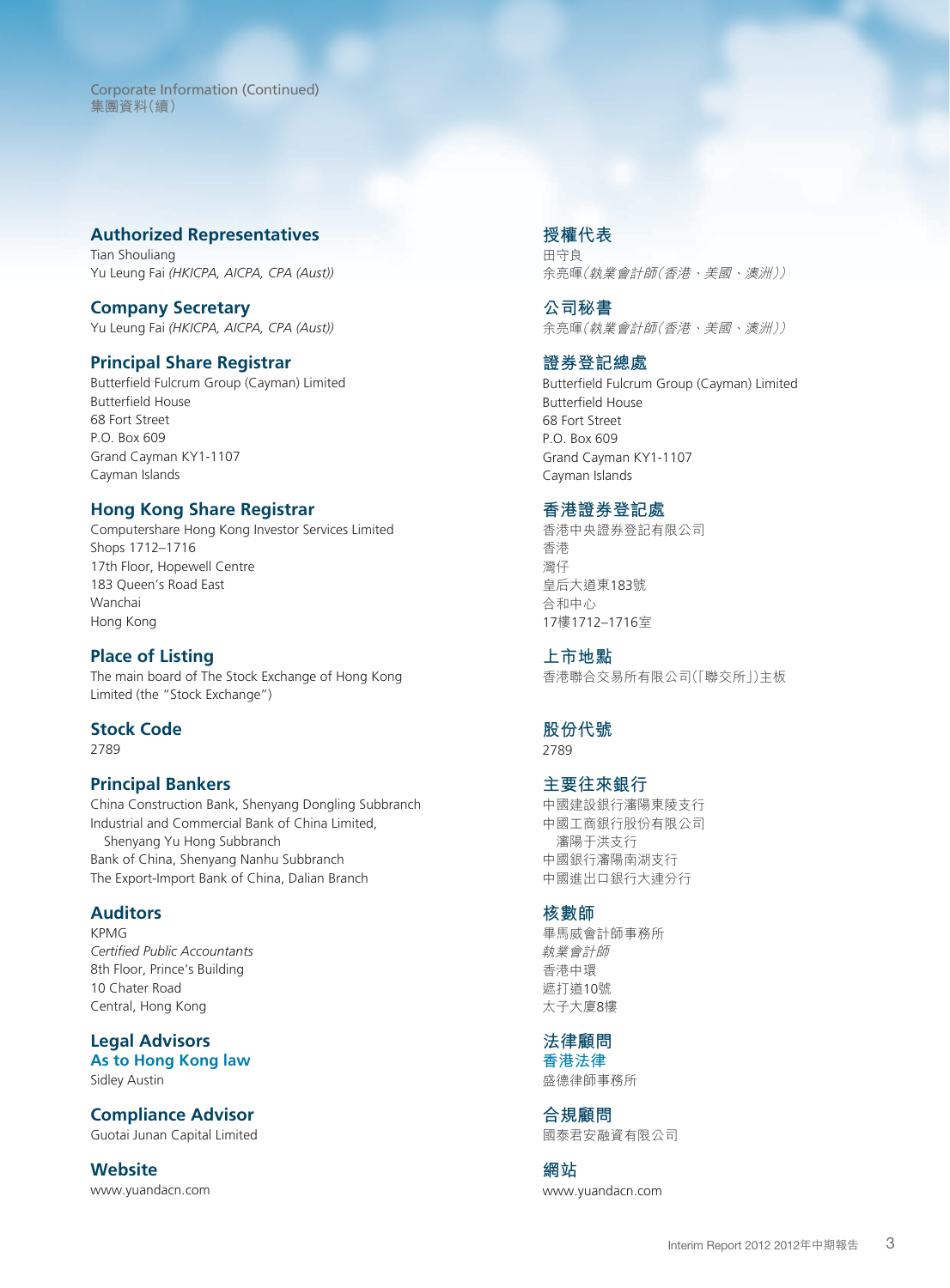Corporate Information (Continued) 集團資料(續)

#### **Authorized Representatives**

Tian Shouliang Yu Leung Fai *(HKICPA, AICPA, CPA (Aust))*

#### **Company Secretary**

Yu Leung Fai *(HKICPA, AICPA, CPA (Aust))*

#### **Principal Share Registrar**

Butterfield Fulcrum Group (Cayman) Limited Butterfield House 68 Fort Street P.O. Box 609 Grand Cayman KY1-1107 Cayman Islands

### **Hong Kong Share Registrar**

Computershare Hong Kong Investor Services Limited Shops 1712–1716 17th Floor, Hopewell Centre 183 Queen's Road East Wanchai Hong Kong

# **Place of Listing**

The main board of The Stock Exchange of Hong Kong Limited (the "Stock Exchange")

### **Stock Code**

2789

#### **Principal Bankers**

China Construction Bank, Shenyang Dongling Subbranch Industrial and Commercial Bank of China Limited, Shenyang Yu Hong Subbranch Bank of China, Shenyang Nanhu Subbranch The Export-Import Bank of China, Dalian Branch

#### **Auditors**

KPMG *Certified Public Accountants* 8th Floor, Prince's Building 10 Chater Road Central, Hong Kong

**Legal Advisors As to Hong Kong law** Sidley Austin

### **Compliance Advisor**

Guotai Junan Capital Limited

**Website** www.yuandacn.com

# **授權代表**

田守良 余亮暉(執業會計師(香港、美國、澳洲))

**公司秘書** 余亮暉(執業會計師(香港、美國、澳洲))

### **證券登記總處**

Butterfield Fulcrum Group (Cayman) Limited Butterfield House 68 Fort Street P.O. Box 609 Grand Cayman KY1-1107 Cayman Islands

#### **香港證券登記處**

香港中央證券登記有限公司 香港 灣仔 皇后大道東183號 合和中心 17樓1712–1716室

**上市地點** 香港聯合交易所有限公司(「聯交所」)主板

**股份代號** 2789

# **主要往來銀行** 中國建設銀行瀋陽東陵支行 中國工商銀行股份有限公司 瀋陽于洪支行

中國銀行瀋陽南湖支行 中國進出口銀行大連分行

#### **核數師**

畢馬威會計師事務所 執業會計師 香港中環 遮打道10號 太子大廈8樓

**法律顧問 香港法律**

盛德律師事務所

**合規顧問** 國泰君安融資有限公司

**網站** www.yuandacn.com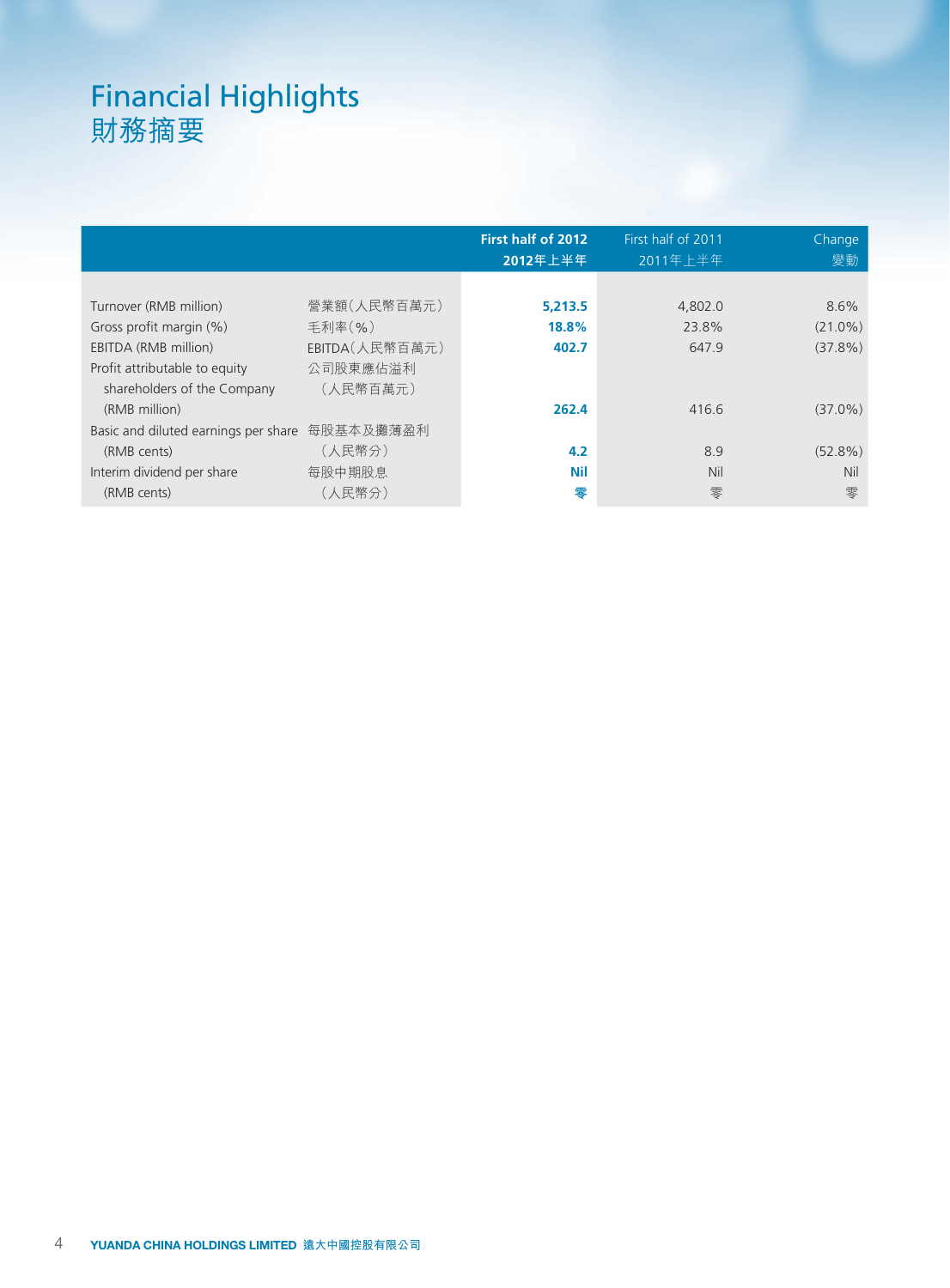# Financial Highlights 財務摘要

|                                      |                   | <b>First half of 2012</b><br>2012年上半年 | First half of 2011<br>2011年上半年 | Change<br>變動 |
|--------------------------------------|-------------------|---------------------------------------|--------------------------------|--------------|
|                                      |                   |                                       |                                |              |
| Turnover (RMB million)               | 營業額(人民幣百萬元)       | 5,213.5                               | 4,802.0                        | 8.6%         |
| Gross profit margin (%)              | 手利率(%)            | 18.8%                                 | 23.8%                          | $(21.0\%)$   |
| EBITDA (RMB million)                 | $EBITDA($ 人民幣百萬元) | 402.7                                 | 647.9                          | $(37.8\%)$   |
| Profit attributable to equity        | 公司股東應佔溢利          |                                       |                                |              |
| shareholders of the Company          | (人民幣百萬元)          |                                       |                                |              |
| (RMB million)                        |                   | 262.4                                 | 416.6                          | $(37.0\%)$   |
| Basic and diluted earnings per share | 每股基本及攤薄盈利         |                                       |                                |              |
| (RMB cents)                          | (人民幣分)            | 4.2                                   | 8.9                            | $(52.8\%)$   |
| Interim dividend per share           | 每股中期股息            | <b>Nil</b>                            | Nil                            | <b>Nil</b>   |
| (RMB cents)                          | (人民幣分)            | 零                                     | 零                              | 零            |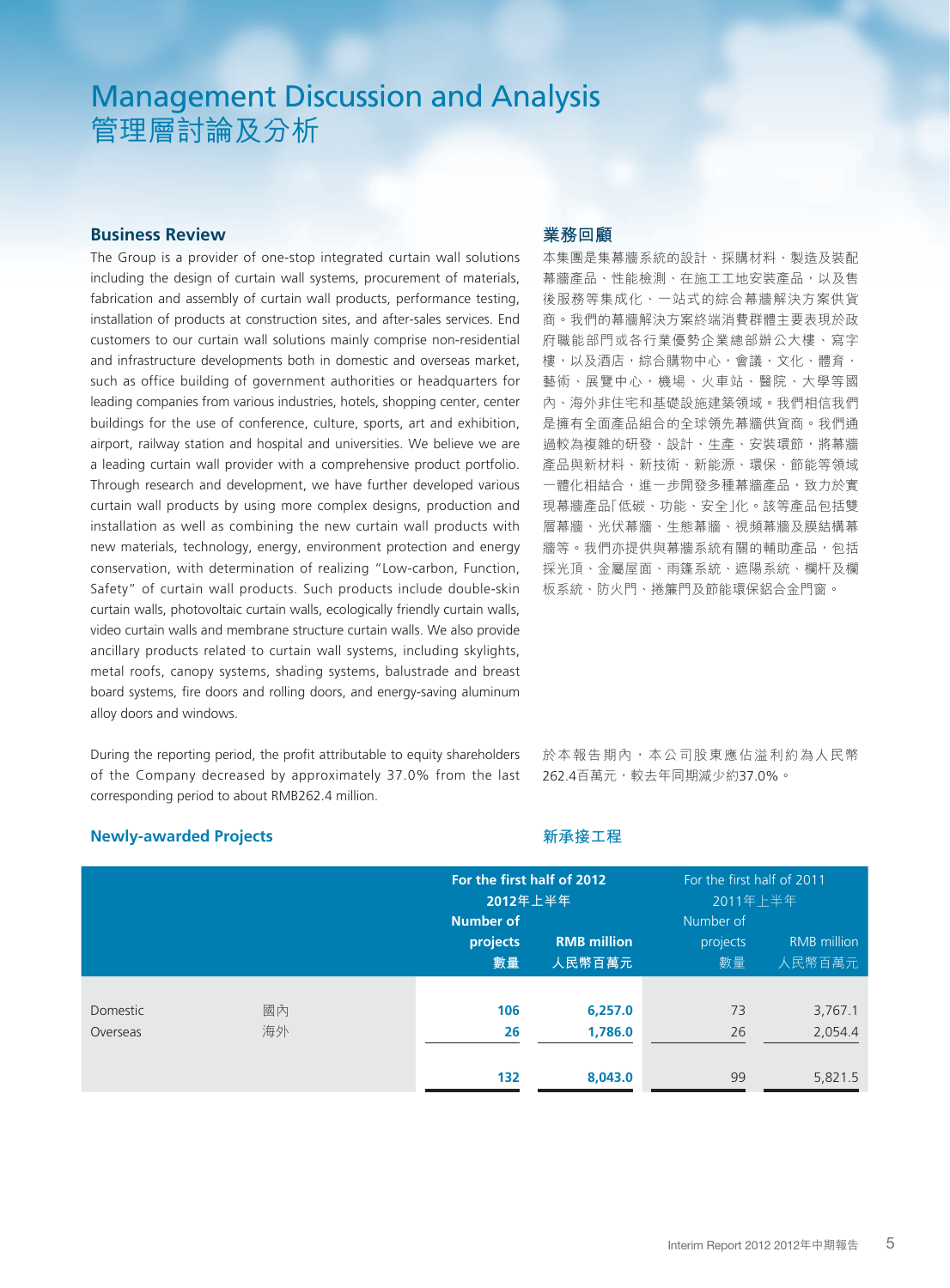# Management Discussion and Analysis 管理層討論及分析

# **Business Review**

The Group is a provider of one-stop integrated curtain wall solutions including the design of curtain wall systems, procurement of materials, fabrication and assembly of curtain wall products, performance testing, installation of products at construction sites, and after-sales services. End customers to our curtain wall solutions mainly comprise non-residential and infrastructure developments both in domestic and overseas market, such as office building of government authorities or headquarters for leading companies from various industries, hotels, shopping center, center buildings for the use of conference, culture, sports, art and exhibition, airport, railway station and hospital and universities. We believe we are a leading curtain wall provider with a comprehensive product portfolio. Through research and development, we have further developed various curtain wall products by using more complex designs, production and installation as well as combining the new curtain wall products with new materials, technology, energy, environment protection and energy conservation, with determination of realizing "Low-carbon, Function, Safety" of curtain wall products. Such products include double-skin curtain walls, photovoltaic curtain walls, ecologically friendly curtain walls, video curtain walls and membrane structure curtain walls. We also provide ancillary products related to curtain wall systems, including skylights, metal roofs, canopy systems, shading systems, balustrade and breast board systems, fire doors and rolling doors, and energy-saving aluminum alloy doors and windows.

During the reporting period, the profit attributable to equity shareholders of the Company decreased by approximately 37.0% from the last corresponding period to about RMB262.4 million.

# **業務回顧**

**新承接工程**

本集團是集幕牆系統的設計、採購材料、製造及裝配 幕牆產品、性能檢測、在施工工地安裝產品,以及售 後服務等集成化、一站式的綜合幕牆解決方案供貨 商。我們的幕牆解決方案終端消費群體主要表現於政 府職能部門或各行業優勢企業總部辦公大樓、寫字 樓,以及酒店,綜合購物中心,會議、文化、體育、 藝術、展覽中心,機場、火車站、醫院、大學等國 內、海外非住宅和基礎設施建築領域。我們相信我們 是擁有全面產品組合的全球領先幕牆供貨商。我們通 過較為複雜的研發、設計、生產、安裝環節,將幕牆 產品與新材料、新技術、新能源、環保、節能等領域 一體化相結合,進一步開發多種幕牆產品,致力於實 現幕牆產品「低碳、功能、安全」化。該等產品包括雙 層幕牆、光伏幕牆、生態幕牆、視頻幕牆及膜結構幕 牆等。我們亦提供與幕牆系統有關的輔助產品,包括 採光頂、金屬屋面、雨篷系統、遮陽系統、欄杆及欄 板系統、防火門、捲簾門及節能環保鋁合金門窗。

於本報告期內,本公司股東應佔溢利約為人民幣 262.4百萬元,較去年同期減少約37.0%。

### **Newly-awarded Projects**

|                      |          | <b>Number of</b> | For the first half of 2012<br>2012年上半年 |                             | For the first half of 2011<br>2011年上半年 |
|----------------------|----------|------------------|----------------------------------------|-----------------------------|----------------------------------------|
|                      |          | projects<br>數量   | <b>RMB million</b><br>人民幣百萬元           | Number of<br>projects<br>數量 | <b>RMB</b> million<br>人民幣百萬元           |
| Domestic<br>Overseas | 國內<br>海外 | 106<br>26        | 6,257.0<br>1,786.0                     | 73<br>26                    | 3,767.1<br>2,054.4                     |
|                      |          | 132              | 8,043.0                                | 99                          | 5,821.5                                |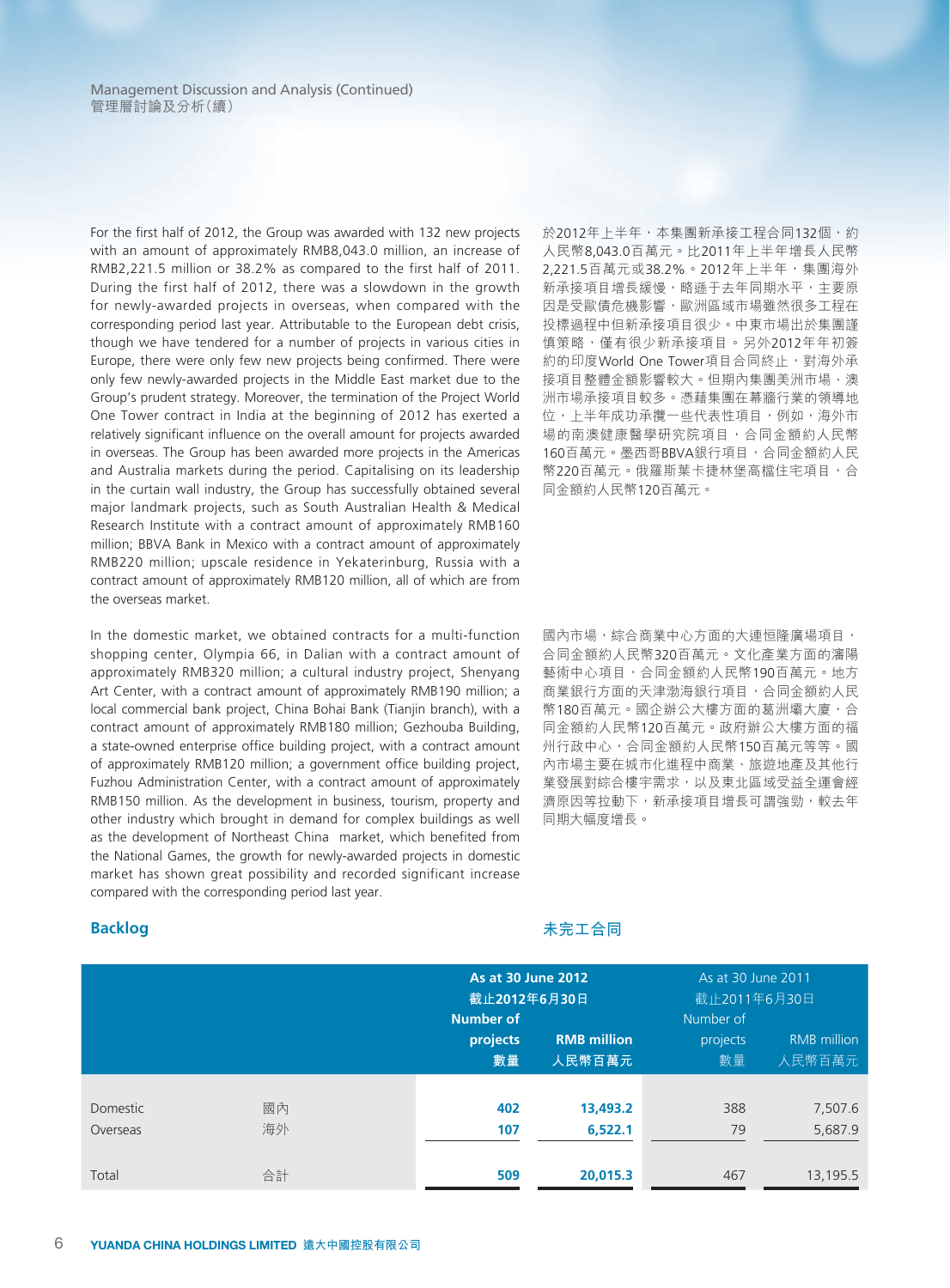For the first half of 2012, the Group was awarded with 132 new projects with an amount of approximately RMB8,043.0 million, an increase of RMB2,221.5 million or 38.2% as compared to the first half of 2011. During the first half of 2012, there was a slowdown in the growth for newly-awarded projects in overseas, when compared with the corresponding period last year. Attributable to the European debt crisis, though we have tendered for a number of projects in various cities in Europe, there were only few new projects being confirmed. There were only few newly-awarded projects in the Middle East market due to the Group's prudent strategy. Moreover, the termination of the Project World One Tower contract in India at the beginning of 2012 has exerted a relatively significant influence on the overall amount for projects awarded in overseas. The Group has been awarded more projects in the Americas and Australia markets during the period. Capitalising on its leadership in the curtain wall industry, the Group has successfully obtained several major landmark projects, such as South Australian Health & Medical Research Institute with a contract amount of approximately RMB160 million; BBVA Bank in Mexico with a contract amount of approximately RMB220 million; upscale residence in Yekaterinburg, Russia with a contract amount of approximately RMB120 million, all of which are from the overseas market.

In the domestic market, we obtained contracts for a multi-function shopping center, Olympia 66, in Dalian with a contract amount of approximately RMB320 million; a cultural industry project, Shenyang Art Center, with a contract amount of approximately RMB190 million; a local commercial bank project, China Bohai Bank (Tianjin branch), with a contract amount of approximately RMB180 million; Gezhouba Building, a state-owned enterprise office building project, with a contract amount of approximately RMB120 million; a government office building project, Fuzhou Administration Center, with a contract amount of approximately RMB150 million. As the development in business, tourism, property and other industry which brought in demand for complex buildings as well as the development of Northeast China market, which benefited from the National Games, the growth for newly-awarded projects in domestic market has shown great possibility and recorded significant increase compared with the corresponding period last year.

於2012年上半年,本集團新承接工程合同132個,約 人民幣8,043.0百萬元。比2011年上半年增長人民幣 2,221.5百萬元或38.2%。2012年上半年,集團海外 新承接項目增長緩慢,略遜于去年同期水平,主要原 因是受歐債危機影響,歐洲區域市場雖然很多工程在 投標過程中但新承接項目很少。中東市場出於集團謹 慎策略,僅有很少新承接項目。另外2012年年初簽 約的印度World One Tower項目合同終止,對海外承 接項目整體金額影響較大。但期內集團美洲市場、澳 洲市場承接項目較多。憑藉集團在幕牆行業的領導地 位,上半年成功承攬一些代表性項目,例如,海外市 場的南澳健康醫學研究院項目,合同金額約人民幣 160百萬元。墨西哥BBVA銀行項目,合同金額約人民 幣220百萬元。俄羅斯葉卡捷林堡高檔住宅項目,合 同金額約人民幣120百萬元。

國內市場,綜合商業中心方面的大連恒隆廣場項目, 合同金額約人民幣320百萬元。文化產業方面的瀋陽 藝術中心項目,合同金額約人民幣190百萬元。地方 商業銀行方面的天津渤海銀行項目,合同金額約人民 幣180百萬元。國企辦公大樓方面的葛洲壩大廈,合 同金額約人民幣120百萬元。政府辦公大樓方面的福 州行政中心,合同金額約人民幣150百萬元等等。國 內市場主要在城市化進程中商業、旅遊地產及其他行 業發展對綜合樓宇需求,以及東北區域受益全運會經 濟原因等拉動下,新承接項目增長可謂強勁,較去年 同期大幅度增長。

**Backlog**

# **未完工合同**

|          |    | <b>Number of</b> | <b>As at 30 June 2012</b><br>截止2012年6月30日 |                | As at 30 June 2011<br>截止2011年6月30日 |
|----------|----|------------------|-------------------------------------------|----------------|------------------------------------|
|          |    | projects<br>數量   | <b>RMB million</b><br>人民幣百萬元              | projects<br>數量 | <b>RMB</b> million<br>人民幣百萬元       |
|          |    |                  |                                           |                |                                    |
| Domestic | 國內 | 402              | 13,493.2                                  | 388            | 7,507.6                            |
| Overseas | 海外 | 107              | 6,522.1                                   | 79             | 5,687.9                            |
|          |    |                  |                                           |                |                                    |
| Total    | 合計 | 509              | 20,015.3                                  | 467            | 13,195.5                           |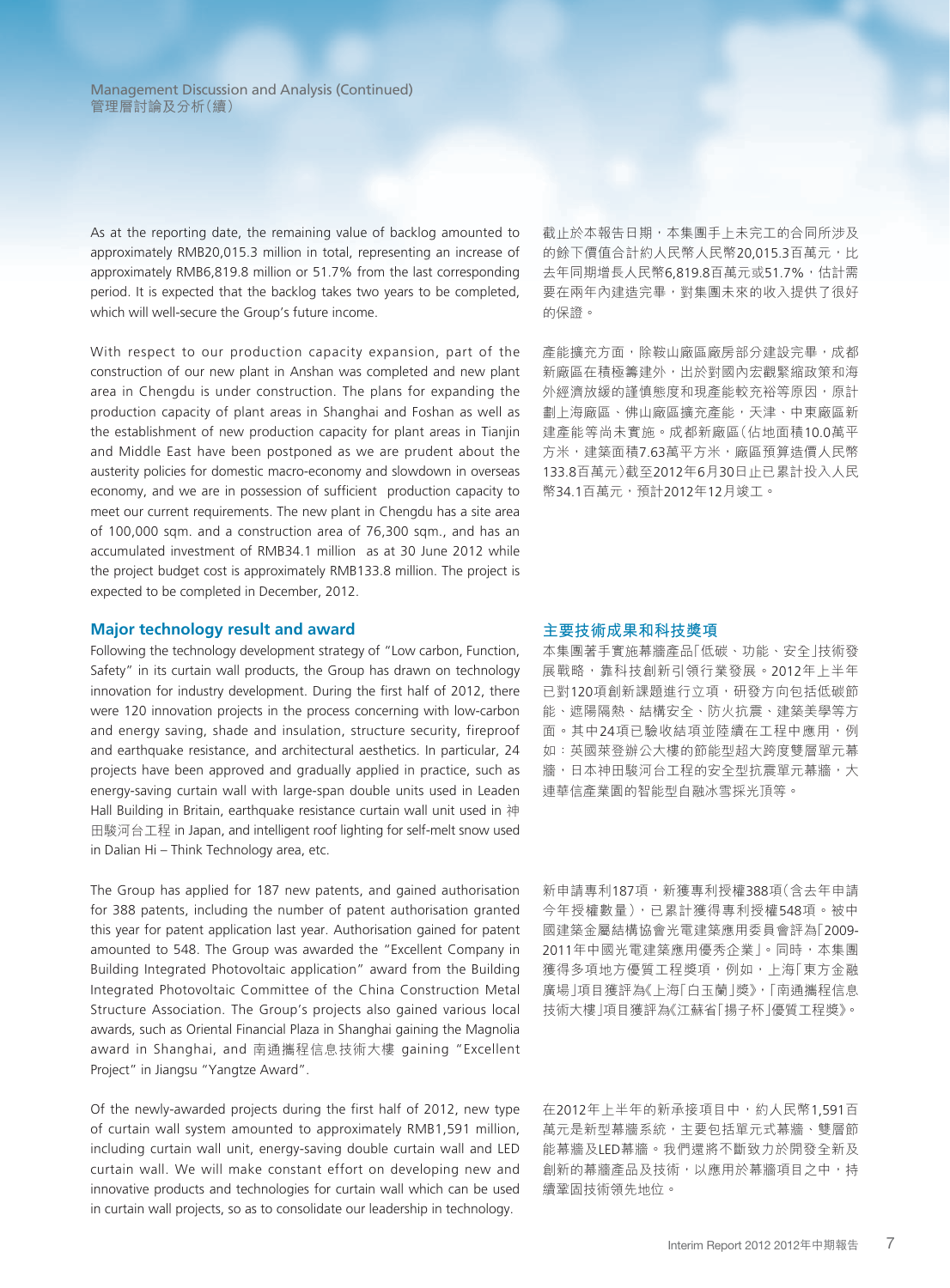As at the reporting date, the remaining value of backlog amounted to approximately RMB20,015.3 million in total, representing an increase of approximately RMB6,819.8 million or 51.7% from the last corresponding period. It is expected that the backlog takes two years to be completed, which will well-secure the Group's future income.

With respect to our production capacity expansion, part of the construction of our new plant in Anshan was completed and new plant area in Chengdu is under construction. The plans for expanding the production capacity of plant areas in Shanghai and Foshan as well as the establishment of new production capacity for plant areas in Tianjin and Middle East have been postponed as we are prudent about the austerity policies for domestic macro-economy and slowdown in overseas economy, and we are in possession of sufficient production capacity to meet our current requirements. The new plant in Chengdu has a site area of 100,000 sqm. and a construction area of 76,300 sqm., and has an accumulated investment of RMB34.1 million as at 30 June 2012 while the project budget cost is approximately RMB133.8 million. The project is expected to be completed in December, 2012.

#### **Major technology result and award**

Following the technology development strategy of "Low carbon, Function, Safety" in its curtain wall products, the Group has drawn on technology innovation for industry development. During the first half of 2012, there were 120 innovation projects in the process concerning with low-carbon and energy saving, shade and insulation, structure security, fireproof and earthquake resistance, and architectural aesthetics. In particular, 24 projects have been approved and gradually applied in practice, such as energy-saving curtain wall with large-span double units used in Leaden Hall Building in Britain, earthquake resistance curtain wall unit used in 神 田駿河台工程 in Japan, and intelligent roof lighting for self-melt snow used in Dalian Hi – Think Technology area, etc.

The Group has applied for 187 new patents, and gained authorisation for 388 patents, including the number of patent authorisation granted this year for patent application last year. Authorisation gained for patent amounted to 548. The Group was awarded the "Excellent Company in Building Integrated Photovoltaic application" award from the Building Integrated Photovoltaic Committee of the China Construction Metal Structure Association. The Group's projects also gained various local awards, such as Oriental Financial Plaza in Shanghai gaining the Magnolia award in Shanghai, and 南通攜程信息技術大樓 gaining "Excellent Project" in Jiangsu "Yangtze Award".

Of the newly-awarded projects during the first half of 2012, new type of curtain wall system amounted to approximately RMB1,591 million, including curtain wall unit, energy-saving double curtain wall and LED curtain wall. We will make constant effort on developing new and innovative products and technologies for curtain wall which can be used in curtain wall projects, so as to consolidate our leadership in technology.

截止於本報告日期,本集團手上未完工的合同所涉及 的餘下價值合計約人民幣人民幣20,015.3百萬元,比 去年同期增長人民幣6,819.8百萬元或51.7%,估計需 要在兩年內建造完畢,對集團未來的收入提供了很好 的保證。

産能擴充方面,除鞍山廠區廠房部分建設完畢,成都 新廠區在積極籌建外,出於對國內宏觀緊縮政策和海 外經濟放緩的謹慎態度和現產能較充裕等原因,原計 劃上海廠區、佛山廠區擴充產能,天津、中東廠區新 建產能等尚未實施。成都新廠區(佔地面積10.0萬平 方米,建築面積7.63萬平方米,廠區預算造價人民幣 133.8百萬元)截至2012年6月30日止已累計投入人民 幣34.1百萬元,預計2012年12月竣工。

#### **主要技術成果和科技獎項**

本集團著手實施幕牆產品「低碳、功能、安全」技術發 展戰略,靠科技創新引領行業發展。2012年上半年 已對120項創新課題進行立項,研發方向包括低碳節 能、遮陽隔熱、結構安全、防火抗震、建築美學等方 面。其中24項已驗收結項並陸續在工程中應用,例 如:英國萊登辦公大樓的節能型超大跨度雙層單元幕 牆,日本神田駿河台工程的安全型抗震單元幕牆,大 連華信產業園的智能型自融冰雪採光頂等。

新申請專利187項,新獲專利授權388項(含去年申請 今年授權數量),已累計獲得專利授權548項。被中 國建築金屬結構協會光電建築應用委員會評為「2009- 2011年中國光電建築應用優秀企業」。同時,本集團 獲得多項地方優質工程獎項,例如,上海「東方金融 廣場」項目獲評為《上海「白玉蘭」獎》,「南通攜程信息 技術大樓」項目獲評為《江蘇省「揚子杯」優質工程獎》。

在2012年上半年的新承接項目中,約人民幣1,591百 萬元是新型幕牆系統,主要包括單元式幕牆、雙層節 能幕牆及LED幕牆。我們還將不斷致力於開發全新及 創新的幕牆產品及技術,以應用於幕牆項目之中,持 續鞏固技術領先地位。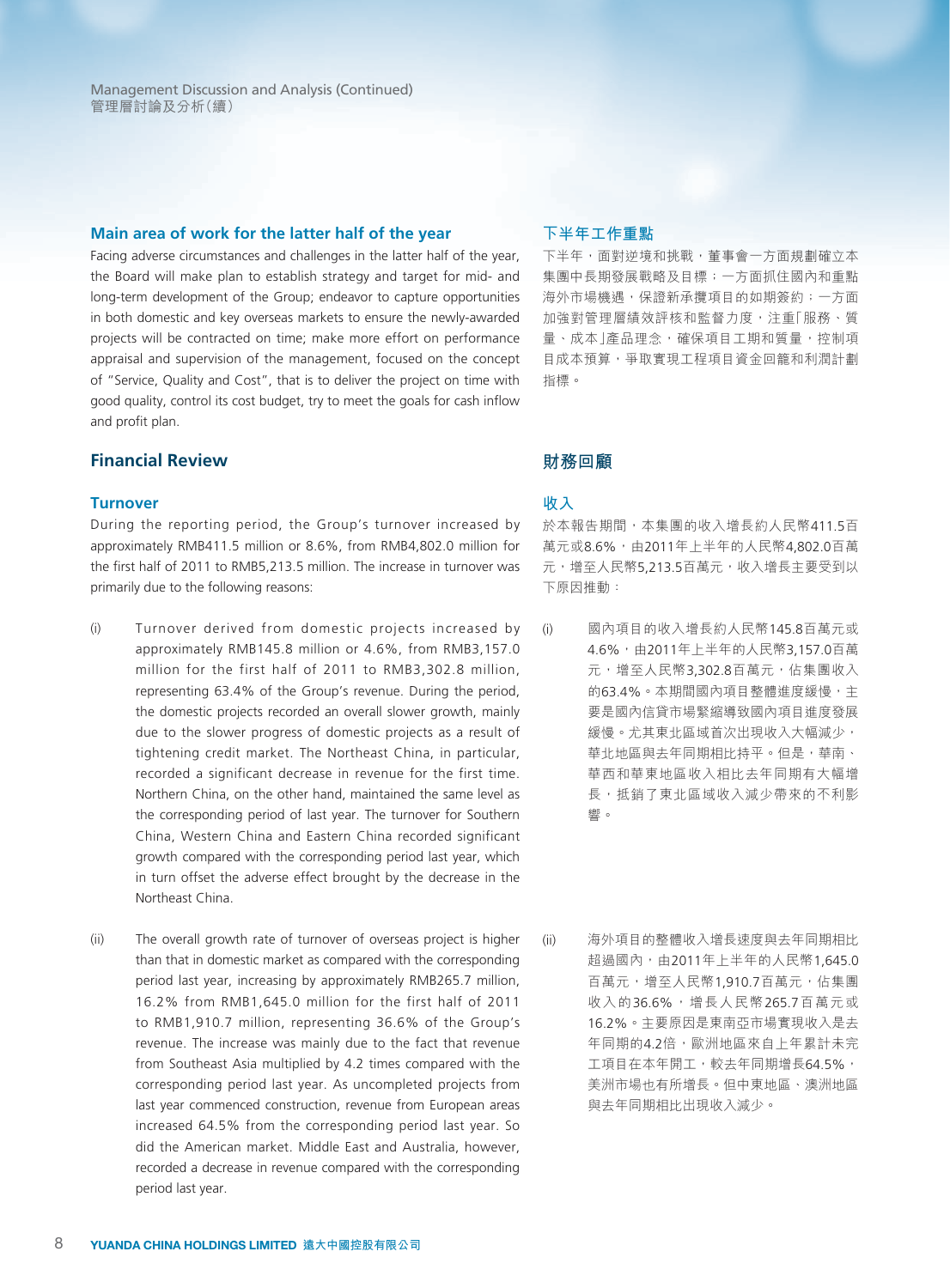#### **Main area of work for the latter half of the year**

Facing adverse circumstances and challenges in the latter half of the year, the Board will make plan to establish strategy and target for mid- and long-term development of the Group; endeavor to capture opportunities in both domestic and key overseas markets to ensure the newly-awarded projects will be contracted on time; make more effort on performance appraisal and supervision of the management, focused on the concept of "Service, Quality and Cost", that is to deliver the project on time with good quality, control its cost budget, try to meet the goals for cash inflow and profit plan.

# **Financial Review**

#### **Turnover**

During the reporting period, the Group's turnover increased by approximately RMB411.5 million or 8.6%, from RMB4,802.0 million for the first half of 2011 to RMB5,213.5 million. The increase in turnover was primarily due to the following reasons:

- (i) Turnover derived from domestic projects increased by approximately RMB145.8 million or 4.6%, from RMB3,157.0 million for the first half of 2011 to RMB3,302.8 million, representing 63.4% of the Group's revenue. During the period, the domestic projects recorded an overall slower growth, mainly due to the slower progress of domestic projects as a result of tightening credit market. The Northeast China, in particular, recorded a significant decrease in revenue for the first time. Northern China, on the other hand, maintained the same level as the corresponding period of last year. The turnover for Southern China, Western China and Eastern China recorded significant growth compared with the corresponding period last year, which in turn offset the adverse effect brought by the decrease in the Northeast China.
- (ii) The overall growth rate of turnover of overseas project is higher than that in domestic market as compared with the corresponding period last year, increasing by approximately RMB265.7 million, 16.2% from RMB1,645.0 million for the first half of 2011 to RMB1,910.7 million, representing 36.6% of the Group's revenue. The increase was mainly due to the fact that revenue from Southeast Asia multiplied by 4.2 times compared with the corresponding period last year. As uncompleted projects from last year commenced construction, revenue from European areas increased 64.5% from the corresponding period last year. So did the American market. Middle East and Australia, however, recorded a decrease in revenue compared with the corresponding period last year.

#### **下半年工作重點**

下半年,面對逆境和挑戰,董事會一方面規劃確立本 集團中長期發展戰略及目標;一方面抓住國內和重點 海外市場機遇,保證新承攬項目的如期簽約;一方面 加強對管理層績效評核和監督力度,注重「服務、質 量、成本」產品理念,確保項目工期和質量,控制項 目成本預算,爭取實現工程項目資金回籠和利潤計劃 指標。

# **財務回顧**

#### **收入**

於本報告期間,本集團的收入增長約人民幣411.5百 萬元或8.6%,由2011年上半年的人民幣4,802.0百萬 元,增至人民幣5,213.5百萬元,收入增長主要受到以 下原因推動:

- (i) 國內項目的收入增長約人民幣145.8百萬元或 4.6%,由2011年上半年的人民幣3,157.0百萬 元,增至人民幣3.302.8百萬元,佔集團收入 的63.4%。本期間國內項目整體進度緩慢,主 要是國內信貸市場緊縮導致國內項目進度發展 緩慢。尤其東北區域首次出現收入大幅減少, 華北地區與去年同期相比持平。但是,華南、 華西和華東地區收入相比去年同期有大幅增 長,抵銷了東北區域收入減少帶來的不利影 響。
- (ii) 海外項目的整體收入增長速度與去年同期相比 超過國內,由2011年上半年的人民幣1,645.0 百萬元,增至人民幣1,910.7百萬元,佔集團 收入的36.6%,增長人民幣265.7百萬元或 16.2%。主要原因是東南亞市場實現收入是去 年同期的4.2倍,歐洲地區來自上年累計未完 工項目在本年開工,較去年同期增長64.5%, 美洲市場也有所增長。但中東地區、澳洲地區 與去年同期相比出現收入減少。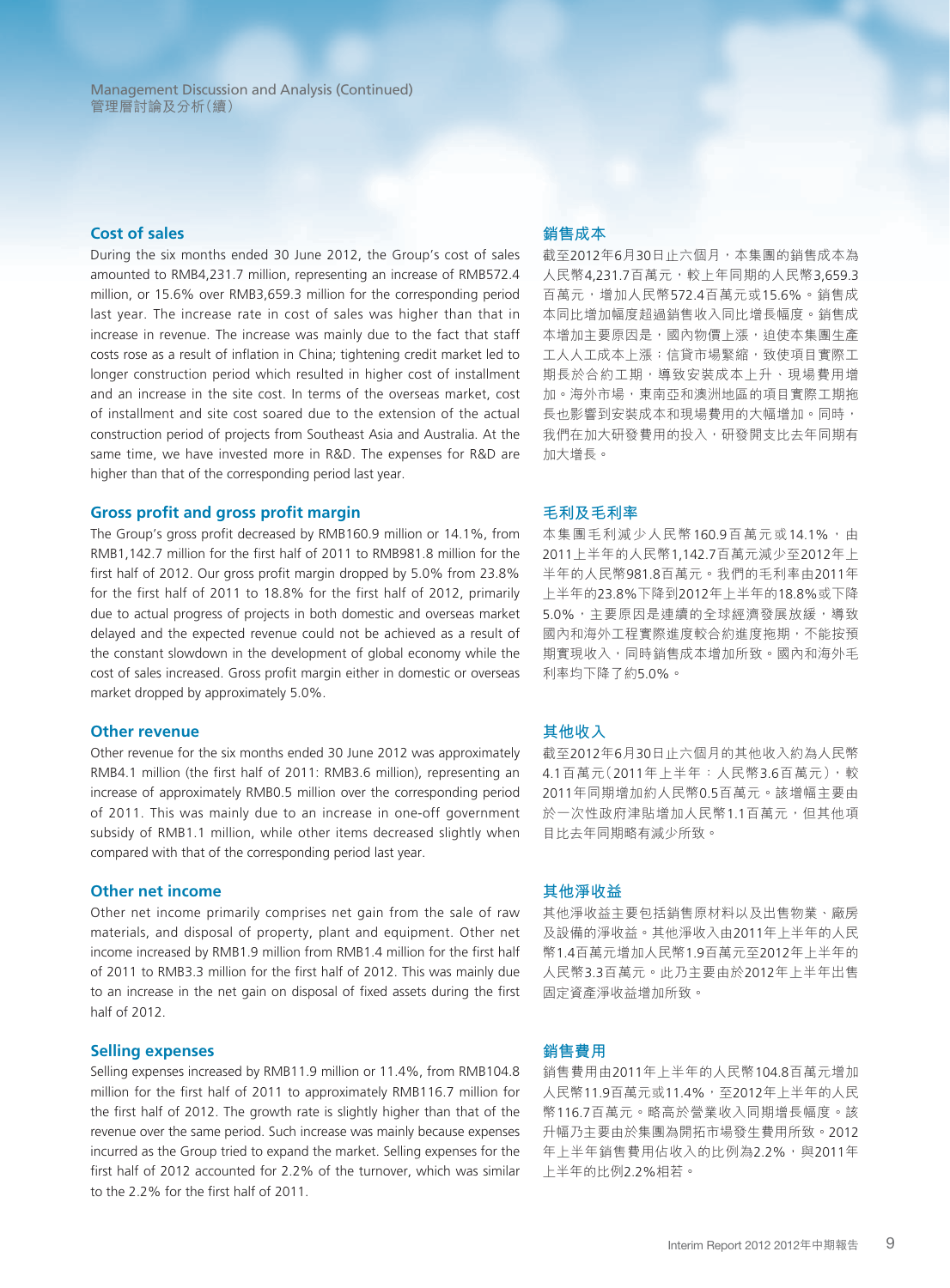#### **Cost of sales**

During the six months ended 30 June 2012, the Group's cost of sales amounted to RMB4,231.7 million, representing an increase of RMB572.4 million, or 15.6% over RMB3,659.3 million for the corresponding period last year. The increase rate in cost of sales was higher than that in increase in revenue. The increase was mainly due to the fact that staff costs rose as a result of inflation in China; tightening credit market led to longer construction period which resulted in higher cost of installment and an increase in the site cost. In terms of the overseas market, cost of installment and site cost soared due to the extension of the actual construction period of projects from Southeast Asia and Australia. At the same time, we have invested more in R&D. The expenses for R&D are higher than that of the corresponding period last year.

#### **Gross profit and gross profit margin**

The Group's gross profit decreased by RMB160.9 million or 14.1%, from RMB1,142.7 million for the first half of 2011 to RMB981.8 million for the first half of 2012. Our gross profit margin dropped by 5.0% from 23.8% for the first half of 2011 to 18.8% for the first half of 2012, primarily due to actual progress of projects in both domestic and overseas market delayed and the expected revenue could not be achieved as a result of the constant slowdown in the development of global economy while the cost of sales increased. Gross profit margin either in domestic or overseas market dropped by approximately 5.0%.

#### **Other revenue**

Other revenue for the six months ended 30 June 2012 was approximately RMB4.1 million (the first half of 2011: RMB3.6 million), representing an increase of approximately RMB0.5 million over the corresponding period of 2011. This was mainly due to an increase in one-off government subsidy of RMB1.1 million, while other items decreased slightly when compared with that of the corresponding period last year.

#### **Other net income**

Other net income primarily comprises net gain from the sale of raw materials, and disposal of property, plant and equipment. Other net income increased by RMB1.9 million from RMB1.4 million for the first half of 2011 to RMB3.3 million for the first half of 2012. This was mainly due to an increase in the net gain on disposal of fixed assets during the first half of 2012.

#### **Selling expenses**

Selling expenses increased by RMB11.9 million or 11.4%, from RMB104.8 million for the first half of 2011 to approximately RMB116.7 million for the first half of 2012. The growth rate is slightly higher than that of the revenue over the same period. Such increase was mainly because expenses incurred as the Group tried to expand the market. Selling expenses for the first half of 2012 accounted for 2.2% of the turnover, which was similar to the 2.2% for the first half of 2011.

#### **銷售成本**

截至2012年6月30日止六個月,本集團的銷售成本為 人民幣4,231.7百萬元,較上年同期的人民幣3,659.3 百萬元,增加人民幣572.4百萬元或15.6%。銷售成 本同比增加幅度超過銷售收入同比增長幅度。銷售成 本增加主要原因是,國內物價上漲,迫使本集團生產 工人人工成本上漲;信貸市場緊縮,致使項目實際工 期長於合約工期,導致安裝成本上升、現場費用增 加。海外市場,東南亞和澳洲地區的項目實際工期拖 長也影響到安裝成本和現場費用的大幅增加。同時, 我們在加大研發費用的投入,研發開支比去年同期有 加大增長。

#### **毛利及毛利率**

本集團毛利減少人民幣160.9百萬元或14.1%,由 2011上半年的人民幣1,142.7百萬元減少至2012年上 半年的人民幣981.8百萬元。我們的毛利率由2011年 上半年的23.8%下降到2012年上半年的18.8%或下降 5.0%,主要原因是連續的全球經濟發展放緩,導致 國內和海外工程實際進度較合約進度拖期,不能按預 期實現收入,同時銷售成本增加所致。國內和海外毛 利率均下降了約5.0%。

#### **其他收入**

截至2012年6月30日止六個月的其他收入約為人民幣 4.1百萬元(2011年上半年:人民幣3.6百萬元),較 2011年同期增加約人民幣0.5百萬元。該增幅主要由 於一次性政府津貼增加人民幣1.1百萬元,但其他項 目比去年同期略有減少所致。

#### **其他淨收益**

其他淨收益主要包括銷售原材料以及出售物業、廠房 及設備的淨收益。其他淨收入由2011年上半年的人民 幣1.4百萬元增加人民幣1.9百萬元至2012年上半年的 人民幣3.3百萬元。此乃主要由於2012年上半年出售 固定資產淨收益增加所致。

#### **銷售費用**

銷售費用由2011年上半年的人民幣104.8百萬元增加 人民幣11.9百萬元或11.4%,至2012年上半年的人民 幣116.7百萬元。略高於營業收入同期增長幅度。該 升幅乃主要由於集團為開拓市場發生費用所致。2012 年上半年銷售費用佔收入的比例為2.2%,與2011年 上半年的比例2.2%相若。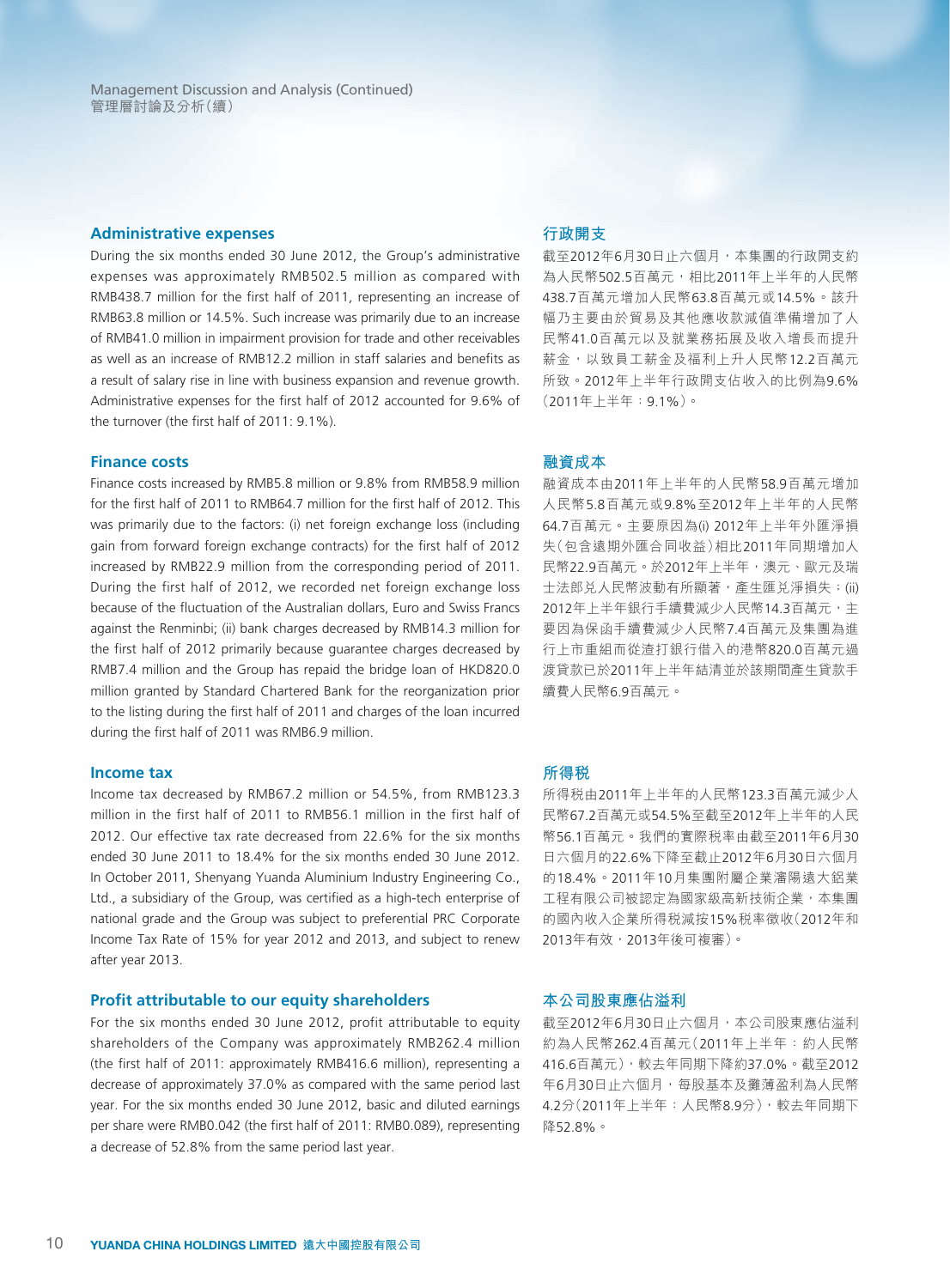#### **Administrative expenses**

During the six months ended 30 June 2012, the Group's administrative expenses was approximately RMB502.5 million as compared with RMB438.7 million for the first half of 2011, representing an increase of RMB63.8 million or 14.5%. Such increase was primarily due to an increase of RMB41.0 million in impairment provision for trade and other receivables as well as an increase of RMB12.2 million in staff salaries and benefits as a result of salary rise in line with business expansion and revenue growth. Administrative expenses for the first half of 2012 accounted for 9.6% of the turnover (the first half of 2011: 9.1%).

#### **Finance costs**

Finance costs increased by RMB5.8 million or 9.8% from RMB58.9 million for the first half of 2011 to RMB64.7 million for the first half of 2012. This was primarily due to the factors: (i) net foreign exchange loss (including gain from forward foreign exchange contracts) for the first half of 2012 increased by RMB22.9 million from the corresponding period of 2011. During the first half of 2012, we recorded net foreign exchange loss because of the fluctuation of the Australian dollars, Euro and Swiss Francs against the Renminbi; (ii) bank charges decreased by RMB14.3 million for the first half of 2012 primarily because guarantee charges decreased by RMB7.4 million and the Group has repaid the bridge loan of HKD820.0 million granted by Standard Chartered Bank for the reorganization prior to the listing during the first half of 2011 and charges of the loan incurred during the first half of 2011 was RMB6.9 million.

#### **Income tax**

Income tax decreased by RMB67.2 million or 54.5%, from RMB123.3 million in the first half of 2011 to RMB56.1 million in the first half of 2012. Our effective tax rate decreased from 22.6% for the six months ended 30 June 2011 to 18.4% for the six months ended 30 June 2012. In October 2011, Shenyang Yuanda Aluminium Industry Engineering Co., Ltd., a subsidiary of the Group, was certified as a high-tech enterprise of national grade and the Group was subject to preferential PRC Corporate Income Tax Rate of 15% for year 2012 and 2013, and subject to renew after year 2013.

#### **Profit attributable to our equity shareholders**

For the six months ended 30 June 2012, profit attributable to equity shareholders of the Company was approximately RMB262.4 million (the first half of 2011: approximately RMB416.6 million), representing a decrease of approximately 37.0% as compared with the same period last year. For the six months ended 30 June 2012, basic and diluted earnings per share were RMB0.042 (the first half of 2011: RMB0.089), representing a decrease of 52.8% from the same period last year.

#### **行政開支**

截至2012年6月30日止六個月,本集團的行政開支約 為人民幣502.5百萬元,相比2011年上半年的人民幣 438.7百萬元增加人民幣63.8百萬元或14.5%。該升 幅乃主要由於貿易及其他應收款減值準備增加了人 民幣41.0百萬元以及就業務拓展及收入增長而提升 薪金,以致員工薪金及福利上升人民幣12.2百萬元 所致。2012年上半年行政開支佔收入的比例為9.6% (2011年上半年:9.1%)。

#### **融資成本**

融資成本由2011年上半年的人民幣58.9百萬元增加 人民幣5.8百萬元或9.8%至2012年上半年的人民幣 64.7百萬元。主要原因為(i) 2012年上半年外匯淨損 失(包含遠期外匯合同收益)相比2011年同期增加人 民幣22.9百萬元。於2012年上半年,澳元、歐元及瑞 士法郎兑人民幣波動有所顯著,產生匯兑淨損失;(ii) 2012年上半年銀行手續費減少人民幣14.3百萬元,主 要因為保函手續費減少人民幣7.4百萬元及集團為進 行上市重組而從渣打銀行借入的港幣820.0百萬元過 渡貸款已於2011年上半年結清並於該期間產生貸款手 續費人民幣6.9百萬元。

#### **所得稅**

所得稅由2011年上半年的人民幣123.3百萬元減少人 民幣67.2百萬元或54.5%至截至2012年上半年的人民 幣56.1百萬元。我們的實際稅率由截至2011年6月30 日六個月的22.6%下降至截止2012年6月30日六個月 的18.4%。2011年10月集團附屬企業瀋陽遠大鋁業 工程有限公司被認定為國家級高新技術企業,本集團 的國內收入企業所得稅減按15%稅率徵收(2012年和 2013年有效,2013年後可複審)。

#### **本公司股東應佔溢利**

截至2012年6月30日止六個月,本公司股東應佔溢利 約為人民幣262.4百萬元(2011年上半年:約人民幣 416.6百萬元),較去年同期下降約37.0%。截至2012 年6月30日止六個月,每股基本及攤薄盈利為人民幣 4.2分(2011年上半年:人民幣8.9分),較去年同期下 降52.8%。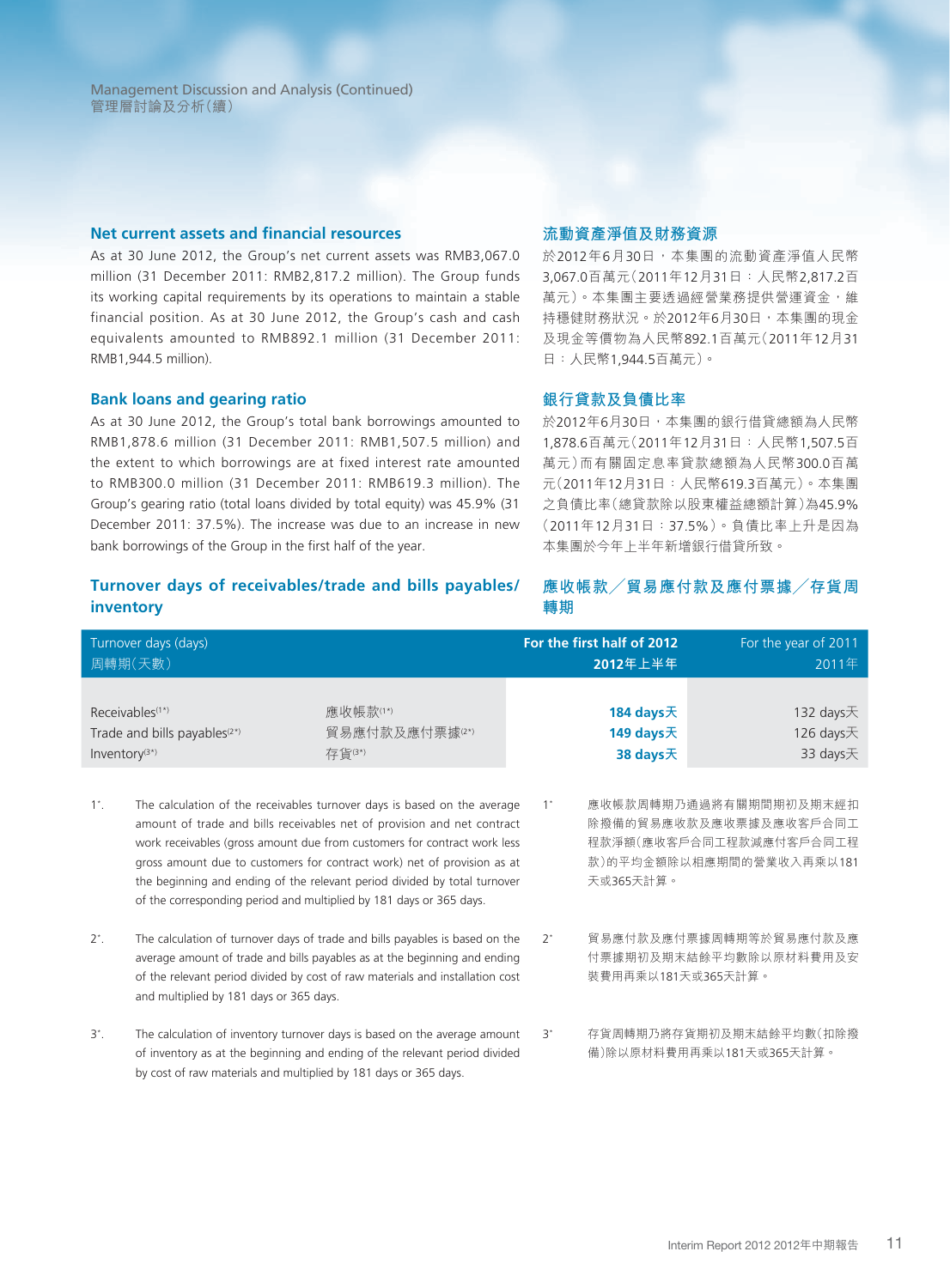Management Discussion and Analysis (Continued) 管理層討論及分析(續)

#### **Net current assets and financial resources**

As at 30 June 2012, the Group's net current assets was RMB3,067.0 million (31 December 2011: RMB2,817.2 million). The Group funds its working capital requirements by its operations to maintain a stable financial position. As at 30 June 2012, the Group's cash and cash equivalents amounted to RMB892.1 million (31 December 2011: RMB1,944.5 million).

#### **Bank loans and gearing ratio**

As at 30 June 2012, the Group's total bank borrowings amounted to RMB1,878.6 million (31 December 2011: RMB1,507.5 million) and the extent to which borrowings are at fixed interest rate amounted to RMB300.0 million (31 December 2011: RMB619.3 million). The Group's gearing ratio (total loans divided by total equity) was 45.9% (31 December 2011: 37.5%). The increase was due to an increase in new bank borrowings of the Group in the first half of the year.

### **流動資產淨值及財務資源**

於2012年6月30日,本集團的流動資產淨值人民幣 3,067.0百萬元(2011年12月31日:人民幣2,817.2百 萬元)。本集團主要透過經營業務提供營運資金,維 持穩健財務狀況。於2012年6月30日, 本集團的現金 及現金等價物為人民幣892.1百萬元(2011年12月31 日:人民幣1,944.5百萬元)。

#### **銀行貸款及負債比率**

於2012年6月30日,本集團的銀行借貸總額為人民幣 1,878.6百萬元(2011年12月31日:人民幣1,507.5百 萬元)而有關固定息率貸款總額為人民幣300.0百萬 元(2011年12月31日:人民幣619.3百萬元)。本集團 之負債比率(總貸款除以股東權益總額計算)為45.9% (2011年12月31日:37.5%)。負債比率上升是因為 本集團於今年上半年新增銀行借貸所致。

# **Turnover days of receivables/trade and bills payables/ inventory**

#### **應收帳款╱貿易應付款及應付票據╱存貨周 轉期**

|                   | Turnover days (days)<br>周轉期(天數)                                         |                                                                                                                                                                                                                                                                                                                                                                                         |       | For the first half of 2012<br>2012年上半年 | For the year of 2011<br>2011年                                                                           |
|-------------------|-------------------------------------------------------------------------|-----------------------------------------------------------------------------------------------------------------------------------------------------------------------------------------------------------------------------------------------------------------------------------------------------------------------------------------------------------------------------------------|-------|----------------------------------------|---------------------------------------------------------------------------------------------------------|
| Inventory $(3^*)$ | Receivables <sup>(1*)</sup><br>Trade and bills payables <sup>(2*)</sup> | 應收帳款(1*)<br>貿易應付款及應付票據⑵<br>存貨(3*)                                                                                                                                                                                                                                                                                                                                                       |       | 184 days天<br>149 days天<br>38 days天     | 132 days $\pm$<br>126 days $\overline{\mathcal{F}}$<br>33 days天                                         |
| $1^{\star}$ .     | of the corresponding period and multiplied by 181 days or 365 days.     | The calculation of the receivables turnover days is based on the average<br>amount of trade and bills receivables net of provision and net contract<br>work receivables (gross amount due from customers for contract work less<br>gross amount due to customers for contract work) net of provision as at<br>the beginning and ending of the relevant period divided by total turnover | $1^*$ | 天或365天計算。                              | 應收帳款周轉期乃通過將有關期間期初及期末經扣<br>除撥備的貿易應收款及應收票據及應收客戶合同工<br>程款淨額(應收客戶合同工程款減應付客戶合同工程<br>款)的平均金額除以相應期間的營業收入再乘以181 |
| $2^*$ .           | and multiplied by 181 days or 365 days.                                 | The calculation of turnover days of trade and bills payables is based on the<br>average amount of trade and bills payables as at the beginning and ending<br>of the relevant period divided by cost of raw materials and installation cost                                                                                                                                              | $2^*$ | 裝費用再乘以181天或365天計算。                     | 貿易應付款及應付票據周轉期等於貿易應付款及應<br>付票據期初及期末結餘平均數除以原材料費用及安                                                        |
| $3^*$ .           | by cost of raw materials and multiplied by 181 days or 365 days.        | The calculation of inventory turnover days is based on the average amount<br>of inventory as at the beginning and ending of the relevant period divided                                                                                                                                                                                                                                 | $3^*$ |                                        | 存貨周轉期乃將存貨期初及期末結餘平均數(扣除撥<br>備)除以原材料費用再乘以181天或365天計算。                                                     |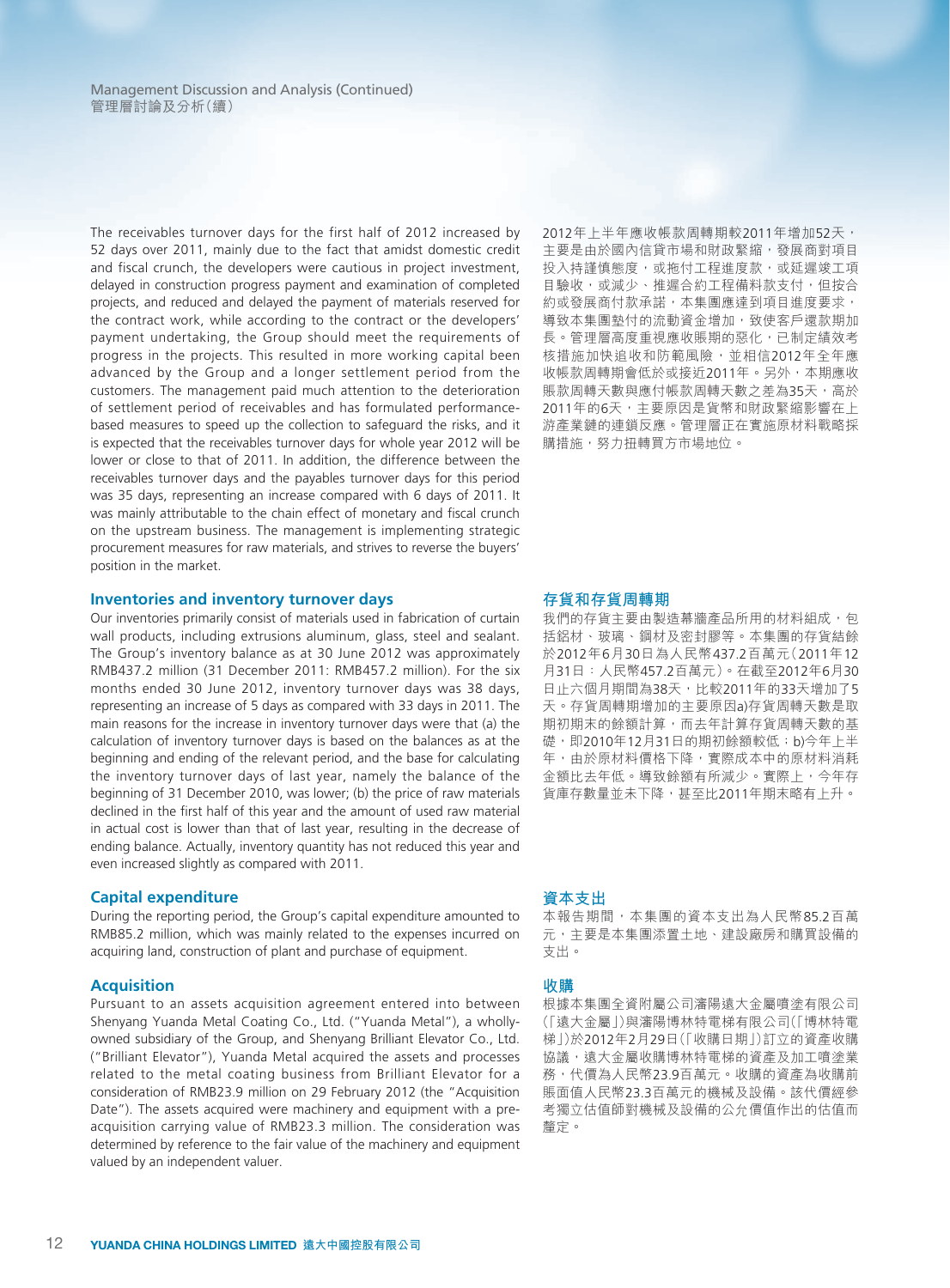The receivables turnover days for the first half of 2012 increased by 52 days over 2011, mainly due to the fact that amidst domestic credit and fiscal crunch, the developers were cautious in project investment, delayed in construction progress payment and examination of completed projects, and reduced and delayed the payment of materials reserved for the contract work, while according to the contract or the developers' payment undertaking, the Group should meet the requirements of progress in the projects. This resulted in more working capital been advanced by the Group and a longer settlement period from the customers. The management paid much attention to the deterioration of settlement period of receivables and has formulated performancebased measures to speed up the collection to safeguard the risks, and it is expected that the receivables turnover days for whole year 2012 will be lower or close to that of 2011. In addition, the difference between the receivables turnover days and the payables turnover days for this period was 35 days, representing an increase compared with 6 days of 2011. It was mainly attributable to the chain effect of monetary and fiscal crunch on the upstream business. The management is implementing strategic procurement measures for raw materials, and strives to reverse the buyers' position in the market.

#### **Inventories and inventory turnover days**

Our inventories primarily consist of materials used in fabrication of curtain wall products, including extrusions aluminum, glass, steel and sealant. The Group's inventory balance as at 30 June 2012 was approximately RMB437.2 million (31 December 2011: RMB457.2 million). For the six months ended 30 June 2012, inventory turnover days was 38 days, representing an increase of 5 days as compared with 33 days in 2011. The main reasons for the increase in inventory turnover days were that (a) the calculation of inventory turnover days is based on the balances as at the beginning and ending of the relevant period, and the base for calculating the inventory turnover days of last year, namely the balance of the beginning of 31 December 2010, was lower; (b) the price of raw materials declined in the first half of this year and the amount of used raw material in actual cost is lower than that of last year, resulting in the decrease of ending balance. Actually, inventory quantity has not reduced this year and even increased slightly as compared with 2011.

#### **Capital expenditure**

During the reporting period, the Group's capital expenditure amounted to RMB85.2 million, which was mainly related to the expenses incurred on acquiring land, construction of plant and purchase of equipment.

#### **Acquisition**

Pursuant to an assets acquisition agreement entered into between Shenyang Yuanda Metal Coating Co., Ltd. ("Yuanda Metal"), a whollyowned subsidiary of the Group, and Shenyang Brilliant Elevator Co., Ltd. ("Brilliant Elevator"), Yuanda Metal acquired the assets and processes related to the metal coating business from Brilliant Elevator for a consideration of RMB23.9 million on 29 February 2012 (the "Acquisition Date"). The assets acquired were machinery and equipment with a preacquisition carrying value of RMB23.3 million. The consideration was determined by reference to the fair value of the machinery and equipment valued by an independent valuer.

2012年上半年應收帳款周轉期較2011年增加52天, 主要是由於國內信貸市場和財政緊縮,發展商對項目 投入持謹慎熊度,或拖付工程進度款,或延遲竣工項 目驗收,或減少、推遲合約工程備料款支付,但按合 約或發展商付款承諾,本集團應達到項目進度要求, 導致本集團墊付的流動資金增加,致使客戶還款期加 長。管理層高度重視應收賬期的惡化,已制定績效考 核措施加快追收和防範風險,並相信2012年全年應 收帳款周轉期會低於或接近2011年。另外,本期應收 賬款周轉天數與應付帳款周轉天數之差為35天,高於 2011年的6天,主要原因是貨幣和財政緊縮影響在上 游產業鏈的連鎖反應。管理層正在實施原材料戰略採 購措施,努力扭轉買方市場地位。

#### **存貨和存貨周轉期**

我們的存貨主要由製造幕牆產品所用的材料組成,包 括鋁材、玻璃、鋼材及密封膠等。本集團的存貨結餘 於2012年6月30日為人民幣437.2百萬元(2011年12 月31日:人民幣457.2百萬元)。在截至2012年6月30 日止六個月期間為38天,比較2011年的33天增加了5 天。存貨周轉期增加的主要原因a)存貨周轉天數是取 期初期末的餘額計算,而去年計算存貨周轉天數的基 礎,即2010年12月31日的期初餘額較低; b)今年上半 年,由於原材料價格下降,實際成本中的原材料消耗 金額比去年低。導致餘額有所減少。實際上,今年存 貨庫存數量並未下降,甚至比2011年期末略有上升。

#### **資本支出**

本報告期間,本集團的資本支出為人民幣85.2百萬 元,主要是本集團添置土地、建設廠房和購買設備的 支出。

#### **收購**

根據本集團全資附屬公司瀋陽遠大金屬噴塗有限公司 (「遠大金屬」)與瀋陽博林特電梯有限公司(「博林特電 梯」)於2012年2月29日(「收購日期」)訂立的資產收購 協議,遠大金屬收購博林特電梯的資產及加工噴塗業 務,代價為人民幣23.9百萬元。收購的資產為收購前 賬面值人民幣23.3百萬元的機械及設備。該代價經參 考獨立估值師對機械及設備的公允價值作出的估值而 釐定。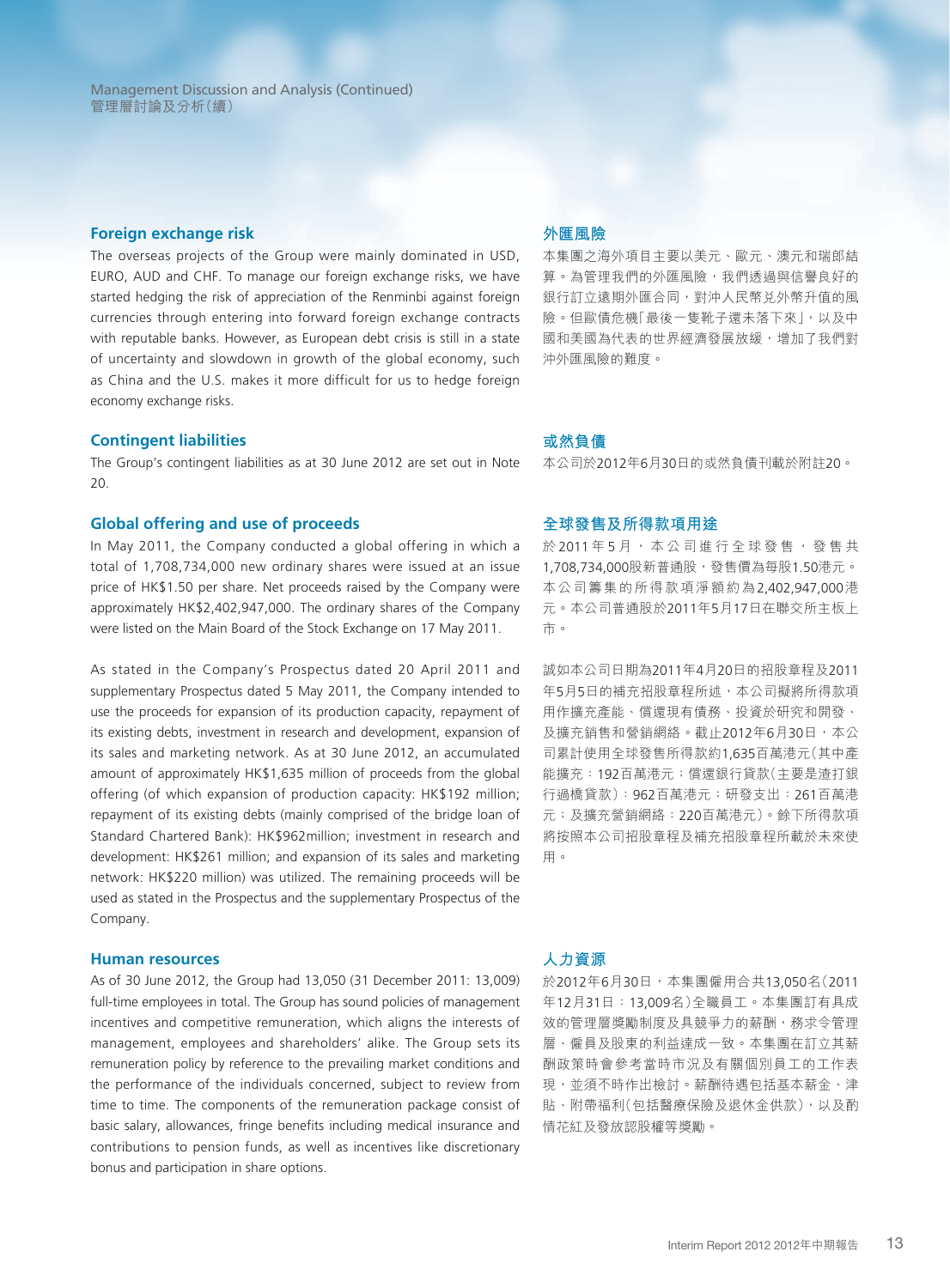Management Discussion and Analysis (Continued) 管理層討論及分析(續)

#### **Foreign exchange risk**

The overseas projects of the Group were mainly dominated in USD, EURO, AUD and CHF. To manage our foreign exchange risks, we have started hedging the risk of appreciation of the Renminbi against foreign currencies through entering into forward foreign exchange contracts with reputable banks. However, as European debt crisis is still in a state of uncertainty and slowdown in growth of the global economy, such as China and the U.S. makes it more difficult for us to hedge foreign economy exchange risks.

#### **Contingent liabilities**

The Group's contingent liabilities as at 30 June 2012 are set out in Note 20.

#### **Global offering and use of proceeds**

In May 2011, the Company conducted a global offering in which a total of 1,708,734,000 new ordinary shares were issued at an issue price of HK\$1.50 per share. Net proceeds raised by the Company were approximately HK\$2,402,947,000. The ordinary shares of the Company were listed on the Main Board of the Stock Exchange on 17 May 2011.

As stated in the Company's Prospectus dated 20 April 2011 and supplementary Prospectus dated 5 May 2011, the Company intended to use the proceeds for expansion of its production capacity, repayment of its existing debts, investment in research and development, expansion of its sales and marketing network. As at 30 June 2012, an accumulated amount of approximately HK\$1,635 million of proceeds from the global offering (of which expansion of production capacity: HK\$192 million; repayment of its existing debts (mainly comprised of the bridge loan of Standard Chartered Bank): HK\$962million; investment in research and development: HK\$261 million; and expansion of its sales and marketing network: HK\$220 million) was utilized. The remaining proceeds will be used as stated in the Prospectus and the supplementary Prospectus of the Company.

#### **Human resources**

As of 30 June 2012, the Group had 13,050 (31 December 2011: 13,009) full-time employees in total. The Group has sound policies of management incentives and competitive remuneration, which aligns the interests of management, employees and shareholders' alike. The Group sets its remuneration policy by reference to the prevailing market conditions and the performance of the individuals concerned, subject to review from time to time. The components of the remuneration package consist of basic salary, allowances, fringe benefits including medical insurance and contributions to pension funds, as well as incentives like discretionary bonus and participation in share options.

#### **外匯風險**

本集團之海外項目主要以美元、歐元、澳元和瑞郎結 算。為管理我們的外匯風險,我們透過與信譽良好的 銀行訂立遠期外匯合同,對沖人民幣兑外幣升值的風 險。但歐債危機「最後一隻靴子還未落下來」,以及中 國和美國為代表的世界經濟發展放緩,增加了我們對 沖外匯風險的難度。

#### **或然負債**

本公司於2012年6月30日的或然負債刊載於附註20。

#### **全球發售及所得款項用途**

於 2011 年 5 月, 本公司進行全球發售,發售共 1,708,734,000股新普通股,發售價為每股1.50港元。 本公司籌集的所得款項淨額約為2,402,947,000港 元。本公司普通股於2011年5月17日在聯交所主板上 市。

誠如本公司日期為2011年4月20日的招股章程及2011 年5月5日的補充招股章程所述,本公司擬將所得款項 用作擴充產能、償還現有債務、投資於研究和開發、 及擴充銷售和營銷網絡。截止2012年6月30日,本公 司累計使用全球發售所得款約1,635百萬港元(其中產 能擴充:192百萬港元;償還銀行貸款(主要是渣打銀 行過橋貸款):962百萬港元;研發支出:261百萬港 元;及擴充營銷網絡:220百萬港元)。餘下所得款項 將按照本公司招股章程及補充招股章程所載於未來使 用。

### **人力資源**

於2012年6月30日,本集團僱用合共13,050名(2011 年12月31日:13,009名)全職員工。本集團訂有具成 效的管理層獎勵制度及具競爭力的薪酬,務求令管理 層、僱員及股東的利益達成一致。本集團在訂立其薪 酬政策時會參考當時市況及有關個別員工的工作表 現,並須不時作出檢討。薪酬待遇包括基本薪金、津 貼、附帶福利(包括醫療保險及退休金供款),以及酌 情花紅及發放認股權等獎勵。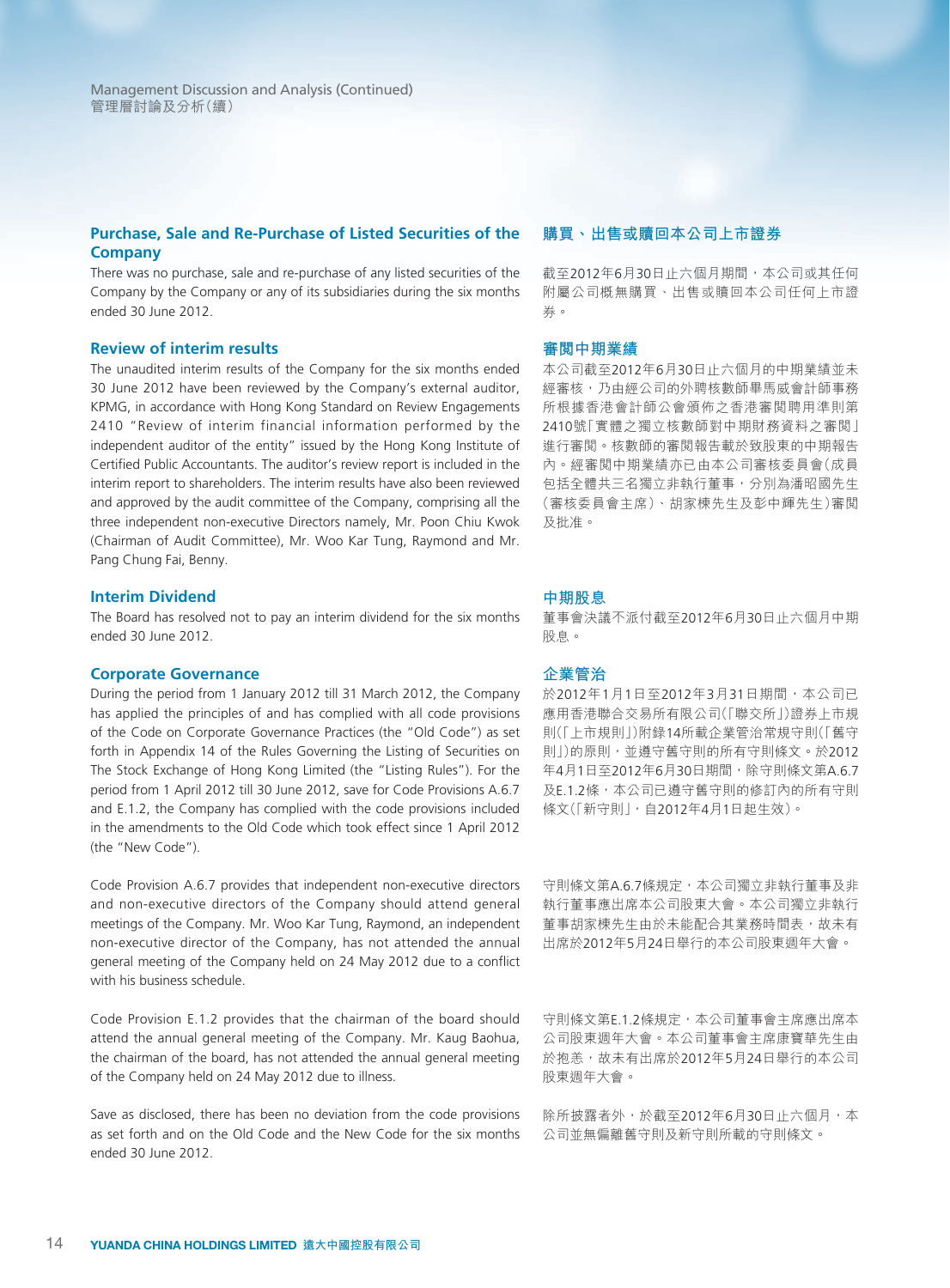# **Purchase, Sale and Re-Purchase of Listed Securities of the Company**

There was no purchase, sale and re-purchase of any listed securities of the Company by the Company or any of its subsidiaries during the six months ended 30 June 2012.

#### **Review of interim results**

The unaudited interim results of the Company for the six months ended 30 June 2012 have been reviewed by the Company's external auditor, KPMG, in accordance with Hong Kong Standard on Review Engagements 2410 "Review of interim financial information performed by the independent auditor of the entity" issued by the Hong Kong Institute of Certified Public Accountants. The auditor's review report is included in the interim report to shareholders. The interim results have also been reviewed and approved by the audit committee of the Company, comprising all the three independent non-executive Directors namely, Mr. Poon Chiu Kwok (Chairman of Audit Committee), Mr. Woo Kar Tung, Raymond and Mr. Pang Chung Fai, Benny.

#### **Interim Dividend**

The Board has resolved not to pay an interim dividend for the six months ended 30 June 2012.

#### **Corporate Governance**

During the period from 1 January 2012 till 31 March 2012, the Company has applied the principles of and has complied with all code provisions of the Code on Corporate Governance Practices (the "Old Code") as set forth in Appendix 14 of the Rules Governing the Listing of Securities on The Stock Exchange of Hong Kong Limited (the "Listing Rules"). For the period from 1 April 2012 till 30 June 2012, save for Code Provisions A.6.7 and E.1.2, the Company has complied with the code provisions included in the amendments to the Old Code which took effect since 1 April 2012 (the "New Code").

Code Provision A.6.7 provides that independent non-executive directors and non-executive directors of the Company should attend general meetings of the Company. Mr. Woo Kar Tung, Raymond, an independent non-executive director of the Company, has not attended the annual general meeting of the Company held on 24 May 2012 due to a conflict with his business schedule.

Code Provision E.1.2 provides that the chairman of the board should attend the annual general meeting of the Company. Mr. Kaug Baohua, the chairman of the board, has not attended the annual general meeting of the Company held on 24 May 2012 due to illness.

Save as disclosed, there has been no deviation from the code provisions as set forth and on the Old Code and the New Code for the six months ended 30 June 2012.

#### **購買、出售或贖回本公司上市證券**

截至2012年6月30日止六個月期間,本公司或其任何 附屬公司概無購買、出售或贖回本公司任何上市證 券。

#### **審閱中期業績**

本公司截至2012年6月30日止六個月的中期業績並未 經審核,乃由經公司的外聘核數師畢馬威會計師事務 所根據香港會計師公會頒佈之香港審閱聘用準則第 2410號「實體之獨立核數師對中期財務資料之審閱」 進行審閱。核數師的審閱報告載於致股東的中期報告 內。經審閱中期業績亦已由本公司審核委員會(成員 包括全體共三名獨立非執行董事,分別為潘昭國先生 (審核委員會主席)、胡家棟先生及彭中輝先生)審閱 及批准。

#### **中期股息**

董事會決議不派付截至2012年6月30日止六個月中期 股息。

#### **企業管治**

於2012年1月1日至2012年3月31日期間,本公司已 應用香港聯合交易所有限公司(「聯交所」)證券上市規 則(「上市規則」)附錄14所載企業管治常規守則(「舊守 則」)的原則,並遵守舊守則的所有守則條文。於2012 年4月1日至2012年6月30日期間,除守則條文第A.6.7 及E.1.2條,本公司已遵守舊守則的修訂內的所有守則 條文(「新守則」,自2012年4月1日起生效)。

守則條文第A.6.7條規定,本公司獨立非執行董事及非 執行董事應出席本公司股東大會。本公司獨立非執行 董事胡家棟先生由於未能配合其業務時間表,故未有 出席於2012年5月24日舉行的本公司股東週年大會。

守則條文第E.1.2條規定,本公司董事會主席應出席本 公司股東週年大會。本公司董事會主席康寶華先生由 於抱恙,故未有出席於2012年5月24日舉行的本公司 股東週年大會。

除所披露者外,於截至2012年6月30日止六個月,本 公司並無偏離舊守則及新守則所載的守則條文。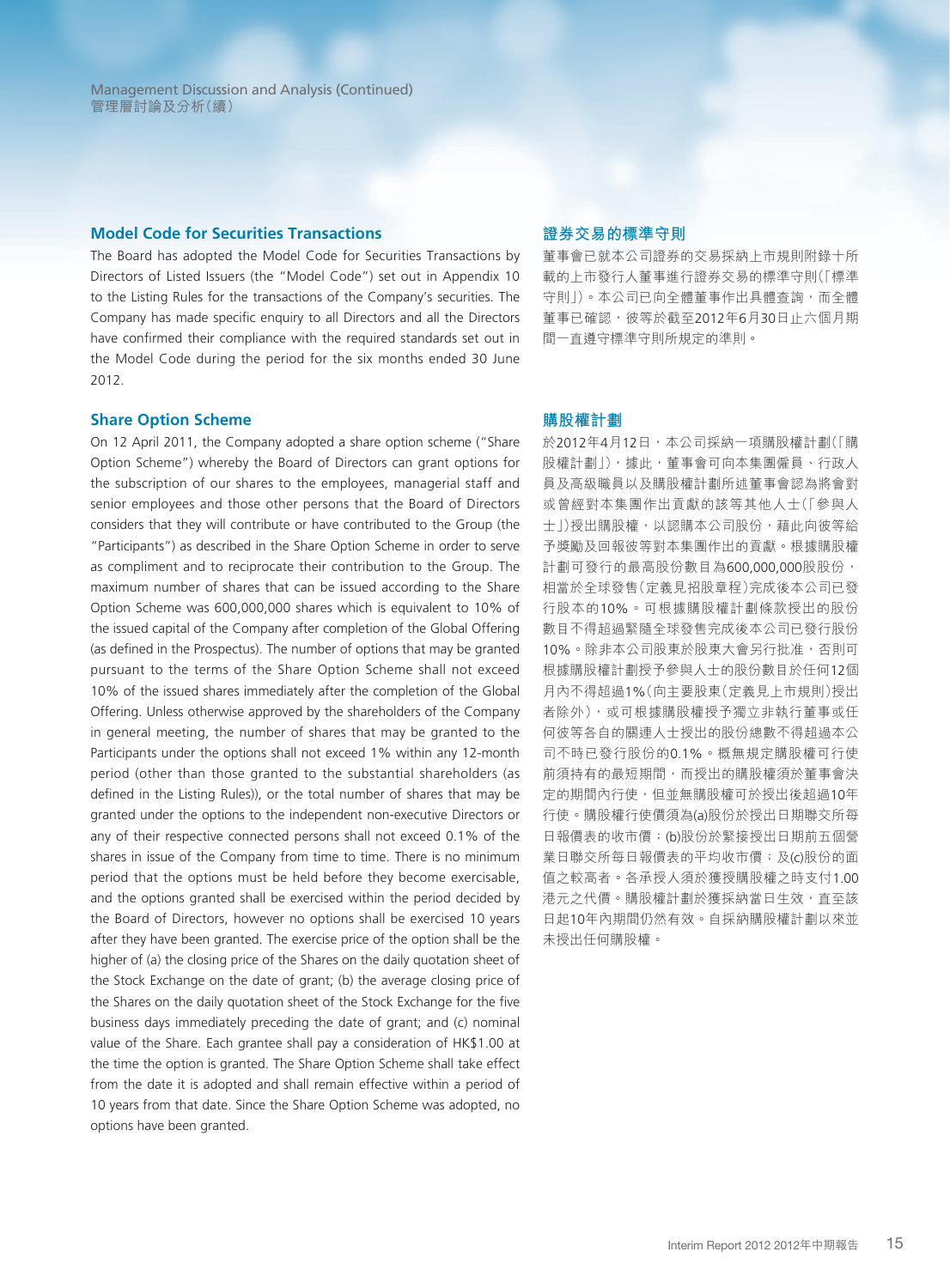Management Discussion and Analysis (Continued) 管理層討論及分析(續)

#### **Model Code for Securities Transactions**

The Board has adopted the Model Code for Securities Transactions by Directors of Listed Issuers (the "Model Code") set out in Appendix 10 to the Listing Rules for the transactions of the Company's securities. The Company has made specific enquiry to all Directors and all the Directors have confirmed their compliance with the required standards set out in the Model Code during the period for the six months ended 30 June 2012.

#### **Share Option Scheme**

On 12 April 2011, the Company adopted a share option scheme ("Share Option Scheme") whereby the Board of Directors can grant options for the subscription of our shares to the employees, managerial staff and senior employees and those other persons that the Board of Directors considers that they will contribute or have contributed to the Group (the "Participants") as described in the Share Option Scheme in order to serve as compliment and to reciprocate their contribution to the Group. The maximum number of shares that can be issued according to the Share Option Scheme was 600,000,000 shares which is equivalent to 10% of the issued capital of the Company after completion of the Global Offering (as defined in the Prospectus). The number of options that may be granted pursuant to the terms of the Share Option Scheme shall not exceed 10% of the issued shares immediately after the completion of the Global Offering. Unless otherwise approved by the shareholders of the Company in general meeting, the number of shares that may be granted to the Participants under the options shall not exceed 1% within any 12-month period (other than those granted to the substantial shareholders (as defined in the Listing Rules)), or the total number of shares that may be granted under the options to the independent non-executive Directors or any of their respective connected persons shall not exceed 0.1% of the shares in issue of the Company from time to time. There is no minimum period that the options must be held before they become exercisable, and the options granted shall be exercised within the period decided by the Board of Directors, however no options shall be exercised 10 years after they have been granted. The exercise price of the option shall be the higher of (a) the closing price of the Shares on the daily quotation sheet of the Stock Exchange on the date of grant; (b) the average closing price of the Shares on the daily quotation sheet of the Stock Exchange for the five business days immediately preceding the date of grant; and (c) nominal value of the Share. Each grantee shall pay a consideration of HK\$1.00 at the time the option is granted. The Share Option Scheme shall take effect from the date it is adopted and shall remain effective within a period of 10 years from that date. Since the Share Option Scheme was adopted, no options have been granted.

#### **證券交易的標準守則**

董事會已就本公司證券的交易採納上市規則附錄十所 載的上市發行人董事進行證券交易的標準守則(「標準 守則」)。本公司已向全體董事作出具體查詢,而全體 董事已確認,彼等於截至2012年6月30日止六個月期 間一直遵守標準守則所規定的準則。

#### **購股權計劃**

於2012年4月12日,本公司採納一項購股權計劃(「購 股權計劃」),據此,董事會可向本集團僱員、行政人 員及高級職員以及購股權計劃所述董事會認為將會對 或曾經對本集團作出貢獻的該等其他人士(「參與人 士」)授出購股權,以認購本公司股份,藉此向彼等給 予獎勵及回報彼等對本集團作出的貢獻。根據購股權 計劃可發行的最高股份數目為600,000,000股股份, 相當於全球發售(定義見招股章程)完成後本公司已發 行股本的10%。可根據購股權計劃條款授出的股份 數目不得超過緊隨全球發售完成後本公司已發行股份 10%。除非本公司股東於股東大會另行批准,否則可 根據購股權計劃授予參與人士的股份數目於任何12個 月內不得超過1%(向主要股東(定義見上市規則)授出 者除外),或可根據購股權授予獨立非執行董事或任 何彼等各自的關連人士授出的股份總數不得超過本公 司不時已發行股份的0.1%。概無規定購股權可行使 前須持有的最短期間,而授出的購股權須於董事會決 定的期間內行使,但並無購股權可於授出後超過10年 行使。購股權行使價須為(a)股份於授出日期聯交所每 日報價表的收市價;(b)股份於緊接授出日期前五個營 業日聯交所每日報價表的平均收市價;及(c)股份的面 值之較高者。各承授人須於獲授購股權之時支付1.00 港元之代價。購股權計劃於獲採納當日生效,直至該 日起10年內期間仍然有效。自採納購股權計劃以來並 未授出任何購股權。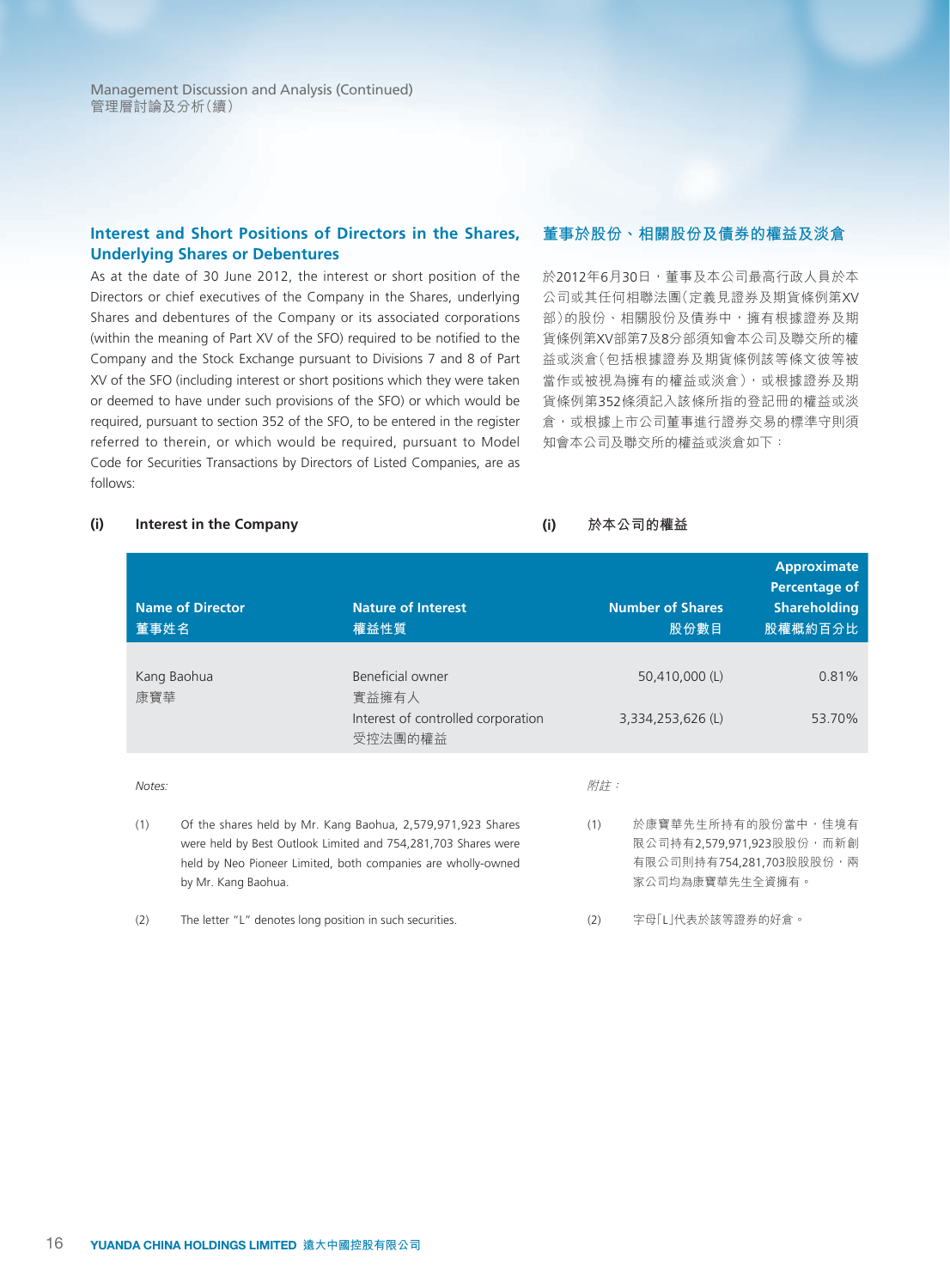Management Discussion and Analysis (Continued) 管理層討論及分析(續)

# **Interest and Short Positions of Directors in the Shares, Underlying Shares or Debentures**

As at the date of 30 June 2012, the interest or short position of the Directors or chief executives of the Company in the Shares, underlying Shares and debentures of the Company or its associated corporations (within the meaning of Part XV of the SFO) required to be notified to the Company and the Stock Exchange pursuant to Divisions 7 and 8 of Part XV of the SFO (including interest or short positions which they were taken or deemed to have under such provisions of the SFO) or which would be required, pursuant to section 352 of the SFO, to be entered in the register referred to therein, or which would be required, pursuant to Model Code for Securities Transactions by Directors of Listed Companies, are as follows:

#### **董事於股份、相關股份及債券的權益及淡倉**

於2012年6月30日,董事及本公司最高行政人員於本 公司或其任何相聯法團(定義見證券及期貨條例第XV 部)的股份、相關股份及債券中,擁有根據證券及期 貨條例第XV部第7及8分部須知會本公司及聯交所的權 益或淡倉(包括根據證券及期貨條例該等條文彼等被 當作或被視為擁有的權益或淡倉),或根據證券及期 貨條例第352條須記入該條所指的登記冊的權益或淡 倉,或根據上市公司董事進行證券交易的標準守則須 知會本公司及聯交所的權益或淡倉如下:

#### **(i) Interest in the Company**

**(i) 於本公司的權益**

| 董事姓名          | <b>Name of Director</b>                                  | <b>Nature of Interest</b><br>權益性質                                                                                                                                                            |            | <b>Number of Shares</b><br>股份數目                                                                | Approximate<br>Percentage of<br><b>Shareholding</b><br>股權概約百分比 |
|---------------|----------------------------------------------------------|----------------------------------------------------------------------------------------------------------------------------------------------------------------------------------------------|------------|------------------------------------------------------------------------------------------------|----------------------------------------------------------------|
| 康寶華           | Kang Baohua                                              | Beneficial owner<br>實益擁有人<br>Interest of controlled corporation<br>受控法團的權益                                                                                                                   |            | 50,410,000 (L)<br>3,334,253,626 (L)                                                            | 0.81%<br>53.70%                                                |
| Notes:<br>(1) | by Mr. Kang Baohua.                                      | Of the shares held by Mr. Kang Baohua, 2,579,971,923 Shares<br>were held by Best Outlook Limited and 754,281,703 Shares were<br>held by Neo Pioneer Limited, both companies are wholly-owned | 附註:<br>(1) | 於康寶華先生所持有的股份當中,佳境有<br>限公司持有2,579,971,923股股份,而新創<br>有限公司則持有754,281,703股股股份,兩<br>家公司均為康寶華先生全資擁有。 |                                                                |
| (2)           | The letter "L" denotes long position in such securities. |                                                                                                                                                                                              | (2)        | 字母「LI代表於該等證券的好倉。                                                                               |                                                                |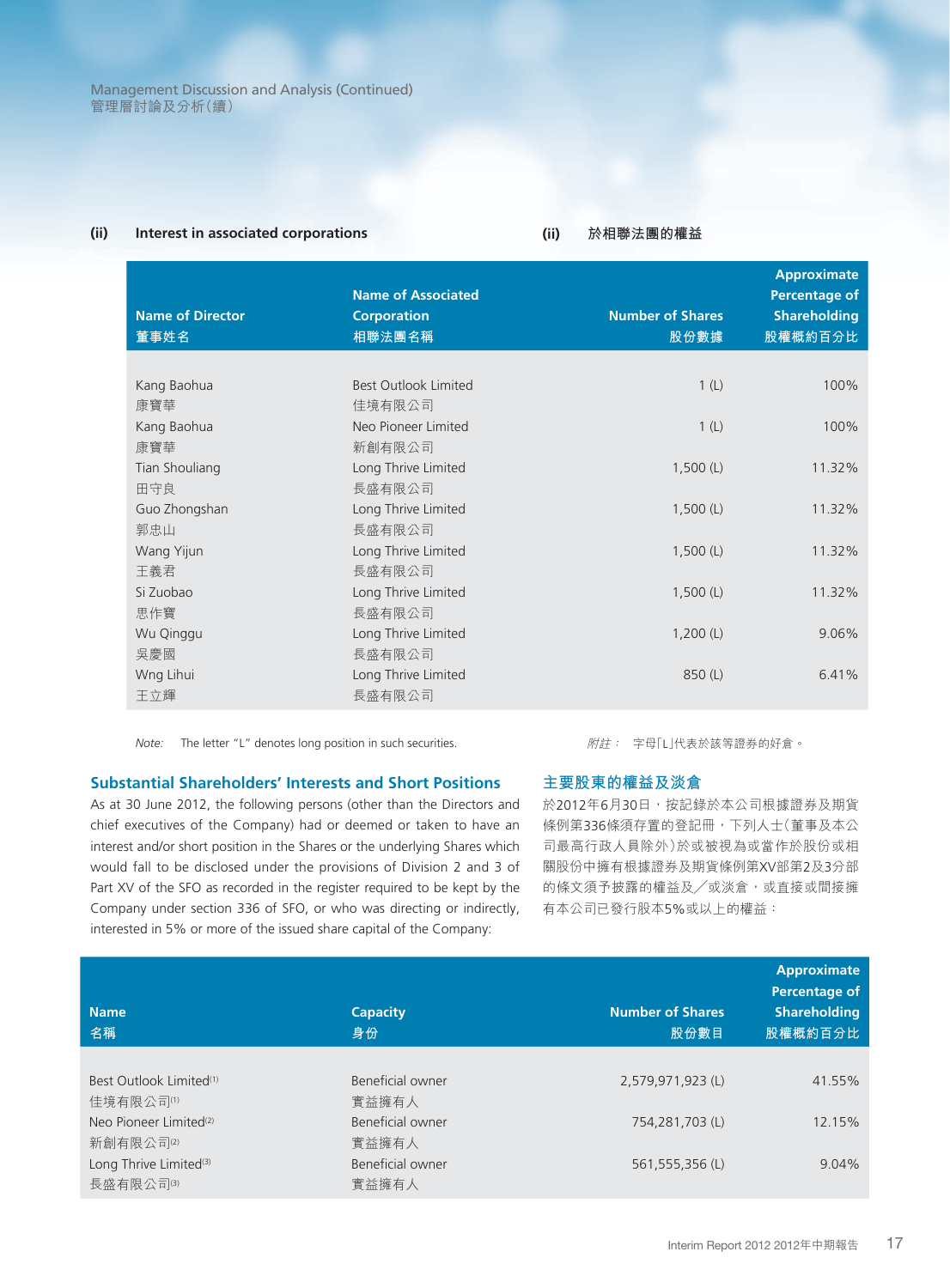#### **(ii) Interest in associated corporations**

**(ii) 於相聯法團的權益**

| <b>Name of Director</b><br>董事姓名 | <b>Name of Associated</b><br><b>Corporation</b><br>相聯法團名稱 | <b>Number of Shares</b><br>股份數據 | <b>Approximate</b><br><b>Percentage of</b><br><b>Shareholding</b><br>股權概約百分比 |
|---------------------------------|-----------------------------------------------------------|---------------------------------|------------------------------------------------------------------------------|
|                                 |                                                           |                                 |                                                                              |
| Kang Baohua                     | <b>Best Outlook Limited</b>                               | 1(L)                            | 100%                                                                         |
| 康寶華                             | 佳境有限公司                                                    |                                 |                                                                              |
| Kang Baohua                     | Neo Pioneer Limited                                       | 1(L)                            | 100%                                                                         |
| 康寶華                             | 新創有限公司                                                    |                                 |                                                                              |
| Tian Shouliang                  | Long Thrive Limited                                       | 1,500(L)                        | 11.32%                                                                       |
| 田守良                             | 長盛有限公司                                                    |                                 |                                                                              |
| Guo Zhongshan                   | Long Thrive Limited                                       | 1,500(L)                        | 11.32%                                                                       |
| 郭忠山                             | 長盛有限公司                                                    |                                 |                                                                              |
| Wang Yijun                      | Long Thrive Limited                                       | 1,500(L)                        | 11.32%                                                                       |
| 王義君                             | 長盛有限公司                                                    |                                 |                                                                              |
| Si Zuobao                       | Long Thrive Limited                                       | 1,500(L)                        | 11.32%                                                                       |
| 思作寶                             | 長盛有限公司                                                    |                                 |                                                                              |
| Wu Qinggu                       | Long Thrive Limited                                       | 1,200(L)                        | 9.06%                                                                        |
| 吳慶國                             | 長盛有限公司                                                    |                                 |                                                                              |
| Wng Lihui                       | Long Thrive Limited                                       | 850 (L)                         | 6.41%                                                                        |
| 王立輝                             | 長盛有限公司                                                    |                                 |                                                                              |

*Note:* The letter "L" denotes long position in such securities.

#### **Substantial Shareholders' Interests and Short Positions**

As at 30 June 2012, the following persons (other than the Directors and chief executives of the Company) had or deemed or taken to have an interest and/or short position in the Shares or the underlying Shares which would fall to be disclosed under the provisions of Division 2 and 3 of Part XV of the SFO as recorded in the register required to be kept by the Company under section 336 of SFO, or who was directing or indirectly, interested in 5% or more of the issued share capital of the Company:

附註: 字母「L」代表於該等證券的好倉。

### **主要股東的權益及淡倉**

於2012年6月30日,按記錄於本公司根據證券及期貨 條例第336條須存置的登記冊,下列人士(董事及本公 司最高行政人員除外)於或被視為或當作於股份或相 關股份中擁有根據證券及期貨條例第XV部第2及3分部 的條文須予披露的權益及/或淡倉,或直接或間接擁 有本公司已發行股本5%或以上的權益:

| <b>Name</b><br>名稱                   | <b>Capacity</b><br>身份 | <b>Number of Shares</b><br>股份數目 | <b>Approximate</b><br>Percentage of<br><b>Shareholding</b><br>股權概約百分比 |
|-------------------------------------|-----------------------|---------------------------------|-----------------------------------------------------------------------|
|                                     |                       |                                 |                                                                       |
| Best Outlook Limited <sup>(1)</sup> | Beneficial owner      | 2,579,971,923 (L)               | 41.55%                                                                |
| 佳境有限公司(1)                           | 實益擁有人                 |                                 |                                                                       |
| Neo Pioneer Limited <sup>(2)</sup>  | Beneficial owner      | 754,281,703 (L)                 | 12.15%                                                                |
| 新創有限公司(2)                           | 實益擁有人                 |                                 |                                                                       |
| Long Thrive Limited <sup>(3)</sup>  | Beneficial owner      | 561,555,356 (L)                 | 9.04%                                                                 |
| 長盛有限公司(3)                           | 實益擁有人                 |                                 |                                                                       |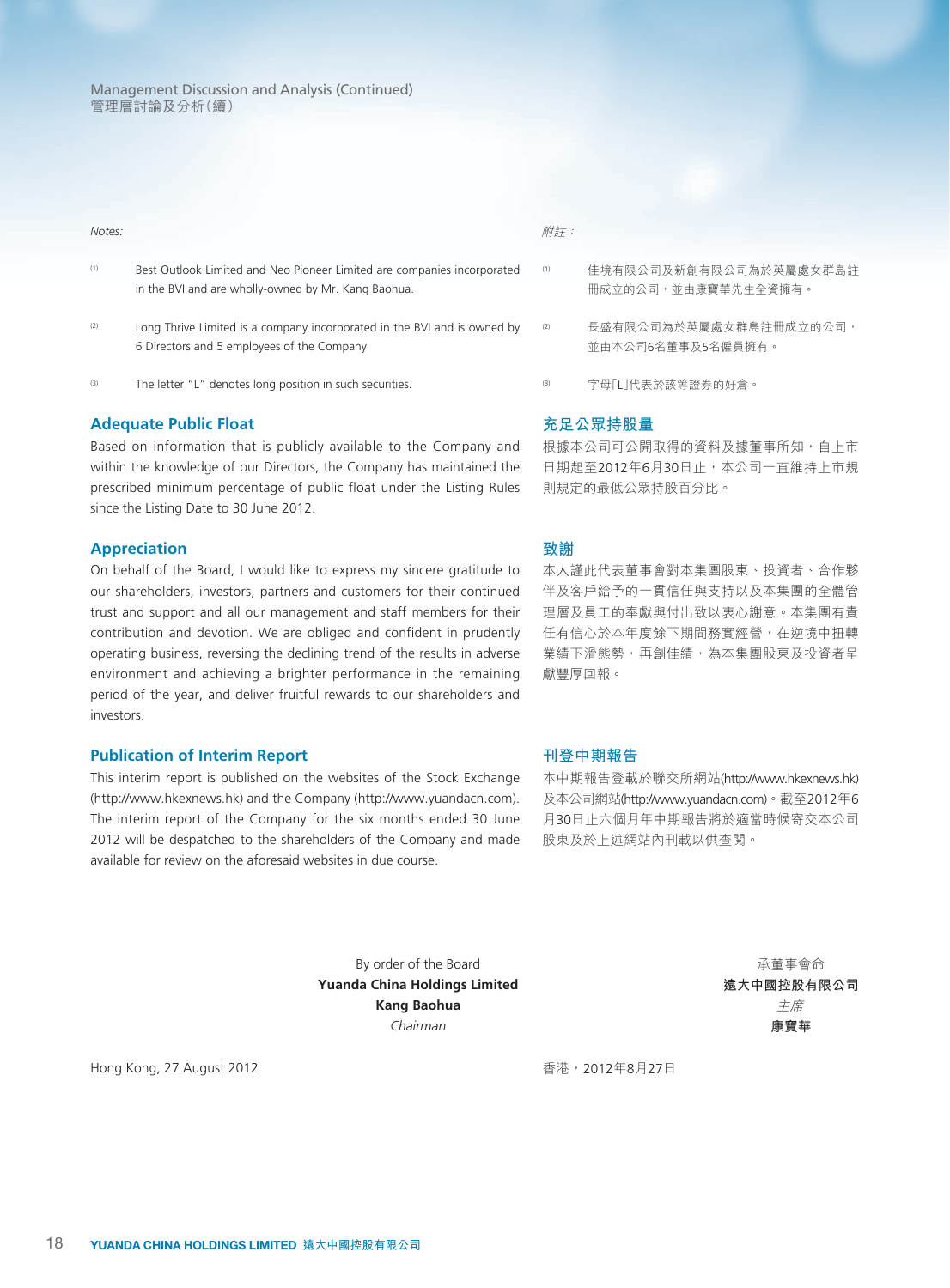| O<br>Т |
|--------|
|--------|

- (1) Best Outlook Limited and Neo Pioneer Limited are companies incorporated in the BVI and are wholly-owned by Mr. Kang Baohua.
- $(2)$  Long Thrive Limited is a company incorporated in the BVI and is owned by 6 Directors and 5 employees of the Company
- (3) The letter "L" denotes long position in such securities.

#### **Adequate Public Float**

Based on information that is publicly available to the Company and within the knowledge of our Directors, the Company has maintained the prescribed minimum percentage of public float under the Listing Rules since the Listing Date to 30 June 2012.

#### **Appreciation**

On behalf of the Board, I would like to express my sincere gratitude to our shareholders, investors, partners and customers for their continued trust and support and all our management and staff members for their contribution and devotion. We are obliged and confident in prudently operating business, reversing the declining trend of the results in adverse environment and achieving a brighter performance in the remaining period of the year, and deliver fruitful rewards to our shareholders and investors.

#### **Publication of Interim Report**

This interim report is published on the websites of the Stock Exchange (http://www.hkexnews.hk) and the Company (http://www.yuandacn.com). The interim report of the Company for the six months ended 30 June 2012 will be despatched to the shareholders of the Company and made available for review on the aforesaid websites in due course.

#### 附註:

- (1) 佳境有限公司及新創有限公司為於英屬處女群島註 冊成立的公司,並由康寶華先生全資擁有。
- (2) 長盛有限公司為於英屬處女群島註冊成立的公司, 並由本公司6名董事及5名僱員擁有。
- (3) 字母「L」代表於該等證券的好倉。

#### **充足公眾持股量**

根據本公司可公開取得的資料及據董事所知,自上市 日期起至2012年6月30日止,本公司一直維持上市規 則規定的最低公眾持股百分比。

#### **致謝**

本人謹此代表董事會對本集團股東、投資者、合作夥 伴及客戶給予的一貫信任與支持以及本集團的全體管 理層及員工的奉獻與付出致以衷心謝意。本集團有責 任有信心於本年度餘下期間務實經營,在逆境中扭轉 業績下滑態勢,再創佳績,為本集團股東及投資者呈 獻豐厚回報。

#### **刊登中期報告**

本中期報告登載於聯交所網站(http://www.hkexnews.hk) 及本公司網站(http://www.yuandacn.com)。截至2012年6 月30日止六個月年中期報告將於適當時候寄交本公司 股東及於上述網站內刊載以供查閱。

By order of the Board **Yuanda China Holdings Limited Kang Baohua** *Chairman*

承董事會命 **遠大中國控股有限公司** 主席 **康寶華**

Hong Kong, 27 August 2012

香港,2012年8月27日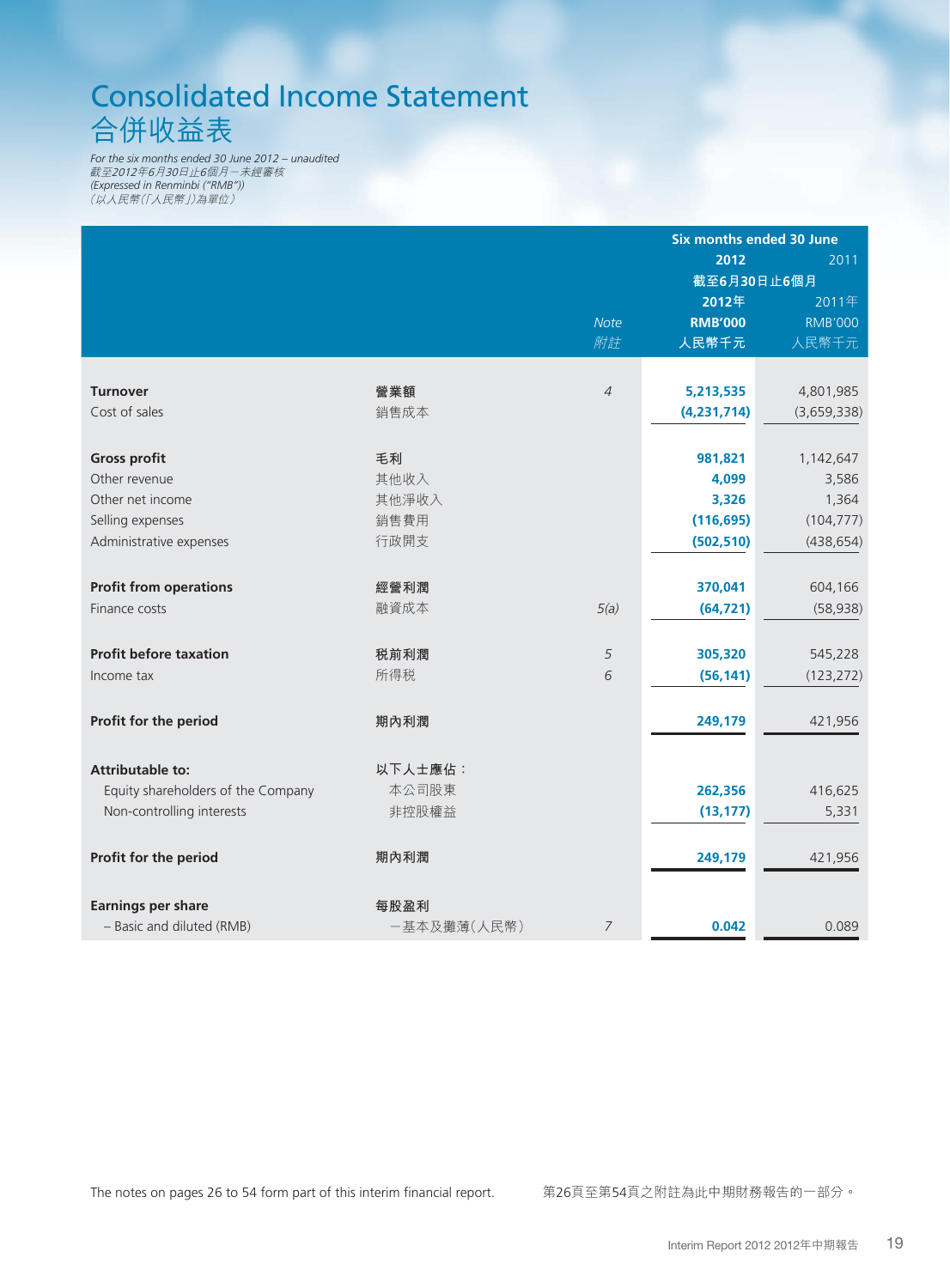# Consolidated Income Statement 合併收益表

*For the six months ended 30 June 2012 – unaudited* 截至2012年6月30日止6個月-未經審核 *(Expressed in Renminbi ("RMB"))* (以人民幣(「人民幣」)為單位)

|                                    |             |                | <b>Six months ended 30 June</b> |                |
|------------------------------------|-------------|----------------|---------------------------------|----------------|
|                                    |             |                | 2012                            | 2011           |
|                                    |             |                | 截至6月30日止6個月                     |                |
|                                    |             |                | 2012年                           | 2011年          |
|                                    |             | <b>Note</b>    | <b>RMB'000</b>                  | <b>RMB'000</b> |
|                                    |             | 附註             | 人民幣千元                           | 人民幣千元          |
|                                    |             |                |                                 |                |
| <b>Turnover</b>                    | 營業額         | $\overline{4}$ | 5,213,535                       | 4,801,985      |
| Cost of sales                      | 銷售成本        |                | (4,231,714)                     | (3,659,338)    |
|                                    |             |                |                                 |                |
| <b>Gross profit</b>                | 毛利          |                | 981,821                         | 1,142,647      |
| Other revenue                      | 其他收入        |                | 4,099                           | 3,586          |
| Other net income                   | 其他淨收入       |                | 3,326                           | 1,364          |
| Selling expenses                   | 銷售費用        |                | (116, 695)                      | (104, 777)     |
| Administrative expenses            | 行政開支        |                | (502, 510)                      | (438, 654)     |
|                                    |             |                |                                 |                |
| <b>Profit from operations</b>      | 經營利潤        |                | 370,041                         | 604,166        |
| Finance costs                      | 融資成本        | 5(a)           | (64, 721)                       | (58, 938)      |
|                                    |             |                |                                 |                |
| <b>Profit before taxation</b>      | 税前利潤        | 5              | 305,320                         | 545,228        |
| Income tax                         | 所得税         | 6              | (56, 141)                       | (123, 272)     |
|                                    |             |                |                                 |                |
| Profit for the period              | 期內利潤        |                | 249,179                         | 421,956        |
|                                    |             |                |                                 |                |
| <b>Attributable to:</b>            | 以下人士應佔:     |                |                                 |                |
| Equity shareholders of the Company | 本公司股東       |                | 262,356                         | 416,625        |
| Non-controlling interests          | 非控股權益       |                | (13, 177)                       | 5,331          |
|                                    |             |                |                                 |                |
| Profit for the period              | 期內利潤        |                | 249,179                         | 421,956        |
|                                    |             |                |                                 |                |
| <b>Earnings per share</b>          | 每股盈利        |                |                                 |                |
| - Basic and diluted (RMB)          | -基本及攤薄(人民幣) | 7              | 0.042                           | 0.089          |
|                                    |             |                |                                 |                |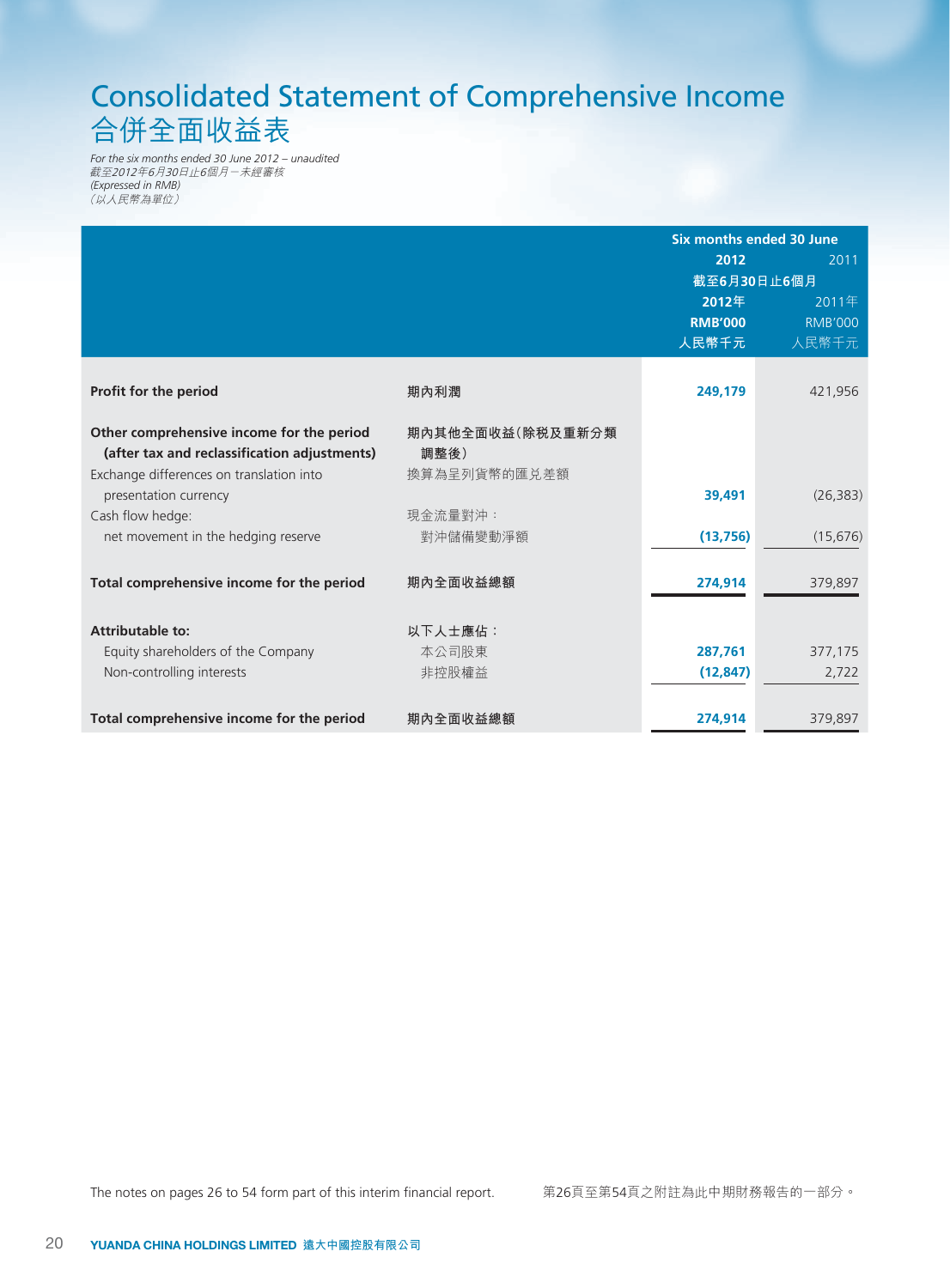# Consolidated Statement of Comprehensive Income 合併全面收益表

*For the six months ended 30 June 2012 – unaudited* 截至2012年6月30日止6個月-未經審核 *(Expressed in RMB)* (以人民幣為單位)

|                                              |                  | Six months ended 30 June |                |
|----------------------------------------------|------------------|--------------------------|----------------|
|                                              |                  | 2012                     | 2011           |
|                                              |                  |                          | 截至6月30日止6個月    |
|                                              |                  | 2012年                    | 2011年          |
|                                              |                  | <b>RMB'000</b>           | <b>RMB'000</b> |
|                                              |                  | 人民幣千元                    | 人民幣千元          |
|                                              |                  |                          |                |
| Profit for the period                        | 期內利潤             | 249,179                  | 421,956        |
| Other comprehensive income for the period    | 期內其他全面收益(除税及重新分類 |                          |                |
| (after tax and reclassification adjustments) | 調整後)             |                          |                |
| Exchange differences on translation into     | 換算為呈列貨幣的匯兑差額     |                          |                |
| presentation currency                        |                  | 39,491                   | (26, 383)      |
| Cash flow hedge:                             | 現金流量對沖:          |                          |                |
| net movement in the hedging reserve          | 對沖儲備變動淨額         | (13, 756)                | (15, 676)      |
| Total comprehensive income for the period    | 期內全面收益總額         | 274,914                  | 379,897        |
|                                              |                  |                          |                |
| <b>Attributable to:</b>                      | 以下人士應佔:          |                          |                |
| Equity shareholders of the Company           | 本公司股東            | 287,761                  | 377,175        |
| Non-controlling interests                    | 非控股權益            | (12, 847)                | 2,722          |
|                                              |                  |                          |                |
| Total comprehensive income for the period    | 期內全面收益總額         | 274,914                  | 379,897        |

# The notes on pages 26 to 54 form part of this interim financial report. 第26頁至第54頁之附註為此中期財務報告的一部分。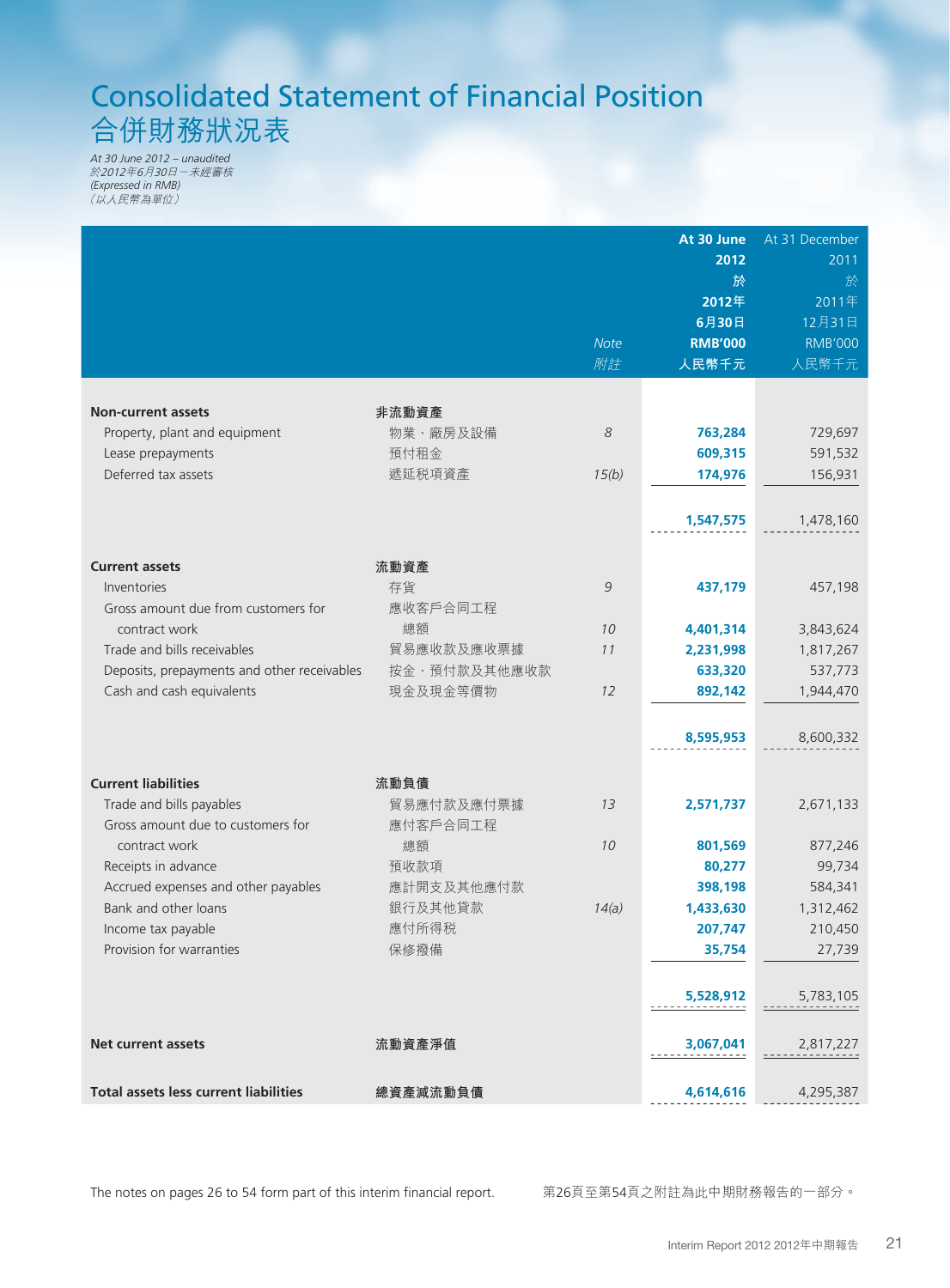# Consolidated Statement of Financial Position 合併財務狀況表

*At 30 June 2012 – unaudited* 於2012年6月30日-未經審核 *(Expressed in RMB)* (以人民幣為單位)

|                                              |              |             | At 30 June     | At 31 December |
|----------------------------------------------|--------------|-------------|----------------|----------------|
|                                              |              |             | 2012           | 2011           |
|                                              |              |             | 於              | 於              |
|                                              |              |             | 2012年          | 2011年          |
|                                              |              |             | 6月30日          | 12月31日         |
|                                              |              | <b>Note</b> | <b>RMB'000</b> | <b>RMB'000</b> |
|                                              |              | 附註          | 人民幣千元          | 人民幣千元          |
|                                              |              |             |                |                |
| <b>Non-current assets</b>                    | 非流動資產        |             |                |                |
| Property, plant and equipment                | 物業、廠房及設備     | 8           | 763,284        | 729,697        |
| Lease prepayments                            | 預付租金         |             | 609,315        | 591,532        |
| Deferred tax assets                          | 遞延税項資產       | 15(b)       | 174,976        | 156,931        |
|                                              |              |             |                |                |
|                                              |              |             | 1,547,575      | 1,478,160      |
|                                              |              |             |                |                |
| <b>Current assets</b>                        | 流動資產         |             |                |                |
| Inventories                                  | 存貨           | 9           | 437,179        | 457,198        |
| Gross amount due from customers for          | 應收客戶合同工程     |             |                |                |
| contract work                                | 總額           | 10          | 4,401,314      | 3,843,624      |
| Trade and bills receivables                  | 貿易應收款及應收票據   | 11          | 2,231,998      | 1,817,267      |
| Deposits, prepayments and other receivables  | 按金、預付款及其他應收款 |             | 633,320        | 537,773        |
| Cash and cash equivalents                    | 現金及現金等價物     | 12          | 892,142        | 1,944,470      |
|                                              |              |             |                |                |
|                                              |              |             | 8,595,953      | 8,600,332      |
|                                              |              |             |                |                |
| <b>Current liabilities</b>                   | 流動負債         |             |                |                |
| Trade and bills payables                     | 貿易應付款及應付票據   | 13          | 2,571,737      | 2,671,133      |
| Gross amount due to customers for            | 應付客戶合同工程     |             |                |                |
| contract work                                | 總額           | 10          | 801,569        | 877,246        |
| Receipts in advance                          | 預收款項         |             | 80,277         | 99,734         |
| Accrued expenses and other payables          | 應計開支及其他應付款   |             | 398,198        | 584,341        |
| Bank and other loans                         | 銀行及其他貸款      | 14(a)       | 1,433,630      | 1,312,462      |
| Income tax payable                           | 應付所得税        |             | 207,747        | 210,450        |
| Provision for warranties                     | 保修撥備         |             | 35,754         | 27,739         |
|                                              |              |             |                |                |
|                                              |              |             | 5,528,912      | 5,783,105      |
|                                              |              |             |                |                |
| Net current assets                           | 流動資產淨值       |             | 3,067,041      | 2,817,227      |
|                                              |              |             |                |                |
| <b>Total assets less current liabilities</b> | 總資產減流動負債     |             |                | 4,295,387      |
|                                              |              |             | 4,614,616      |                |

The notes on pages 26 to 54 form part of this interim financial report. 第26頁至第54頁之附註為此中期財務報告的一部分。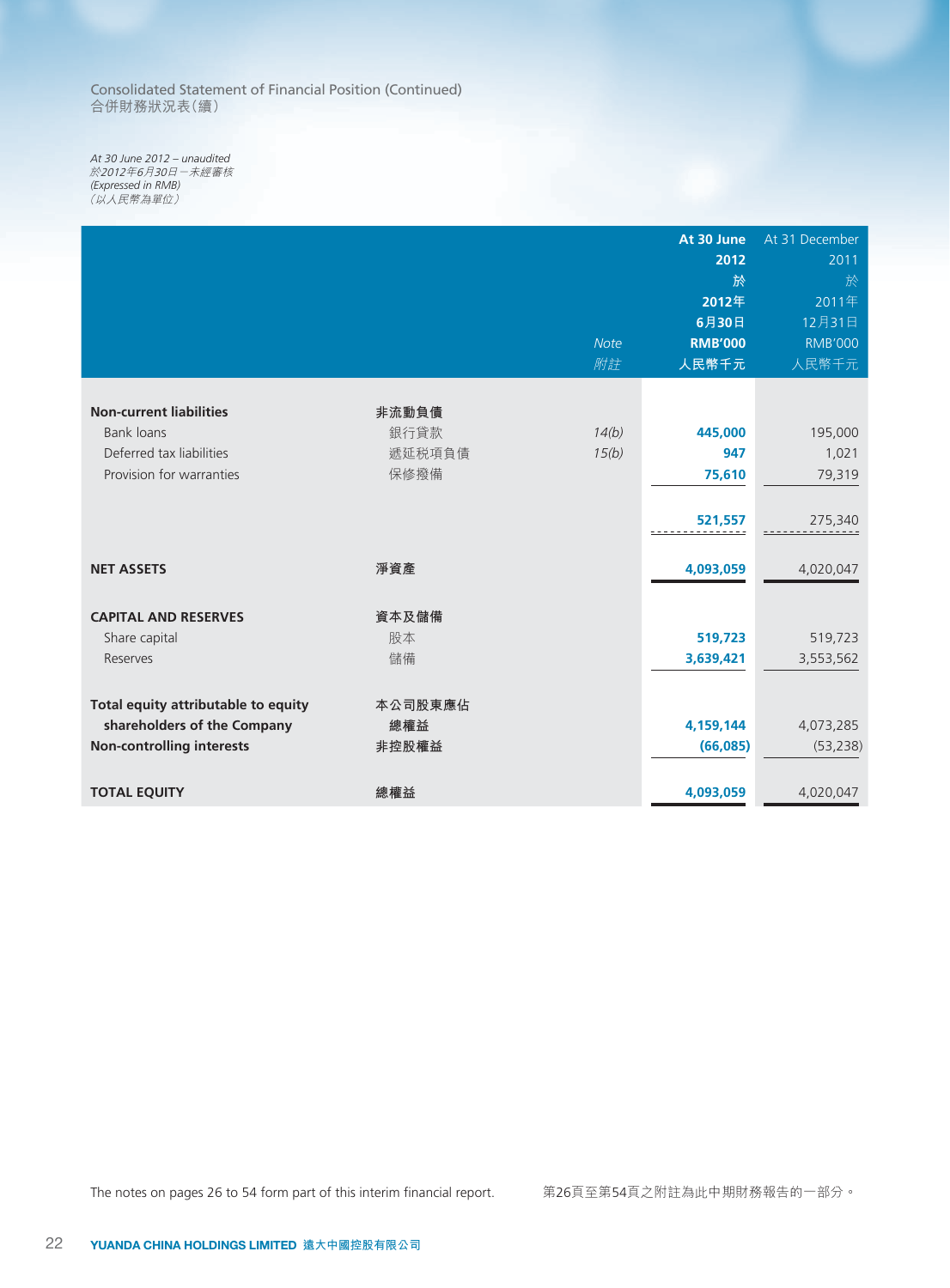Consolidated Statement of Financial Position (Continued) 合併財務狀況表(續)

*At 30 June 2012 – unaudited* 於2012年6月30日-未經審核 *(Expressed in RMB)* (以人民幣為單位)

|                                     |         |             | At 30 June              | At 31 December           |
|-------------------------------------|---------|-------------|-------------------------|--------------------------|
|                                     |         |             | 2012                    | 2011                     |
|                                     |         |             | 於                       | 於                        |
|                                     |         |             | 2012年                   | 2011年                    |
|                                     |         | <b>Note</b> | 6月30日<br><b>RMB'000</b> | 12月31日<br><b>RMB'000</b> |
|                                     |         | 附註          | 人民幣千元                   |                          |
|                                     |         |             |                         | 人民幣千元                    |
| <b>Non-current liabilities</b>      | 非流動負債   |             |                         |                          |
| Bank loans                          | 銀行貸款    | 14(b)       | 445,000                 | 195,000                  |
| Deferred tax liabilities            | 遞延税項負債  | 15(b)       | 947                     | 1,021                    |
| Provision for warranties            | 保修撥備    |             | 75,610                  | 79,319                   |
|                                     |         |             |                         |                          |
|                                     |         |             | 521,557                 | 275,340                  |
|                                     |         |             |                         |                          |
| <b>NET ASSETS</b>                   | 淨資產     |             | 4,093,059               | 4,020,047                |
|                                     |         |             |                         |                          |
| <b>CAPITAL AND RESERVES</b>         | 資本及儲備   |             |                         |                          |
| Share capital                       | 股本      |             | 519,723                 | 519,723                  |
| Reserves                            | 儲備      |             | 3,639,421               | 3,553,562                |
|                                     |         |             |                         |                          |
| Total equity attributable to equity | 本公司股東應佔 |             |                         |                          |
| shareholders of the Company         | 總權益     |             | 4,159,144               | 4,073,285                |
| <b>Non-controlling interests</b>    | 非控股權益   |             | (66,085)                | (53, 238)                |
|                                     |         |             |                         |                          |
| <b>TOTAL EQUITY</b>                 | 總權益     |             | 4,093,059               | 4,020,047                |

The notes on pages 26 to 54 form part of this interim financial report. <br> **WADDED:** 第26頁至第54頁之附註為此中期財務報告的一部分。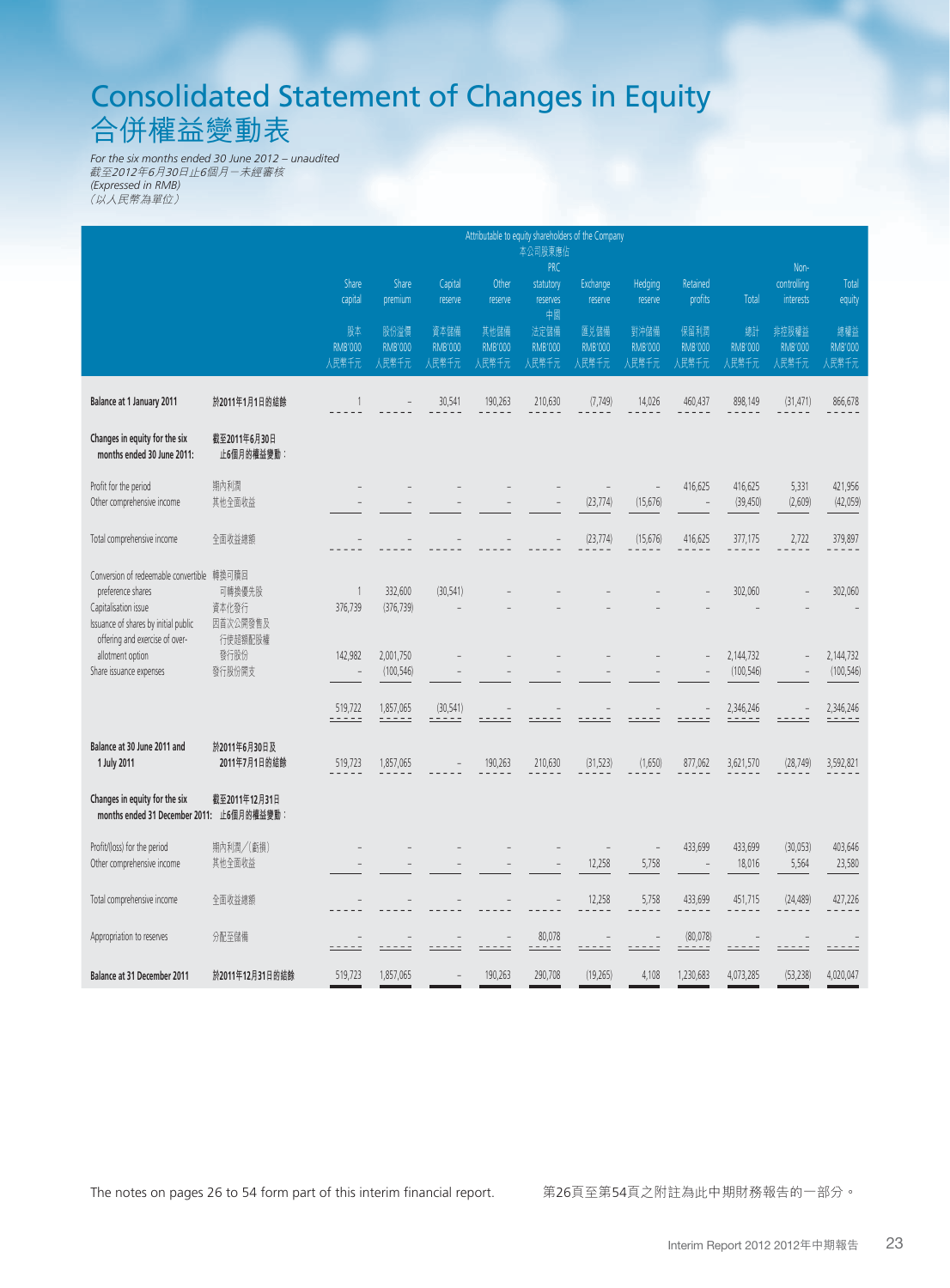# Consolidated Statement of Changes in Equity 合併權益變動表

*For the six months ended 30 June 2012 – unaudited* 截至2012年6月30日止6個月-未經審核 *(Expressed in RMB)* (以人民幣為單位)

|                                                                                                                                 | Attributable to equity shareholders of the Company<br>本公司股東應佔 |                               |                                 |                                 |                                 |                                           |                                 |                                   |                                 |                               |                                  |                                |
|---------------------------------------------------------------------------------------------------------------------------------|---------------------------------------------------------------|-------------------------------|---------------------------------|---------------------------------|---------------------------------|-------------------------------------------|---------------------------------|-----------------------------------|---------------------------------|-------------------------------|----------------------------------|--------------------------------|
|                                                                                                                                 |                                                               | Share<br>capital              | Share<br>premium                | Capital<br>reserve              | Other<br>reserve                | <b>PRC</b><br>statutory<br>reserves<br>中國 | Exchange<br>reserve             | Hedging<br>reserve                | Retained<br>profits             | <b>Total</b>                  | Non-<br>controlling<br>interests | Total<br>equity                |
|                                                                                                                                 |                                                               | 股本<br><b>RMB'000</b><br>人民幣千元 | 股份溢價<br><b>RMB'000</b><br>人民幣千元 | 資本儲備<br><b>RMB'000</b><br>人民幣千元 | 其他儲備<br><b>RMB'000</b><br>人民幣千元 | 法定儲備<br><b>RMB'000</b><br>人民幣千元           | 匯兑儲備<br><b>RMB'000</b><br>人民幣千元 | 對沖儲備<br><b>RMB'000</b><br>人民幣千元   | 保留利潤<br><b>RMB'000</b><br>人民幣千元 | 總計<br><b>RMB'000</b><br>人民幣千元 | 非控股權益<br><b>RMB'000</b><br>人民幣千元 | 總權益<br><b>RMB'000</b><br>人民幣千元 |
| Balance at 1 January 2011                                                                                                       | 於2011年1月1日的結餘                                                 | 1                             |                                 | 30,541                          | 190,263                         | 210,630                                   | (7, 749)                        | 14,026                            | 460,437                         | 898,149                       | (31, 471)                        | 866,678                        |
| Changes in equity for the six<br>months ended 30 June 2011:                                                                     | 截至2011年6月30日<br>止6個月的權益變動:                                    |                               |                                 |                                 |                                 |                                           |                                 |                                   |                                 |                               |                                  |                                |
| Profit for the period<br>Other comprehensive income                                                                             | 期內利潤<br>其他全面收益                                                |                               |                                 |                                 |                                 |                                           | L,<br>(23, 774)                 | $\overline{a}$<br>(15, 676)       | 416,625                         | 416,625<br>(39, 450)          | 5,331<br>(2,609)                 | 421,956<br>(42, 059)           |
| Total comprehensive income                                                                                                      | 全面收益總額                                                        |                               |                                 |                                 |                                 |                                           | (23, 774)                       | (15,676)                          | 416,625                         | 377,175                       | 2,722                            | 379,897                        |
| Conversion of redeemable convertible 轉換可贖回<br>preference shares<br>Capitalisation issue<br>Issuance of shares by initial public | 可轉換優先股<br>資本化發行<br>因首次公開發售及                                   | $\mathbf{1}$<br>376,739       | 332,600<br>(376, 739)           | (30, 541)                       |                                 |                                           |                                 |                                   |                                 | 302,060                       |                                  | 302,060                        |
| offering and exercise of over-<br>allotment option<br>Share issuance expenses                                                   | 行使超額配股權<br>發行股份<br>發行股份開支                                     | 142,982                       | 2,001,750<br>(100, 546)         |                                 |                                 |                                           |                                 |                                   |                                 | 2,144,732<br>(100, 546)       |                                  | 2,144,732<br>(100, 546)        |
|                                                                                                                                 |                                                               | 519,722<br>$- - -$            | 1,857,065<br>- - - - -          | (30, 541)<br>- - - - -          |                                 |                                           |                                 |                                   |                                 | 2,346,246<br>-----            |                                  | 2,346,246<br>- - - - -         |
| Balance at 30 June 2011 and<br>1 July 2011                                                                                      | 於2011年6月30日及<br>2011年7月1日的結餘                                  | 519,723                       | 1,857,065                       |                                 | 190,263                         | 210,630                                   | (31, 523)                       | (1,650)                           | 877,062                         | 3,621,570                     | (28, 749)                        | 3,592,821                      |
| Changes in equity for the six<br>months ended 31 December 2011: 止6個月的權益變動:                                                      | 截至2011年12月31日                                                 |                               |                                 |                                 |                                 |                                           |                                 |                                   |                                 |                               |                                  |                                |
| Profit/(loss) for the period<br>Other comprehensive income                                                                      | 期內利潤/(虧損)<br>其他全面收益                                           |                               |                                 |                                 |                                 |                                           | 12,258                          | $\overline{\phantom{0}}$<br>5,758 | 433,699                         | 433,699<br>18,016             | (30,053)<br>5,564                | 403,646<br>23,580              |
| Total comprehensive income                                                                                                      | 全面收益總額                                                        |                               |                                 |                                 |                                 |                                           | 12,258                          | 5,758                             | 433,699                         | 451,715                       | (24, 489)                        | 427,226                        |
| Appropriation to reserves                                                                                                       | 分配至儲備                                                         |                               |                                 |                                 |                                 | 80,078                                    |                                 |                                   | (80,078)                        |                               |                                  |                                |
| <b>Balance at 31 December 2011</b>                                                                                              | 於2011年12月31日的結餘                                               | 519,723                       | 1,857,065                       |                                 | 190,263                         | 290,708                                   | (19, 265)                       | 4,108                             | 1,230,683                       | 4,073,285                     | (53, 238)                        | 4,020,047                      |

The notes on pages 26 to 54 form part of this interim financial report. <br> **WADDED:** 第26頁至第54頁之附註為此中期財務報告的一部分。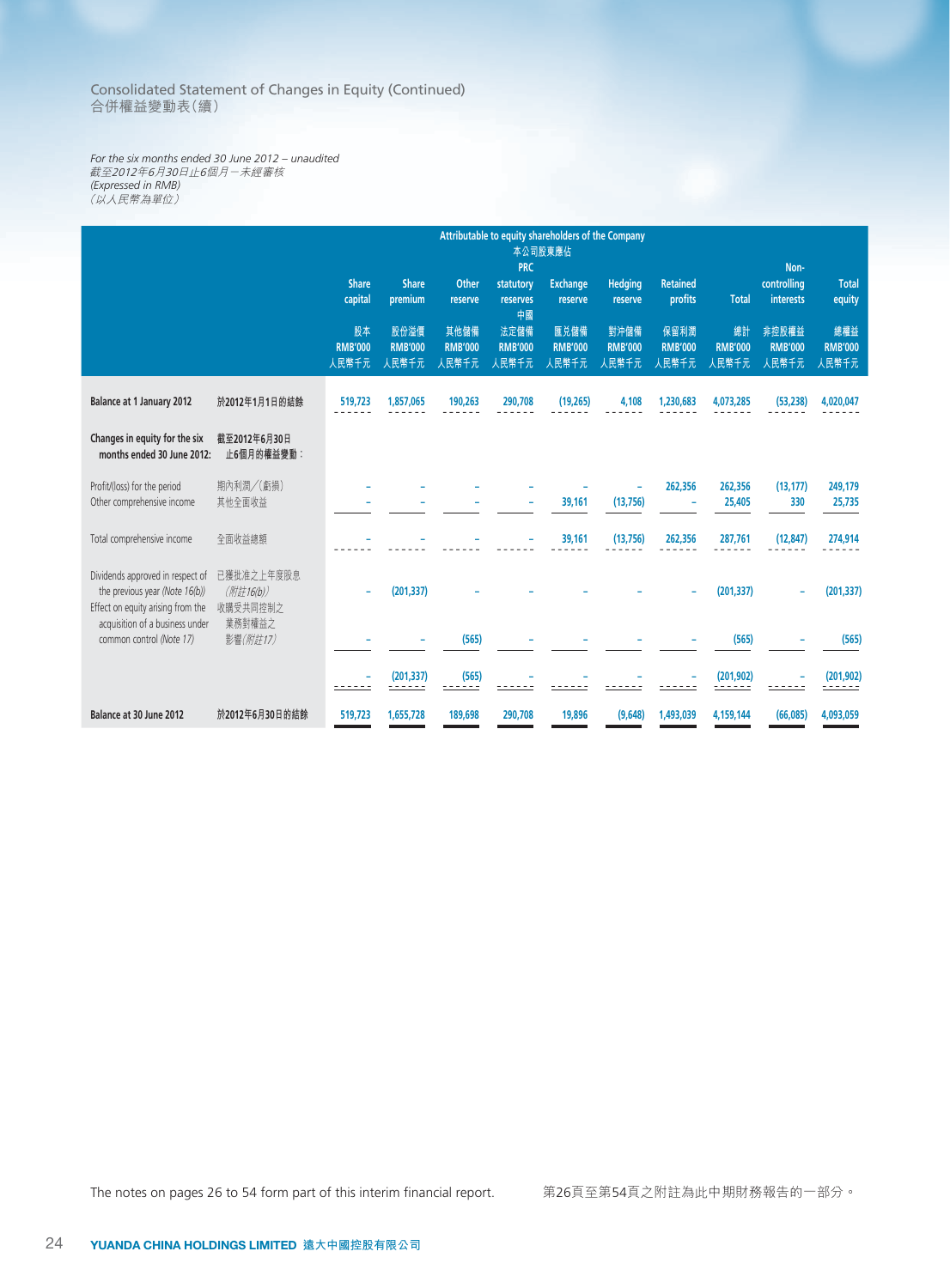Consolidated Statement of Changes in Equity (Continued) 合併權益變動表(續)

*For the six months ended 30 June 2012 – unaudited* 截至2012年6月30日止6個月-未經審核 *(Expressed in RMB)* (以人民幣為單位)

|                                                                                                         |                                     |                               |                                 | Attributable to equity shareholders of the Company<br>本公司股東應佔 |                                       |                                 |                                 |                                 |                               |                                         |                                |  |
|---------------------------------------------------------------------------------------------------------|-------------------------------------|-------------------------------|---------------------------------|---------------------------------------------------------------|---------------------------------------|---------------------------------|---------------------------------|---------------------------------|-------------------------------|-----------------------------------------|--------------------------------|--|
|                                                                                                         |                                     | <b>Share</b><br>capital       | <b>Share</b><br>premium         | Other<br>reserve                                              | <b>PRC</b><br>statutory<br>reserves   | <b>Exchange</b><br>reserve      | <b>Hedging</b><br>reserve       | <b>Retained</b><br>profits      | <b>Total</b>                  | Non-<br>controlling<br><b>interests</b> | <b>Total</b><br>equity         |  |
|                                                                                                         |                                     | 股本<br><b>RMB'000</b><br>人民幣千元 | 股份溢價<br><b>RMB'000</b><br>人民幣千元 | 其他儲備<br><b>RMB'000</b><br>人民幣千元                               | 中國<br>法定儲備<br><b>RMB'000</b><br>人民幣千元 | 匯兑儲備<br><b>RMB'000</b><br>人民幣千元 | 對沖儲備<br><b>RMB'000</b><br>人民幣千元 | 保留利潤<br><b>RMB'000</b><br>人民幣千元 | 總計<br><b>RMB'000</b><br>人民幣千元 | 非控股權益<br><b>RMB'000</b><br>人民幣千元        | 總權益<br><b>RMB'000</b><br>人民幣千元 |  |
| <b>Balance at 1 January 2012</b>                                                                        | 於2012年1月1日的結餘                       | 519,723                       | 1,857,065                       | 190,263                                                       | 290,708                               | (19, 265)                       | 4,108                           | 1,230,683                       | 4,073,285                     | (53, 238)                               | 4,020,047                      |  |
| Changes in equity for the six<br>months ended 30 June 2012:                                             | 截至2012年6月30日<br>止6個月的權益變動:          |                               |                                 |                                                               |                                       |                                 |                                 |                                 |                               |                                         |                                |  |
| Profit/(loss) for the period<br>Other comprehensive income                                              | 期內利潤/(虧損)<br>其他全面收益                 |                               |                                 |                                                               |                                       | 39,161                          | (13, 756)                       | 262,356<br>۰                    | 262,356<br>25,405             | (13, 177)<br>330                        | 249,179<br>25,735              |  |
| Total comprehensive income                                                                              | 全面收益總額                              |                               |                                 |                                                               |                                       | 39,161                          | (13, 756)                       | 262,356                         | 287,761                       | (12, 847)                               | 274,914                        |  |
| Dividends approved in respect of<br>the previous year (Note 16(b))<br>Effect on equity arising from the | 已獲批准之上年度股息<br>(附註16(b))<br>收購受共同控制之 |                               | (201, 337)                      |                                                               |                                       |                                 |                                 |                                 | (201, 337)                    |                                         | (201, 337)                     |  |
| acquisition of a business under<br>common control (Note 17)                                             | 業務對權益之<br>影響(附註17)                  |                               |                                 | (565)                                                         |                                       |                                 |                                 |                                 | (565)                         |                                         | (565)                          |  |
|                                                                                                         |                                     |                               | (201, 337)                      | (565)                                                         |                                       |                                 |                                 |                                 | (201, 902)                    |                                         | (201, 902)<br>$- - - -$        |  |
| Balance at 30 June 2012                                                                                 | 於2012年6月30日的結餘                      | 519,723                       | 1,655,728                       | 189,698                                                       | 290,708                               | 19,896                          | (9,648)                         | 1,493,039                       | 4,159,144                     | (66,085)                                | 4,093,059                      |  |

The notes on pages 26 to 54 form part of this interim financial report. <br> **WADDED:** 第26頁至第54頁之附註為此中期財務報告的一部分。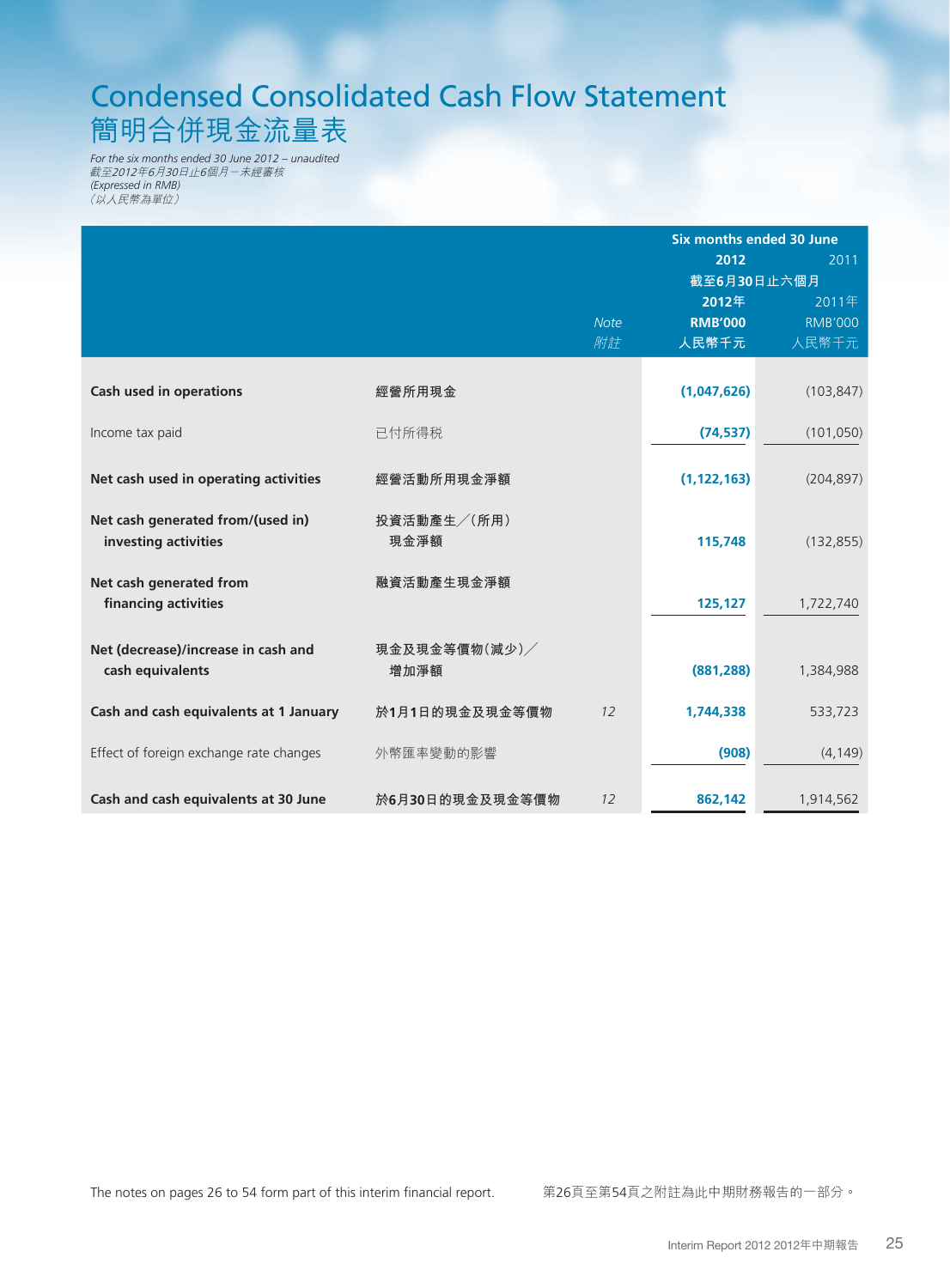# Condensed Consolidated Cash Flow Statement 簡明合併現金流量表

*For the six months ended 30 June 2012 – unaudited* 截至2012年6月30日止6個月-未經審核 *(Expressed in RMB)* (以人民幣為單位)

|                                         |                 |             | Six months ended 30 June |                |  |
|-----------------------------------------|-----------------|-------------|--------------------------|----------------|--|
|                                         |                 |             | 2012                     | 2011           |  |
|                                         |                 |             | 截至6月30日止六個月              |                |  |
|                                         |                 |             | 2012年                    | 2011年          |  |
|                                         |                 | <b>Note</b> | <b>RMB'000</b>           | <b>RMB'000</b> |  |
|                                         |                 | 附註          | 人民幣千元                    | 人民幣千元          |  |
|                                         |                 |             |                          |                |  |
| <b>Cash used in operations</b>          | 經營所用現金          |             | (1,047,626)              | (103, 847)     |  |
|                                         |                 |             |                          |                |  |
| Income tax paid                         | 已付所得税           |             | (74, 537)                | (101, 050)     |  |
|                                         |                 |             |                          |                |  |
| Net cash used in operating activities   | 經營活動所用現金淨額      |             | (1, 122, 163)            | (204, 897)     |  |
|                                         |                 |             |                          |                |  |
| Net cash generated from/(used in)       | 投資活動產生/(所用)     |             |                          |                |  |
| investing activities                    | 現金淨額            |             | 115,748                  | (132, 855)     |  |
|                                         |                 |             |                          |                |  |
| Net cash generated from                 | 融資活動產生現金淨額      |             |                          |                |  |
| financing activities                    |                 |             | 125,127                  | 1,722,740      |  |
|                                         |                 |             |                          |                |  |
| Net (decrease)/increase in cash and     | 現金及現金等價物(減少)/   |             |                          |                |  |
| cash equivalents                        | 增加淨額            |             | (881, 288)               | 1,384,988      |  |
|                                         |                 |             |                          |                |  |
| Cash and cash equivalents at 1 January  | 於1月1日的現金及現金等價物  | 12          | 1,744,338                | 533,723        |  |
|                                         |                 |             |                          |                |  |
| Effect of foreign exchange rate changes | 外幣匯率變動的影響       |             | (908)                    | (4, 149)       |  |
|                                         |                 |             |                          |                |  |
| Cash and cash equivalents at 30 June    | 於6月30日的現金及現金等價物 | 12          | 862,142                  | 1,914,562      |  |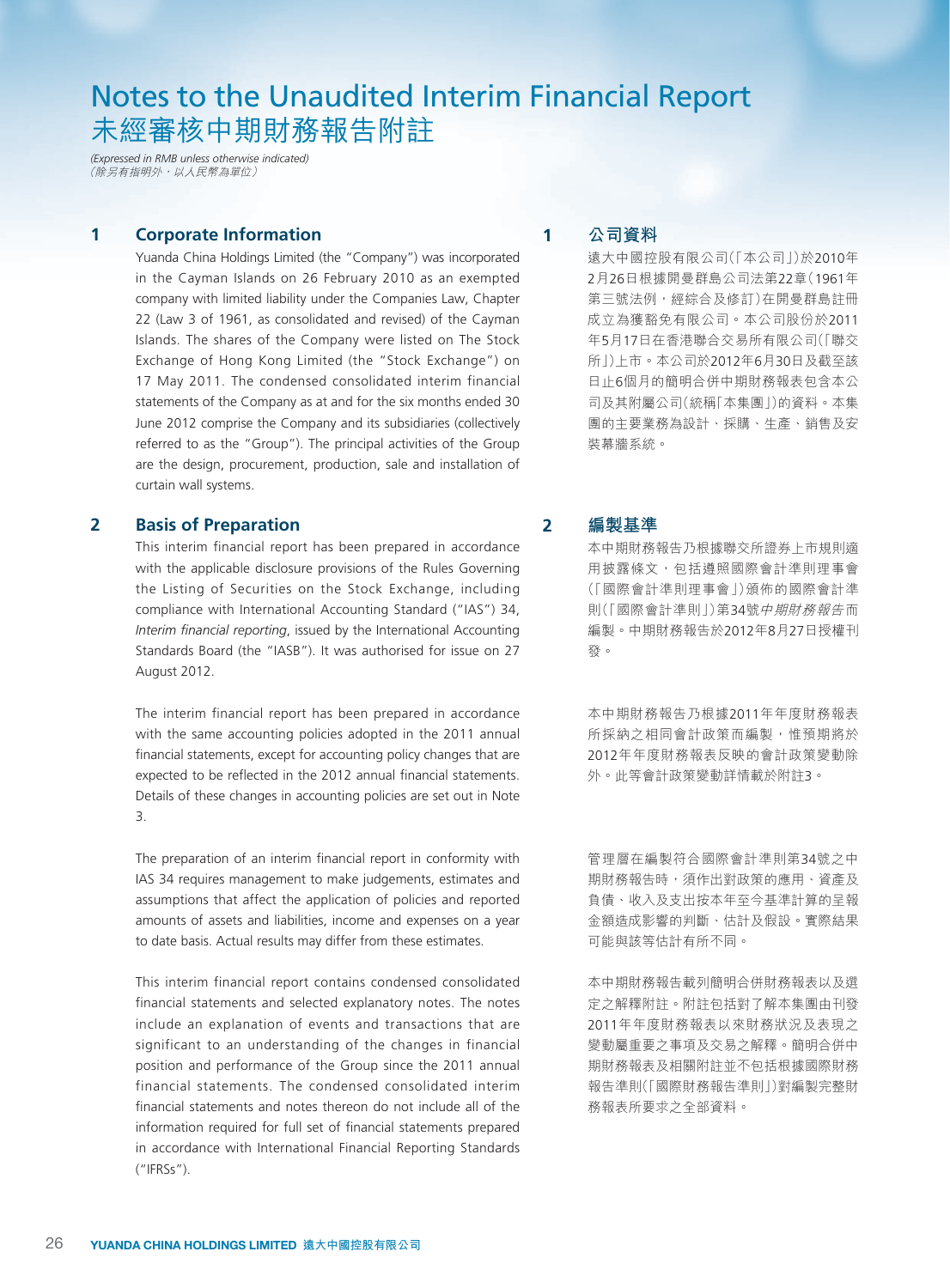# Notes to the Unaudited Interim Financial Report 未經審核中期財務報告附註

*(Expressed in RMB unless otherwise indicated)* (除另有指明外,以人民幣為單位)

### **1 Corporate Information**

Yuanda China Holdings Limited (the "Company") was incorporated in the Cayman Islands on 26 February 2010 as an exempted company with limited liability under the Companies Law, Chapter 22 (Law 3 of 1961, as consolidated and revised) of the Cayman Islands. The shares of the Company were listed on The Stock Exchange of Hong Kong Limited (the "Stock Exchange") on 17 May 2011. The condensed consolidated interim financial statements of the Company as at and for the six months ended 30 June 2012 comprise the Company and its subsidiaries (collectively referred to as the "Group"). The principal activities of the Group are the design, procurement, production, sale and installation of curtain wall systems.

# **2 Basis of Preparation**

This interim financial report has been prepared in accordance with the applicable disclosure provisions of the Rules Governing the Listing of Securities on the Stock Exchange, including compliance with International Accounting Standard ("IAS") 34, *Interim financial reporting*, issued by the International Accounting Standards Board (the "IASB"). It was authorised for issue on 27 August 2012.

The interim financial report has been prepared in accordance with the same accounting policies adopted in the 2011 annual financial statements, except for accounting policy changes that are expected to be reflected in the 2012 annual financial statements. Details of these changes in accounting policies are set out in Note 3.

The preparation of an interim financial report in conformity with IAS 34 requires management to make judgements, estimates and assumptions that affect the application of policies and reported amounts of assets and liabilities, income and expenses on a year to date basis. Actual results may differ from these estimates.

This interim financial report contains condensed consolidated financial statements and selected explanatory notes. The notes include an explanation of events and transactions that are significant to an understanding of the changes in financial position and performance of the Group since the 2011 annual financial statements. The condensed consolidated interim financial statements and notes thereon do not include all of the information required for full set of financial statements prepared in accordance with International Financial Reporting Standards ("IFRSs").

# **1 公司資料**

遠大中國控股有限公司(「本公司」)於2010年 2月26日根據開曼群島公司法第22章(1961年 第三號法例,經綜合及修訂)在開曼群島註冊 成立為獲豁免有限公司。本公司股份於2011 年5月17日在香港聯合交易所有限公司(「聯交 所」)上市。本公司於2012年6月30日及截至該 日止6個月的簡明合併中期財務報表包含本公 司及其附屬公司(統稱「本集團」)的資料。本集 團的主要業務為設計、採購、生產、銷售及安 裝幕牆系統。

### **2 編製基準**

本中期財務報告乃根據聯交所證券上市規則適 用披露條文,包括遵照國際會計準則理事會 (「國際會計準則理事會」)頒佈的國際會計準 則(「國際會計準則」)第34號中期財務報告而 編製。中期財務報告於2012年8月27日授權刊 發。

本中期財務報告乃根據2011年年度財務報表 所採納之相同會計政策而編製,惟預期將於 2012年年度財務報表反映的會計政策變動除 外。此等會計政策變動詳情載於附註3。

管理層在編製符合國際會計準則第34號之中 期財務報告時,須作出對政策的應用、資產及 負債、收入及支出按本年至今基準計算的呈報 金額造成影響的判斷、估計及假設。實際結果 可能與該等估計有所不同。

本中期財務報告載列簡明合併財務報表以及選 定之解釋附註。附註包括對了解本集團由刊發 2011年年度財務報表以來財務狀況及表現之 變動屬重要之事項及交易之解釋。簡明合併中 期財務報表及相關附註並不包括根據國際財務 報告準則(「國際財務報告準則」)對編製完整財 務報表所要求之全部資料。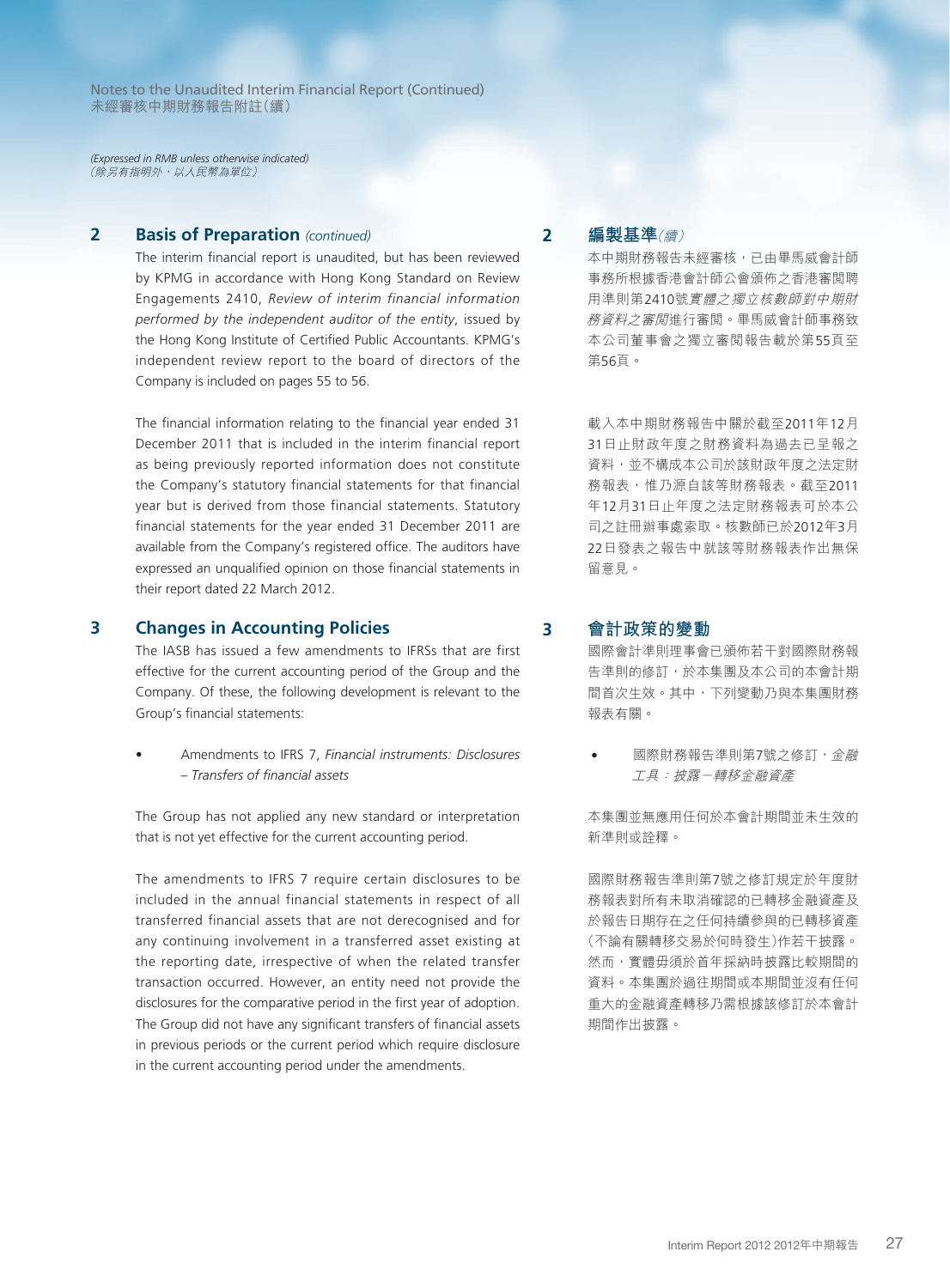*(Expressed in RMB unless otherwise indicated)* (除另有指明外,以人民幣為單位)

# **2 Basis of Preparation** *(continued)*

The interim financial report is unaudited, but has been reviewed by KPMG in accordance with Hong Kong Standard on Review Engagements 2410, *Review of interim financial information performed by the independent auditor of the entity*, issued by the Hong Kong Institute of Certified Public Accountants. KPMG's independent review report to the board of directors of the Company is included on pages 55 to 56.

The financial information relating to the financial year ended 31 December 2011 that is included in the interim financial report as being previously reported information does not constitute the Company's statutory financial statements for that financial year but is derived from those financial statements. Statutory financial statements for the year ended 31 December 2011 are available from the Company's registered office. The auditors have expressed an unqualified opinion on those financial statements in their report dated 22 March 2012.

#### **3 Changes in Accounting Policies**

The IASB has issued a few amendments to IFRSs that are first effective for the current accounting period of the Group and the Company. Of these, the following development is relevant to the Group's financial statements:

• Amendments to IFRS 7, *Financial instruments: Disclosures – Transfers of financial assets*

The Group has not applied any new standard or interpretation that is not yet effective for the current accounting period.

The amendments to IFRS 7 require certain disclosures to be included in the annual financial statements in respect of all transferred financial assets that are not derecognised and for any continuing involvement in a transferred asset existing at the reporting date, irrespective of when the related transfer transaction occurred. However, an entity need not provide the disclosures for the comparative period in the first year of adoption. The Group did not have any significant transfers of financial assets in previous periods or the current period which require disclosure in the current accounting period under the amendments.

# **2 編製基準**(續)

本中期財務報告未經審核,已由畢馬威會計師 事務所根據香港會計師公會頒佈之香港審閱聘 用準則第2410號實體之獨立核數師對中期財 務資料之審閱進行審閱。畢馬威會計師事務致 本公司董事會之獨立審閱報告載於第55頁至 第56頁。

載入本中期財務報告中關於截至2011年12月 31日止財政年度之財務資料為過去已呈報之 資料,並不構成本公司於該財政年度之法定財 務報表,惟乃源自該等財務報表。截至2011 年12月31日止年度之法定財務報表可於本公 司之註冊辦事處索取。核數師已於2012年3月 22日發表之報告中就該等財務報表作出無保 留意見。

#### **3 會計政策的變動**

國際會計準則理事會已頒佈若干對國際財務報 告準則的修訂,於本集團及本公司的本會計期 間首次生效。其中,下列變動乃與本集團財務 報表有關。

國際財務報告準則第7號之修訂,金融 工具:披露-轉移金融資產

本集團並無應用任何於本會計期間並未生效的 新準則或詮釋。

國際財務報告準則第7號之修訂規定於年度財 務報表對所有未取消確認的已轉移金融資產及 於報告日期存在之任何持續參與的已轉移資產 (不論有關轉移交易於何時發生)作若干披露。 然而,實體毋須於首年採納時披露比較期間的 資料。本集團於過往期間或本期間並沒有任何 重大的金融資產轉移乃需根據該修訂於本會計 期間作出披露。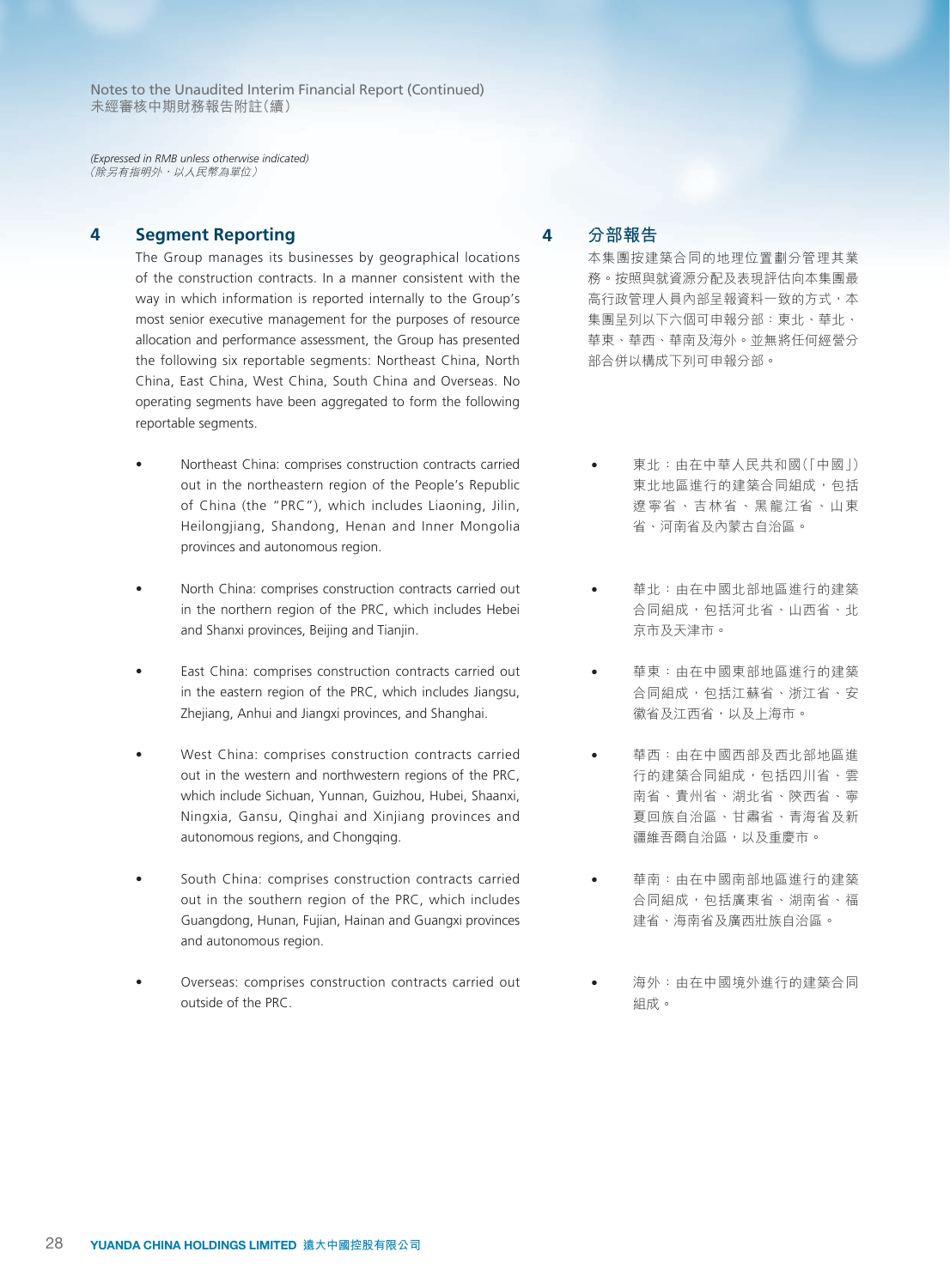*(Expressed in RMB unless otherwise indicated)* (除另有指明外,以人民幣為單位)

**4 Segment Reporting**

The Group manages its businesses by geographical locations of the construction contracts. In a manner consistent with the way in which information is reported internally to the Group's most senior executive management for the purposes of resource allocation and performance assessment, the Group has presented the following six reportable segments: Northeast China, North China, East China, West China, South China and Overseas. No operating segments have been aggregated to form the following reportable segments.

- Northeast China: comprises construction contracts carried out in the northeastern region of the People's Republic of China (the "PRC"), which includes Liaoning, Jilin, Heilongjiang, Shandong, Henan and Inner Mongolia provinces and autonomous region.
- North China: comprises construction contracts carried out in the northern region of the PRC, which includes Hebei and Shanxi provinces, Beijing and Tianjin.
- East China: comprises construction contracts carried out in the eastern region of the PRC, which includes Jiangsu, Zhejiang, Anhui and Jiangxi provinces, and Shanghai.
- West China: comprises construction contracts carried out in the western and northwestern regions of the PRC, which include Sichuan, Yunnan, Guizhou, Hubei, Shaanxi, Ningxia, Gansu, Qinghai and Xinjiang provinces and autonomous regions, and Chongqing.
- South China: comprises construction contracts carried out in the southern region of the PRC, which includes Guangdong, Hunan, Fujian, Hainan and Guangxi provinces and autonomous region.
- Overseas: comprises construction contracts carried out outside of the PRC.

**4 分部報告**

本集團按建築合同的地理位置劃分管理其業 務。按照與就資源分配及表現評估向本集團最 高行政管理人員內部呈報資料一致的方式,本 集團呈列以下六個可申報分部:東北、華北、 華東、華西、華南及海外。並無將任何經營分 部合併以構成下列可申報分部。

- 東北:由在中華人民共和國(「中國」) 東北地區進行的建築合同組成,包括 遼寧省、吉林省、黑龍江省、山東 省、河南省及內蒙古自治區。
- 華北:由在中國北部地區進行的建築 合同組成,包括河北省、山西省、北 京市及天津市。
- 華東:由在中國東部地區進行的建築 合同組成,包括江蘇省、浙江省、安 徽省及江西省,以及上海市。
- 華西:由在中國西部及西北部地區進 行的建築合同組成,包括四川省、雲 南省、貴州省、湖北省、陝西省、寧 夏回族自治區、甘肅省、青海省及新 疆維吾爾自治區,以及重慶市。
- 華南:由在中國南部地區進行的建築 合同組成,包括廣東省、湖南省、福 建省、海南省及廣西壯族自治區。
- 海外:由在中國境外進行的建築合同 組成。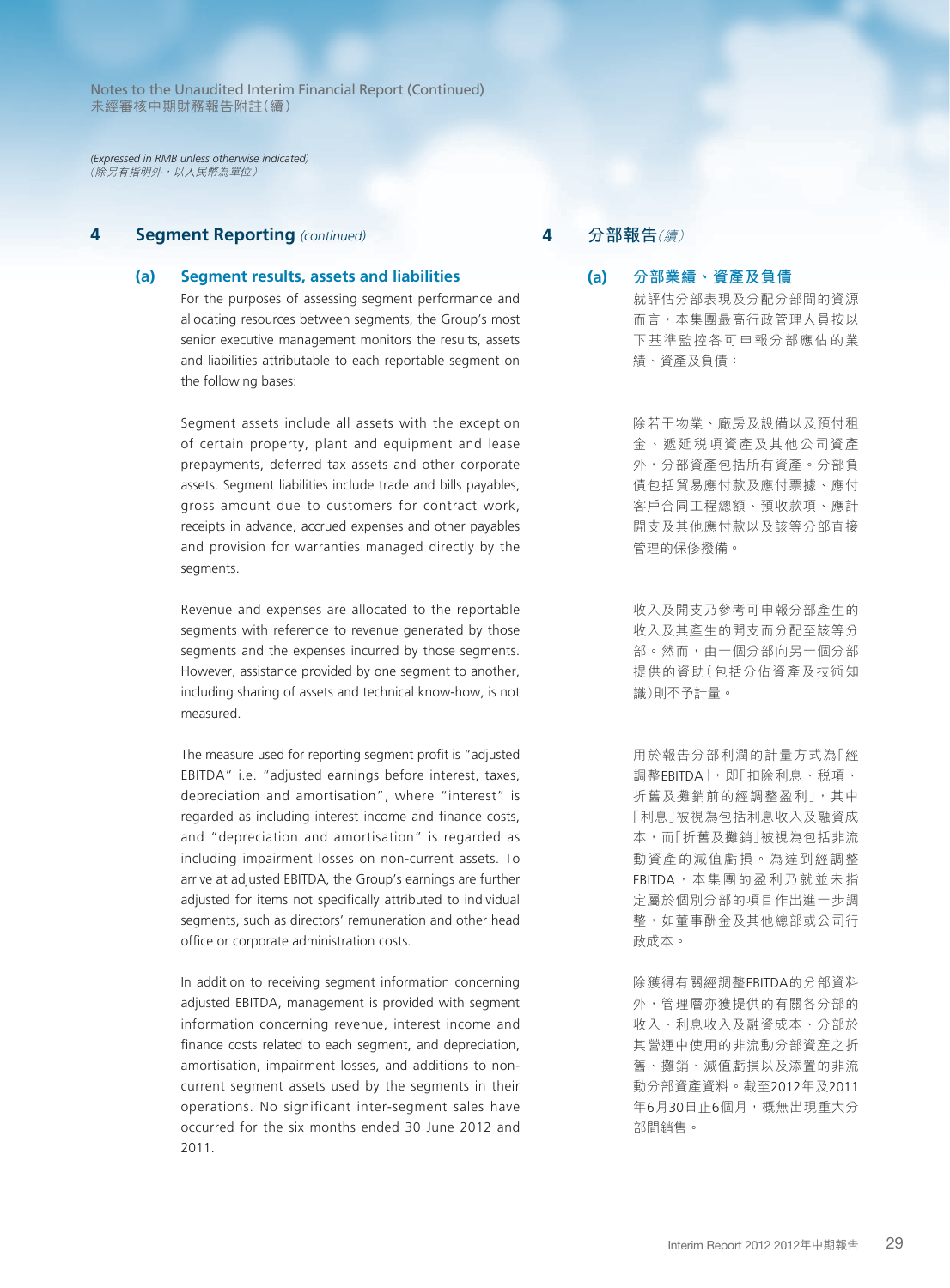*(Expressed in RMB unless otherwise indicated)* (除另有指明外,以人民幣為單位)

# **4 Segment Reporting** *(continued)*

#### **(a) Segment results, assets and liabilities**

For the purposes of assessing segment performance and allocating resources between segments, the Group's most senior executive management monitors the results, assets and liabilities attributable to each reportable segment on the following bases:

Segment assets include all assets with the exception of certain property, plant and equipment and lease prepayments, deferred tax assets and other corporate assets. Segment liabilities include trade and bills payables, gross amount due to customers for contract work, receipts in advance, accrued expenses and other payables and provision for warranties managed directly by the segments.

Revenue and expenses are allocated to the reportable segments with reference to revenue generated by those segments and the expenses incurred by those segments. However, assistance provided by one segment to another, including sharing of assets and technical know-how, is not measured.

The measure used for reporting segment profit is "adjusted EBITDA" i.e. "adjusted earnings before interest, taxes, depreciation and amortisation", where "interest" is regarded as including interest income and finance costs, and "depreciation and amortisation" is regarded as including impairment losses on non-current assets. To arrive at adjusted EBITDA, the Group's earnings are further adjusted for items not specifically attributed to individual segments, such as directors' remuneration and other head office or corporate administration costs.

In addition to receiving segment information concerning adjusted EBITDA, management is provided with segment information concerning revenue, interest income and finance costs related to each segment, and depreciation, amortisation, impairment losses, and additions to noncurrent segment assets used by the segments in their operations. No significant inter-segment sales have occurred for the six months ended 30 June 2012 and 2011.

# **4 分部報告**(續)

**(a) 分部業績、資產及負債** 就評估分部表現及分配分部間的資源 而言,本集團最高行政管理人員按以 下基準監控各可申報分部應佔的業 績、資產及負債:

> 除若干物業、廠房及設備以及預付租 金、遞延稅項資產及其他公司資產 外,分部資產包括所有資產。分部負 債包括貿易應付款及應付票據、應付 客戶合同工程總額、預收款項、應計 開支及其他應付款以及該等分部直接 管理的保修撥備。

> 收入及開支乃參考可申報分部產生的 收入及其產生的開支而分配至該等分 部。然而,由一個分部向另一個分部 提供的資助(包括分佔資產及技術知 識)則不予計量。

> 用於報告分部利潤的計量方式為「經 調整EBITDA」,即「扣除利息、稅項、 折舊及攤銷前的經調整盈利」,其中 「利息」被視為包括利息收入及融資成 本,而「折舊及攤銷」被視為包括非流 動資產的減值虧損。為達到經調整 EBITDA,本集團的盈利乃就並未指 定屬於個別分部的項目作出進一步調 整,如董事酬金及其他總部或公司行 政成本。

> 除獲得有關經調整EBITDA的分部資料 外,管理層亦獲提供的有關各分部的 收入、利息收入及融資成本、分部於 其營運中使用的非流動分部資產之折 舊、攤銷、減值虧損以及添置的非流 動分部資產資料。截至2012年及2011 年6月30日止6個月,概無出現重大分 部間銷售。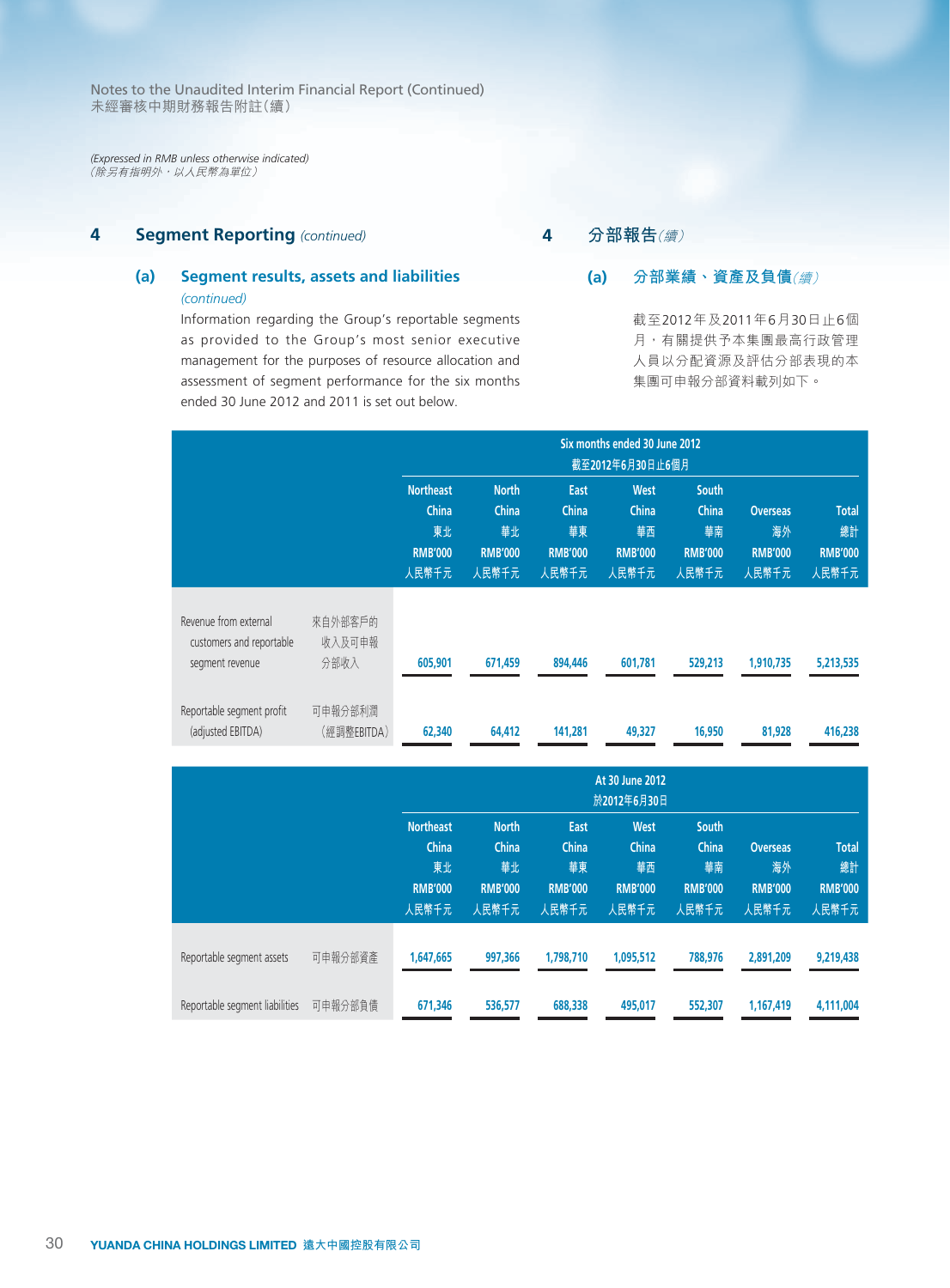*(Expressed in RMB unless otherwise indicated)* (除另有指明外,以人民幣為單位)

# **4 Segment Reporting** *(continued)*

# **(a) Segment results, assets and liabilities**  *(continued)*

Information regarding the Group's reportable segments as provided to the Group's most senior executive management for the purposes of resource allocation and assessment of segment performance for the six months ended 30 June 2012 and 2011 is set out below.

**4 分部報告**(續)

# **(a) 分部業績、資產及負債**(續)

截至2012年及2011年6月30日止6個 月,有關提供予本集團最高行政管理 人員以分配資源及評估分部表現的本 集團可申報分部資料載列如下。

|                                                                      |                           |                                                            | Six months ended 30 June 2012<br>截至2012年6月30日止6個月      |                                                |                                                |                                                        |                                                  |                                               |  |
|----------------------------------------------------------------------|---------------------------|------------------------------------------------------------|--------------------------------------------------------|------------------------------------------------|------------------------------------------------|--------------------------------------------------------|--------------------------------------------------|-----------------------------------------------|--|
|                                                                      |                           | <b>Northeast</b><br>China<br>東北<br><b>RMB'000</b><br>人民幣千元 | <b>North</b><br>China<br>華北<br><b>RMB'000</b><br>人民幣千元 | East<br>China<br>華東<br><b>RMB'000</b><br>人民幣千元 | West<br>China<br>華西<br><b>RMB'000</b><br>人民幣千元 | <b>South</b><br>China<br>華南<br><b>RMB'000</b><br>人民幣千元 | <b>Overseas</b><br>海外<br><b>RMB'000</b><br>人民幣千元 | <b>Total</b><br>總計<br><b>RMB'000</b><br>人民幣千元 |  |
| Revenue from external<br>customers and reportable<br>segment revenue | 來自外部客戶的<br>收入及可申報<br>分部收入 | 605,901                                                    | 671,459                                                | 894,446                                        | 601.781                                        | 529,213                                                | 1,910,735                                        | 5,213,535                                     |  |
| Reportable segment profit<br>(adjusted EBITDA)                       | 可申報分部利潤<br>(經調整EBITDA)    | 62,340                                                     | 64,412                                                 | 141,281                                        | 49,327                                         | 16,950                                                 | 81,928                                           | 416,238                                       |  |

|                                |         |                                                            | At 30 June 2012<br>於2012年6月30日                         |                                                |                                                |                                                        |                                                  |                                               |  |
|--------------------------------|---------|------------------------------------------------------------|--------------------------------------------------------|------------------------------------------------|------------------------------------------------|--------------------------------------------------------|--------------------------------------------------|-----------------------------------------------|--|
|                                |         | <b>Northeast</b><br>China<br>東北<br><b>RMB'000</b><br>人民幣千元 | <b>North</b><br>China<br>華北<br><b>RMB'000</b><br>人民幣千元 | East<br>China<br>華東<br><b>RMB'000</b><br>人民幣千元 | West<br>China<br>華西<br><b>RMB'000</b><br>人民幣千元 | <b>South</b><br>China<br>華南<br><b>RMB'000</b><br>人民幣千元 | <b>Overseas</b><br>海外<br><b>RMB'000</b><br>人民幣千元 | <b>Total</b><br>總計<br><b>RMB'000</b><br>人民幣千元 |  |
| Reportable segment assets      | 可申報分部資產 | 1,647,665                                                  | 997,366                                                | 1,798,710                                      | 1,095,512                                      | 788,976                                                | 2,891,209                                        | 9,219,438                                     |  |
| Reportable segment liabilities | 可申報分部負債 | 671,346                                                    | 536,577                                                | 688,338                                        | 495,017                                        | 552,307                                                | 1,167,419                                        | 4,111,004                                     |  |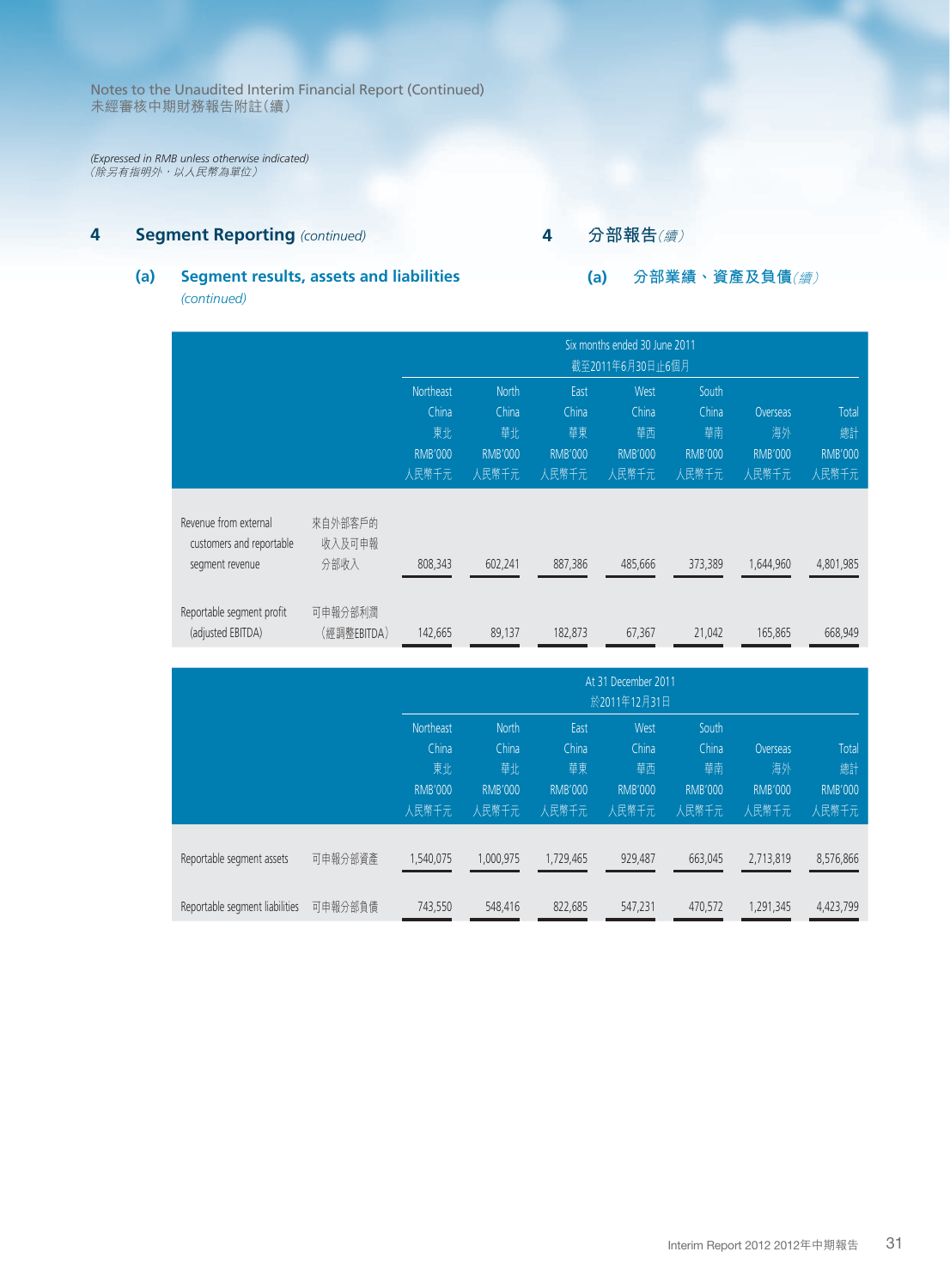*(Expressed in RMB unless otherwise indicated)* (除另有指明外,以人民幣為單位)

# **4 Segment Reporting** *(continued)*

# **4 分部報告**(續)

**(a) 分部業績、資產及負債**(續)

# **(a) Segment results, assets and liabilities**  *(continued)*

|                                                                      |                           | Six months ended 30 June 2011<br>截至2011年6月30日止6個月          |                                                        |                                                |                                                |                                                        |                                           |                                        |  |
|----------------------------------------------------------------------|---------------------------|------------------------------------------------------------|--------------------------------------------------------|------------------------------------------------|------------------------------------------------|--------------------------------------------------------|-------------------------------------------|----------------------------------------|--|
|                                                                      |                           | <b>Northeast</b><br>China<br>東北<br><b>RMB'000</b><br>人民幣千元 | <b>North</b><br>China<br>華北<br><b>RMB'000</b><br>人民幣千元 | East<br>China<br>華東<br><b>RMB'000</b><br>人民幣千元 | West<br>China<br>華西<br><b>RMB'000</b><br>人民幣千元 | <b>South</b><br>China<br>華南<br><b>RMB'000</b><br>人民幣千元 | Overseas<br>海外<br><b>RMB'000</b><br>人民幣千元 | Total<br>總計<br><b>RMB'000</b><br>人民幣千元 |  |
| Revenue from external<br>customers and reportable<br>segment revenue | 來自外部客戶的<br>收入及可申報<br>分部收入 | 808,343                                                    | 602,241                                                | 887,386                                        | 485,666                                        | 373,389                                                | 1,644,960                                 | 4,801,985                              |  |
| Reportable segment profit<br>(adjusted EBITDA)                       | 可申報分部利潤<br>(經調整EBITDA)    | 142,665                                                    | 89,137                                                 | 182.873                                        | 67,367                                         | 21,042                                                 | 165,865                                   | 668,949                                |  |

|                                |         | At 31 December 2011<br>於2011年12月31日 |                |                |                |                |                 |                |  |
|--------------------------------|---------|-------------------------------------|----------------|----------------|----------------|----------------|-----------------|----------------|--|
|                                |         | <b>Northeast</b>                    | <b>North</b>   | East           | West           | South          |                 |                |  |
|                                |         | China                               | China          | China          | China          | China          | <b>Overseas</b> | Total          |  |
|                                |         | 東北                                  | 華北             | 華東             | 華西             | 華南             | 海外              | 總計             |  |
|                                |         | <b>RMB'000</b>                      | <b>RMB'000</b> | <b>RMB'000</b> | <b>RMB'000</b> | <b>RMB'000</b> | <b>RMB'000</b>  | <b>RMB'000</b> |  |
|                                |         | 人民幣千元                               | 人民幣千元          | 人民幣千元          | 人民幣千元          | 人民幣千元          | 人民幣千元           | 人民幣千元          |  |
| Reportable segment assets      | 可申報分部資產 | 1,540,075                           | 1,000,975      | 1,729,465      | 929,487        | 663,045        | 2,713,819       | 8,576,866      |  |
| Reportable segment liabilities | 可申報分部負債 | 743,550                             | 548,416        | 822,685        | 547,231        | 470,572        | 1,291,345       | 4,423,799      |  |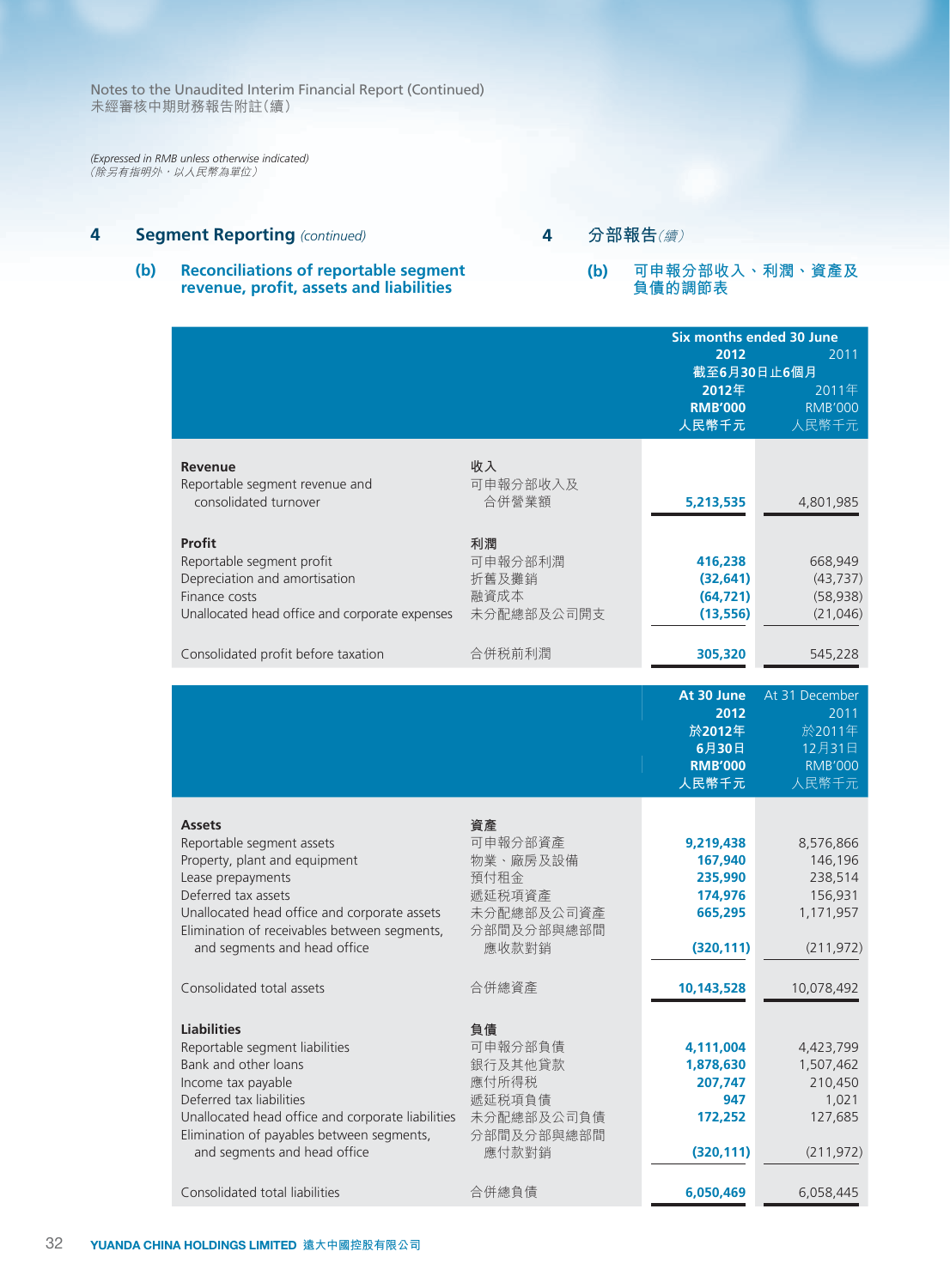*(Expressed in RMB unless otherwise indicated)* (除另有指明外,以人民幣為單位)

# **4 Segment Reporting** *(continued)*

# **4 分部報告**(續)

# **(b) Reconciliations of reportable segment revenue, profit, assets and liabilities**

### **(b) 可申報分部收入、利潤、資產及 負債的調節表**

| 2012<br>2011<br>截至6月30日止6個月<br>2012年<br>2011年<br><b>RMB'000</b><br><b>RMB'000</b><br>人民幣千元<br>人民幣千元<br>收入<br><b>Revenue</b><br>可申報分部收入及<br>Reportable segment revenue and<br>consolidated turnover<br>合併營業額<br>5,213,535<br>4,801,985<br>Profit<br>利潤<br>可申報分部利潤<br>Reportable segment profit<br>416,238<br>668,949<br>Depreciation and amortisation<br>折舊及攤銷<br>(32, 641)<br>(43, 737)<br>融資成本<br>Finance costs<br>(64, 721)<br>(58, 938)<br>Unallocated head office and corporate expenses<br>未分配總部及公司開支<br>(13, 556)<br>(21,046)<br>Consolidated profit before taxation<br>合併税前利潤<br>305,320<br>545,228<br>At 30 June<br>At 31 December<br>2012<br>2011<br>於2011年<br>於2012年<br>12月31日<br>6月30日<br><b>RMB'000</b><br><b>RMB'000</b><br>人民幣千元<br>人民幣千元<br>資產<br><b>Assets</b><br>可申報分部資產<br>Reportable segment assets<br>9,219,438<br>8,576,866<br>Property, plant and equipment<br>物業、廠房及設備<br>167,940<br>146,196<br>Lease prepayments<br>預付租金<br>235,990<br>238,514<br>Deferred tax assets<br>遞延税項資產<br>174,976<br>156,931<br>未分配總部及公司資產<br>Unallocated head office and corporate assets<br>665,295<br>1,171,957<br>Elimination of receivables between segments,<br>分部間及分部與總部間<br>應收款對銷<br>and segments and head office<br>(320, 111)<br>(211, 972)<br>Consolidated total assets<br>合併總資產<br>10,143,528<br>10,078,492<br><b>Liabilities</b><br>負債<br>可申報分部負債<br>Reportable segment liabilities<br>4,423,799<br>4,111,004<br>Bank and other loans<br>銀行及其他貸款<br>1,878,630<br>1,507,462<br>應付所得税<br>Income tax payable<br>210,450<br>207,747<br>Deferred tax liabilities<br>遞延税項負債<br>947<br>1,021<br>Unallocated head office and corporate liabilities<br>未分配總部及公司負債<br>127,685<br>172,252<br>Elimination of payables between segments,<br>分部間及分部與總部間<br>and segments and head office<br>應付款對銷<br>(320, 111)<br>(211, 972) |                                |       | <b>Six months ended 30 June</b> |           |
|------------------------------------------------------------------------------------------------------------------------------------------------------------------------------------------------------------------------------------------------------------------------------------------------------------------------------------------------------------------------------------------------------------------------------------------------------------------------------------------------------------------------------------------------------------------------------------------------------------------------------------------------------------------------------------------------------------------------------------------------------------------------------------------------------------------------------------------------------------------------------------------------------------------------------------------------------------------------------------------------------------------------------------------------------------------------------------------------------------------------------------------------------------------------------------------------------------------------------------------------------------------------------------------------------------------------------------------------------------------------------------------------------------------------------------------------------------------------------------------------------------------------------------------------------------------------------------------------------------------------------------------------------------------------------------------------------------------------------------------------------------------------------------------------------------------------------|--------------------------------|-------|---------------------------------|-----------|
|                                                                                                                                                                                                                                                                                                                                                                                                                                                                                                                                                                                                                                                                                                                                                                                                                                                                                                                                                                                                                                                                                                                                                                                                                                                                                                                                                                                                                                                                                                                                                                                                                                                                                                                                                                                                                              |                                |       |                                 |           |
|                                                                                                                                                                                                                                                                                                                                                                                                                                                                                                                                                                                                                                                                                                                                                                                                                                                                                                                                                                                                                                                                                                                                                                                                                                                                                                                                                                                                                                                                                                                                                                                                                                                                                                                                                                                                                              |                                |       |                                 |           |
|                                                                                                                                                                                                                                                                                                                                                                                                                                                                                                                                                                                                                                                                                                                                                                                                                                                                                                                                                                                                                                                                                                                                                                                                                                                                                                                                                                                                                                                                                                                                                                                                                                                                                                                                                                                                                              |                                |       |                                 |           |
|                                                                                                                                                                                                                                                                                                                                                                                                                                                                                                                                                                                                                                                                                                                                                                                                                                                                                                                                                                                                                                                                                                                                                                                                                                                                                                                                                                                                                                                                                                                                                                                                                                                                                                                                                                                                                              |                                |       |                                 |           |
|                                                                                                                                                                                                                                                                                                                                                                                                                                                                                                                                                                                                                                                                                                                                                                                                                                                                                                                                                                                                                                                                                                                                                                                                                                                                                                                                                                                                                                                                                                                                                                                                                                                                                                                                                                                                                              |                                |       |                                 |           |
|                                                                                                                                                                                                                                                                                                                                                                                                                                                                                                                                                                                                                                                                                                                                                                                                                                                                                                                                                                                                                                                                                                                                                                                                                                                                                                                                                                                                                                                                                                                                                                                                                                                                                                                                                                                                                              |                                |       |                                 |           |
|                                                                                                                                                                                                                                                                                                                                                                                                                                                                                                                                                                                                                                                                                                                                                                                                                                                                                                                                                                                                                                                                                                                                                                                                                                                                                                                                                                                                                                                                                                                                                                                                                                                                                                                                                                                                                              |                                |       |                                 |           |
|                                                                                                                                                                                                                                                                                                                                                                                                                                                                                                                                                                                                                                                                                                                                                                                                                                                                                                                                                                                                                                                                                                                                                                                                                                                                                                                                                                                                                                                                                                                                                                                                                                                                                                                                                                                                                              |                                |       |                                 |           |
|                                                                                                                                                                                                                                                                                                                                                                                                                                                                                                                                                                                                                                                                                                                                                                                                                                                                                                                                                                                                                                                                                                                                                                                                                                                                                                                                                                                                                                                                                                                                                                                                                                                                                                                                                                                                                              |                                |       |                                 |           |
|                                                                                                                                                                                                                                                                                                                                                                                                                                                                                                                                                                                                                                                                                                                                                                                                                                                                                                                                                                                                                                                                                                                                                                                                                                                                                                                                                                                                                                                                                                                                                                                                                                                                                                                                                                                                                              |                                |       |                                 |           |
|                                                                                                                                                                                                                                                                                                                                                                                                                                                                                                                                                                                                                                                                                                                                                                                                                                                                                                                                                                                                                                                                                                                                                                                                                                                                                                                                                                                                                                                                                                                                                                                                                                                                                                                                                                                                                              |                                |       |                                 |           |
|                                                                                                                                                                                                                                                                                                                                                                                                                                                                                                                                                                                                                                                                                                                                                                                                                                                                                                                                                                                                                                                                                                                                                                                                                                                                                                                                                                                                                                                                                                                                                                                                                                                                                                                                                                                                                              |                                |       |                                 |           |
|                                                                                                                                                                                                                                                                                                                                                                                                                                                                                                                                                                                                                                                                                                                                                                                                                                                                                                                                                                                                                                                                                                                                                                                                                                                                                                                                                                                                                                                                                                                                                                                                                                                                                                                                                                                                                              |                                |       |                                 |           |
|                                                                                                                                                                                                                                                                                                                                                                                                                                                                                                                                                                                                                                                                                                                                                                                                                                                                                                                                                                                                                                                                                                                                                                                                                                                                                                                                                                                                                                                                                                                                                                                                                                                                                                                                                                                                                              |                                |       |                                 |           |
|                                                                                                                                                                                                                                                                                                                                                                                                                                                                                                                                                                                                                                                                                                                                                                                                                                                                                                                                                                                                                                                                                                                                                                                                                                                                                                                                                                                                                                                                                                                                                                                                                                                                                                                                                                                                                              |                                |       |                                 |           |
|                                                                                                                                                                                                                                                                                                                                                                                                                                                                                                                                                                                                                                                                                                                                                                                                                                                                                                                                                                                                                                                                                                                                                                                                                                                                                                                                                                                                                                                                                                                                                                                                                                                                                                                                                                                                                              |                                |       |                                 |           |
|                                                                                                                                                                                                                                                                                                                                                                                                                                                                                                                                                                                                                                                                                                                                                                                                                                                                                                                                                                                                                                                                                                                                                                                                                                                                                                                                                                                                                                                                                                                                                                                                                                                                                                                                                                                                                              |                                |       |                                 |           |
|                                                                                                                                                                                                                                                                                                                                                                                                                                                                                                                                                                                                                                                                                                                                                                                                                                                                                                                                                                                                                                                                                                                                                                                                                                                                                                                                                                                                                                                                                                                                                                                                                                                                                                                                                                                                                              |                                |       |                                 |           |
|                                                                                                                                                                                                                                                                                                                                                                                                                                                                                                                                                                                                                                                                                                                                                                                                                                                                                                                                                                                                                                                                                                                                                                                                                                                                                                                                                                                                                                                                                                                                                                                                                                                                                                                                                                                                                              |                                |       |                                 |           |
|                                                                                                                                                                                                                                                                                                                                                                                                                                                                                                                                                                                                                                                                                                                                                                                                                                                                                                                                                                                                                                                                                                                                                                                                                                                                                                                                                                                                                                                                                                                                                                                                                                                                                                                                                                                                                              |                                |       |                                 |           |
|                                                                                                                                                                                                                                                                                                                                                                                                                                                                                                                                                                                                                                                                                                                                                                                                                                                                                                                                                                                                                                                                                                                                                                                                                                                                                                                                                                                                                                                                                                                                                                                                                                                                                                                                                                                                                              |                                |       |                                 |           |
|                                                                                                                                                                                                                                                                                                                                                                                                                                                                                                                                                                                                                                                                                                                                                                                                                                                                                                                                                                                                                                                                                                                                                                                                                                                                                                                                                                                                                                                                                                                                                                                                                                                                                                                                                                                                                              |                                |       |                                 |           |
|                                                                                                                                                                                                                                                                                                                                                                                                                                                                                                                                                                                                                                                                                                                                                                                                                                                                                                                                                                                                                                                                                                                                                                                                                                                                                                                                                                                                                                                                                                                                                                                                                                                                                                                                                                                                                              |                                |       |                                 |           |
|                                                                                                                                                                                                                                                                                                                                                                                                                                                                                                                                                                                                                                                                                                                                                                                                                                                                                                                                                                                                                                                                                                                                                                                                                                                                                                                                                                                                                                                                                                                                                                                                                                                                                                                                                                                                                              |                                |       |                                 |           |
|                                                                                                                                                                                                                                                                                                                                                                                                                                                                                                                                                                                                                                                                                                                                                                                                                                                                                                                                                                                                                                                                                                                                                                                                                                                                                                                                                                                                                                                                                                                                                                                                                                                                                                                                                                                                                              |                                |       |                                 |           |
|                                                                                                                                                                                                                                                                                                                                                                                                                                                                                                                                                                                                                                                                                                                                                                                                                                                                                                                                                                                                                                                                                                                                                                                                                                                                                                                                                                                                                                                                                                                                                                                                                                                                                                                                                                                                                              |                                |       |                                 |           |
|                                                                                                                                                                                                                                                                                                                                                                                                                                                                                                                                                                                                                                                                                                                                                                                                                                                                                                                                                                                                                                                                                                                                                                                                                                                                                                                                                                                                                                                                                                                                                                                                                                                                                                                                                                                                                              |                                |       |                                 |           |
|                                                                                                                                                                                                                                                                                                                                                                                                                                                                                                                                                                                                                                                                                                                                                                                                                                                                                                                                                                                                                                                                                                                                                                                                                                                                                                                                                                                                                                                                                                                                                                                                                                                                                                                                                                                                                              |                                |       |                                 |           |
|                                                                                                                                                                                                                                                                                                                                                                                                                                                                                                                                                                                                                                                                                                                                                                                                                                                                                                                                                                                                                                                                                                                                                                                                                                                                                                                                                                                                                                                                                                                                                                                                                                                                                                                                                                                                                              |                                |       |                                 |           |
|                                                                                                                                                                                                                                                                                                                                                                                                                                                                                                                                                                                                                                                                                                                                                                                                                                                                                                                                                                                                                                                                                                                                                                                                                                                                                                                                                                                                                                                                                                                                                                                                                                                                                                                                                                                                                              |                                |       |                                 |           |
|                                                                                                                                                                                                                                                                                                                                                                                                                                                                                                                                                                                                                                                                                                                                                                                                                                                                                                                                                                                                                                                                                                                                                                                                                                                                                                                                                                                                                                                                                                                                                                                                                                                                                                                                                                                                                              |                                |       |                                 |           |
|                                                                                                                                                                                                                                                                                                                                                                                                                                                                                                                                                                                                                                                                                                                                                                                                                                                                                                                                                                                                                                                                                                                                                                                                                                                                                                                                                                                                                                                                                                                                                                                                                                                                                                                                                                                                                              |                                |       |                                 |           |
|                                                                                                                                                                                                                                                                                                                                                                                                                                                                                                                                                                                                                                                                                                                                                                                                                                                                                                                                                                                                                                                                                                                                                                                                                                                                                                                                                                                                                                                                                                                                                                                                                                                                                                                                                                                                                              |                                |       |                                 |           |
|                                                                                                                                                                                                                                                                                                                                                                                                                                                                                                                                                                                                                                                                                                                                                                                                                                                                                                                                                                                                                                                                                                                                                                                                                                                                                                                                                                                                                                                                                                                                                                                                                                                                                                                                                                                                                              |                                |       |                                 |           |
|                                                                                                                                                                                                                                                                                                                                                                                                                                                                                                                                                                                                                                                                                                                                                                                                                                                                                                                                                                                                                                                                                                                                                                                                                                                                                                                                                                                                                                                                                                                                                                                                                                                                                                                                                                                                                              |                                |       |                                 |           |
|                                                                                                                                                                                                                                                                                                                                                                                                                                                                                                                                                                                                                                                                                                                                                                                                                                                                                                                                                                                                                                                                                                                                                                                                                                                                                                                                                                                                                                                                                                                                                                                                                                                                                                                                                                                                                              |                                |       |                                 |           |
|                                                                                                                                                                                                                                                                                                                                                                                                                                                                                                                                                                                                                                                                                                                                                                                                                                                                                                                                                                                                                                                                                                                                                                                                                                                                                                                                                                                                                                                                                                                                                                                                                                                                                                                                                                                                                              |                                |       |                                 |           |
|                                                                                                                                                                                                                                                                                                                                                                                                                                                                                                                                                                                                                                                                                                                                                                                                                                                                                                                                                                                                                                                                                                                                                                                                                                                                                                                                                                                                                                                                                                                                                                                                                                                                                                                                                                                                                              |                                |       |                                 |           |
|                                                                                                                                                                                                                                                                                                                                                                                                                                                                                                                                                                                                                                                                                                                                                                                                                                                                                                                                                                                                                                                                                                                                                                                                                                                                                                                                                                                                                                                                                                                                                                                                                                                                                                                                                                                                                              |                                |       |                                 |           |
|                                                                                                                                                                                                                                                                                                                                                                                                                                                                                                                                                                                                                                                                                                                                                                                                                                                                                                                                                                                                                                                                                                                                                                                                                                                                                                                                                                                                                                                                                                                                                                                                                                                                                                                                                                                                                              |                                |       |                                 |           |
|                                                                                                                                                                                                                                                                                                                                                                                                                                                                                                                                                                                                                                                                                                                                                                                                                                                                                                                                                                                                                                                                                                                                                                                                                                                                                                                                                                                                                                                                                                                                                                                                                                                                                                                                                                                                                              |                                |       |                                 |           |
|                                                                                                                                                                                                                                                                                                                                                                                                                                                                                                                                                                                                                                                                                                                                                                                                                                                                                                                                                                                                                                                                                                                                                                                                                                                                                                                                                                                                                                                                                                                                                                                                                                                                                                                                                                                                                              | Consolidated total liabilities | 合併總負債 | 6,050,469                       | 6,058,445 |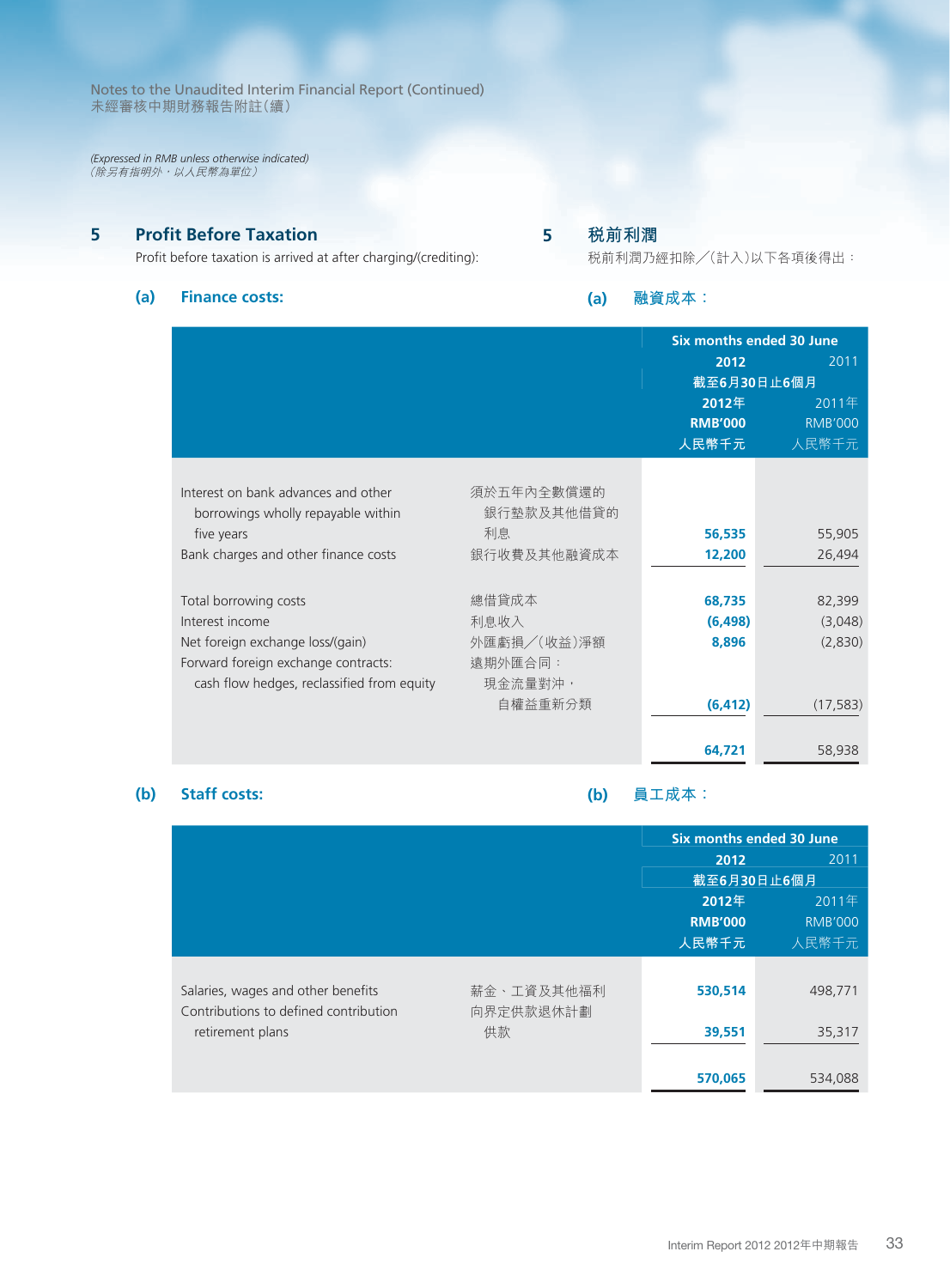*(Expressed in RMB unless otherwise indicated)* (除另有指明外,以人民幣為單位)

# **5 Profit Before Taxation**

Profit before taxation is arrived at after charging/(crediting):

# **(a) Finance costs:**

# **5 稅前利潤**

稅前利潤乃經扣除╱(計入)以下各項後得出:

**(a) 融資成本:**

|                                                                                   |                          | Six months ended 30 June         |                                  |  |
|-----------------------------------------------------------------------------------|--------------------------|----------------------------------|----------------------------------|--|
|                                                                                   |                          | 2012                             | 2011                             |  |
|                                                                                   |                          | 截至6月30日止6個月                      |                                  |  |
|                                                                                   |                          | 2012年<br><b>RMB'000</b><br>人民幣千元 | 2011年<br><b>RMB'000</b><br>人民幣千元 |  |
| Interest on bank advances and other<br>borrowings wholly repayable within         | 須於五年內全數償還的<br>銀行墊款及其他借貸的 |                                  |                                  |  |
| five years                                                                        | 利息                       | 56,535                           | 55,905                           |  |
| Bank charges and other finance costs                                              | 銀行收費及其他融資成本              | 12,200                           | 26,494                           |  |
|                                                                                   |                          |                                  |                                  |  |
| Total borrowing costs                                                             | 總借貸成本                    | 68,735                           | 82,399                           |  |
| Interest income                                                                   | 利息收入                     | (6, 498)                         | (3,048)                          |  |
| Net foreign exchange loss/(gain)                                                  | 外匯虧損/(收益)淨額              | 8,896                            | (2,830)                          |  |
| Forward foreign exchange contracts:<br>cash flow hedges, reclassified from equity | 遠期外匯合同:<br>現金流量對沖,       |                                  |                                  |  |
|                                                                                   | 自權益重新分類                  | (6, 412)                         | (17, 583)                        |  |
|                                                                                   |                          | 64.721                           | 58,938                           |  |

# **(b) Staff costs:**

**(b) 員工成本:**

|                                       |            | Six months ended 30 June |                |
|---------------------------------------|------------|--------------------------|----------------|
|                                       |            | 2012                     | 2011           |
|                                       |            | 截至6月30日止6個月              |                |
|                                       |            | 2012年<br>2011年           |                |
|                                       |            | <b>RMB'000</b>           | <b>RMB'000</b> |
|                                       |            | 人民幣千元                    | 人民幣千元          |
|                                       |            |                          |                |
| Salaries, wages and other benefits    | 薪金、工資及其他福利 | 530,514                  | 498.771        |
| Contributions to defined contribution | 向界定供款退休計劃  |                          |                |
| retirement plans                      | 供款         | 39,551                   | 35,317         |
|                                       |            |                          |                |
|                                       |            | 570,065                  | 534,088        |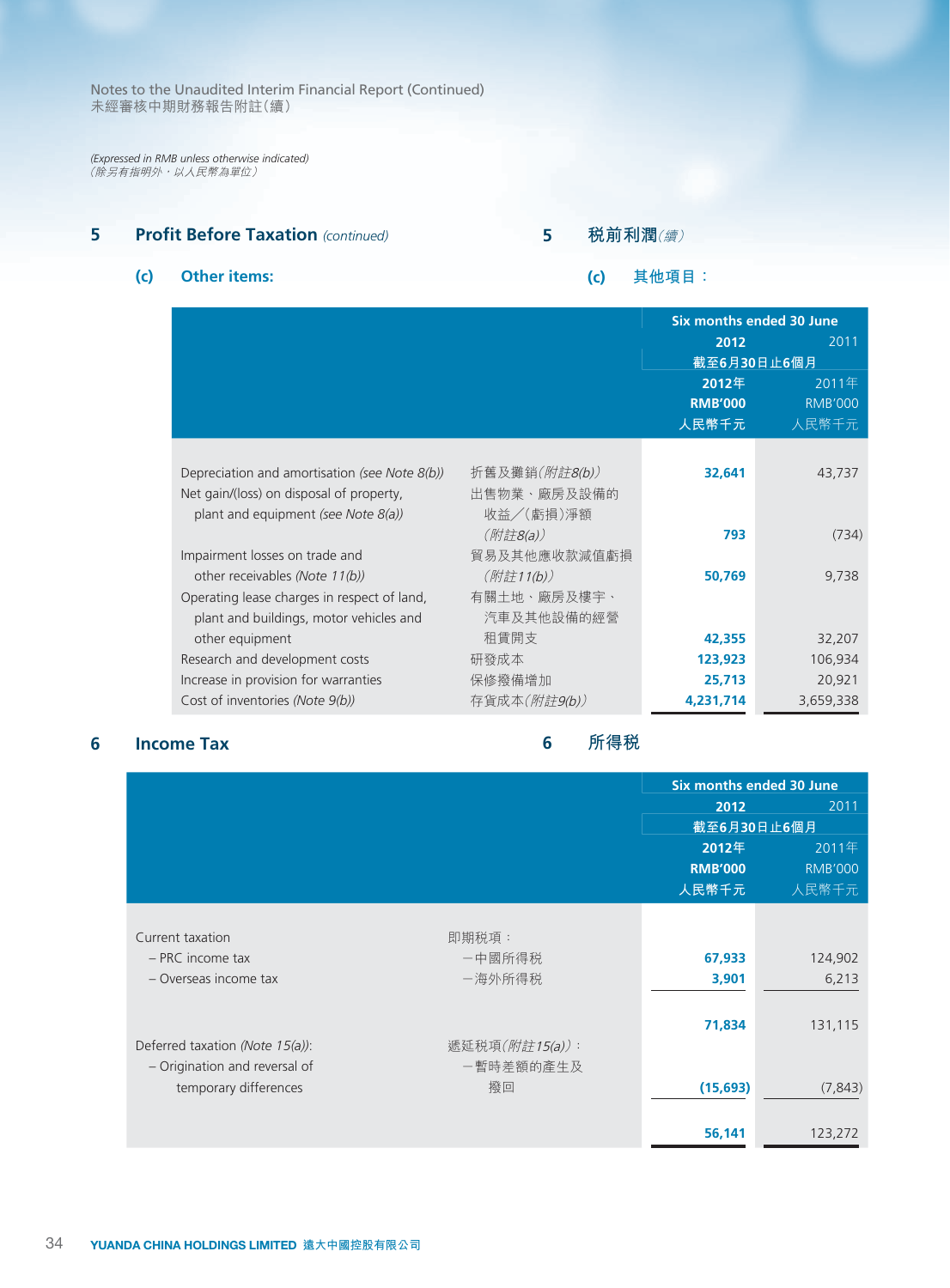*(Expressed in RMB unless otherwise indicated)* (除另有指明外,以人民幣為單位)

# **5 Profit Before Taxation** *(continued)*

# **5 稅前利潤**(續)

# **(c) Other items:**

# **(c) 其他項目:**

|                                               |                       |                | Six months ended 30 June |
|-----------------------------------------------|-----------------------|----------------|--------------------------|
|                                               |                       | 2012           | 2011                     |
|                                               |                       | 截至6月30日止6個月    |                          |
|                                               |                       | 2012年          | 2011年                    |
|                                               |                       | <b>RMB'000</b> | <b>RMB'000</b>           |
|                                               |                       | 人民幣千元          | 人民幣千元                    |
|                                               |                       |                |                          |
| Depreciation and amortisation (see Note 8(b)) | 折舊及攤銷( <i>附註8(b))</i> | 32,641         | 43,737                   |
| Net gain/(loss) on disposal of property,      | 出售物業、廠房及設備的           |                |                          |
| plant and equipment (see Note 8(a))           | 收益/(虧損)淨額             |                |                          |
|                                               | $(M$ 註8(a))           | 793            | (734)                    |
| Impairment losses on trade and                | 貿易及其他應收款減值虧損          |                |                          |
| other receivables (Note 11(b))                | (附註11(b))             | 50,769         | 9,738                    |
| Operating lease charges in respect of land,   | 有關土地、廠房及樓宇、           |                |                          |
| plant and buildings, motor vehicles and       | 汽車及其他設備的經營            |                |                          |
| other equipment                               | 租賃開支                  | 42,355         | 32,207                   |
| Research and development costs                | 研發成本                  | 123,923        | 106,934                  |
| Increase in provision for warranties          | 保修撥備增加                | 25,713         | 20,921                   |
| Cost of inventories (Note 9(b))               | 存貨成本( <i>附註9(b))</i>  | 4,231,714      | 3,659,338                |

# **6 Income Tax**

# **6 所得稅**

|                                 |                |                | Six months ended 30 June |
|---------------------------------|----------------|----------------|--------------------------|
|                                 |                | 2012           | 2011                     |
|                                 |                |                | 截至6月30日止6個月              |
|                                 |                | 2012年          | 2011年                    |
|                                 |                | <b>RMB'000</b> | <b>RMB'000</b>           |
|                                 |                | 人民幣千元          | 人民幣千元                    |
|                                 |                |                |                          |
| Current taxation                | 即期税項:          |                |                          |
| $-$ PRC income tax              | 一中國所得税         | 67,933         | 124,902                  |
| - Overseas income tax           | 一海外所得税         | 3,901          | 6,213                    |
|                                 |                |                |                          |
|                                 |                | 71,834         | 131,115                  |
| Deferred taxation (Note 15(a)): | 遞延税項(附註15(a)): |                |                          |
| - Origination and reversal of   | 一暫時差額的產生及      |                |                          |
| temporary differences           | 撥回             | (15, 693)      | (7, 843)                 |
|                                 |                |                |                          |
|                                 |                | 56,141         | 123,272                  |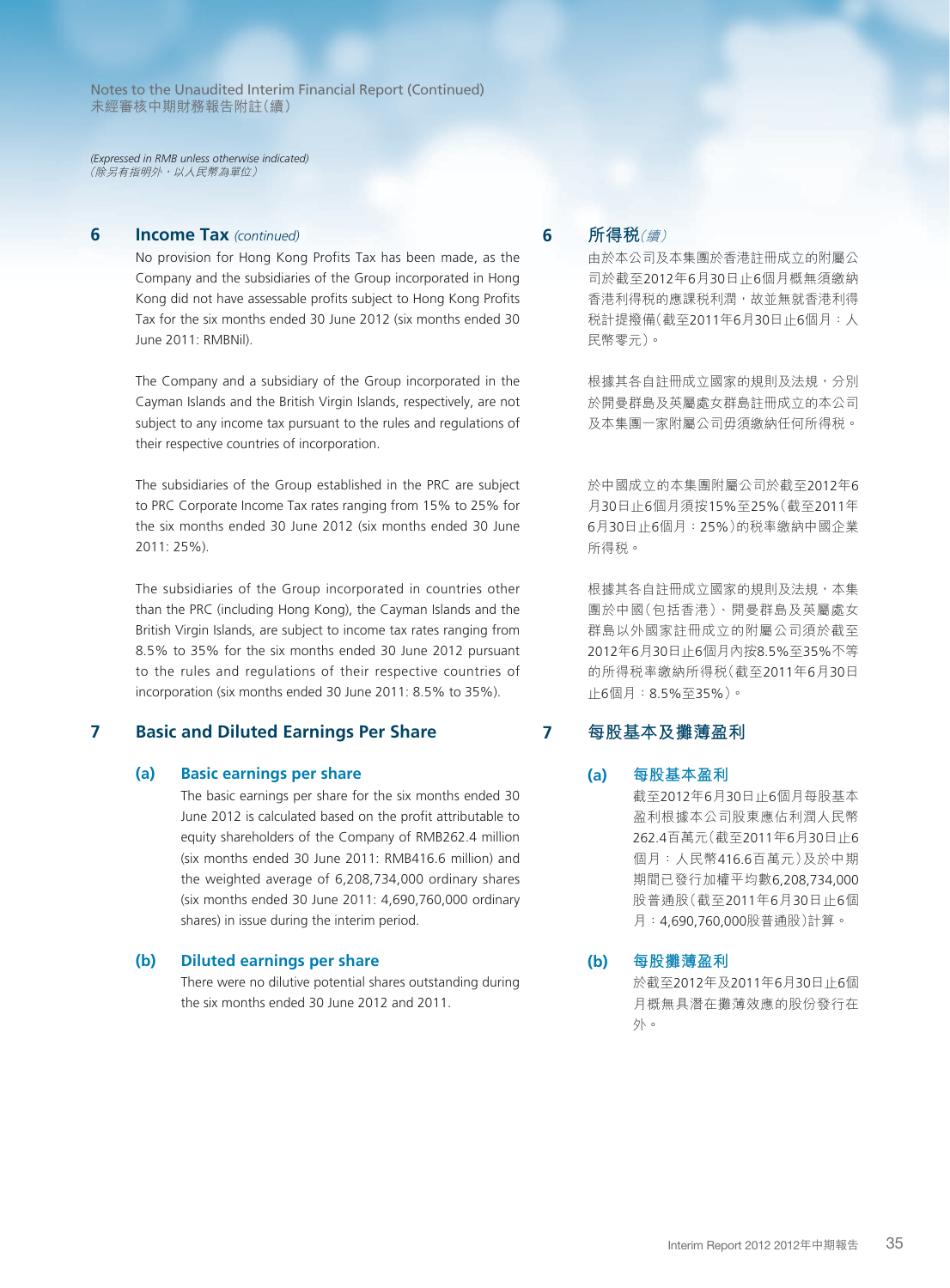*(Expressed in RMB unless otherwise indicated)* (除另有指明外,以人民幣為單位)

# **6 Income Tax** *(continued)*

No provision for Hong Kong Profits Tax has been made, as the Company and the subsidiaries of the Group incorporated in Hong Kong did not have assessable profits subject to Hong Kong Profits Tax for the six months ended 30 June 2012 (six months ended 30 June 2011: RMBNil).

The Company and a subsidiary of the Group incorporated in the Cayman Islands and the British Virgin Islands, respectively, are not subject to any income tax pursuant to the rules and regulations of their respective countries of incorporation.

The subsidiaries of the Group established in the PRC are subject to PRC Corporate Income Tax rates ranging from 15% to 25% for the six months ended 30 June 2012 (six months ended 30 June 2011: 25%).

The subsidiaries of the Group incorporated in countries other than the PRC (including Hong Kong), the Cayman Islands and the British Virgin Islands, are subject to income tax rates ranging from 8.5% to 35% for the six months ended 30 June 2012 pursuant to the rules and regulations of their respective countries of incorporation (six months ended 30 June 2011: 8.5% to 35%).

# **7 Basic and Diluted Earnings Per Share**

#### **(a) Basic earnings per share**

The basic earnings per share for the six months ended 30 June 2012 is calculated based on the profit attributable to equity shareholders of the Company of RMB262.4 million (six months ended 30 June 2011: RMB416.6 million) and the weighted average of 6,208,734,000 ordinary shares (six months ended 30 June 2011: 4,690,760,000 ordinary shares) in issue during the interim period.

#### **(b) Diluted earnings per share**

There were no dilutive potential shares outstanding during the six months ended 30 June 2012 and 2011.

# **6 所得稅**(續)

由於本公司及本集團於香港註冊成立的附屬公 司於截至2012年6月30日止6個月概無須繳納 香港利得稅的應課稅利潤,故並無就香港利得 稅計提撥備(截至2011年6月30日止6個月:人 民幣零元)。

根據其各自註冊成立國家的規則及法規,分別 於開曼群島及英屬處女群島註冊成立的本公司 及本集團一家附屬公司毋須繳納任何所得稅。

於中國成立的本集團附屬公司於截至2012年6 月30日止6個月須按15%至25%(截至2011年 6月30日止6個月:25%)的稅率繳納中國企業 所得稅。

根據其各自註冊成立國家的規則及法規,本集 團於中國(包括香港)、開曼群島及英屬處女 群島以外國家註冊成立的附屬公司須於截至 2012年6月30日止6個月內按8.5%至35%不等 的所得稅率繳納所得稅(截至2011年6月30日 止6個月:8.5%至35%)。

# **7 每股基本及攤薄盈利**

#### **(a) 每股基本盈利**

截至2012年6月30日止6個月每股基本 盈利根據本公司股東應佔利潤人民幣 262.4百萬元(截至2011年6月30日止6 個月:人民幣416.6百萬元)及於中期 期間已發行加權平均數6,208,734,000 股普通股(截至2011年6月30日止6個 月:4,690,760,000股普通股)計算。

#### **(b) 每股攤薄盈利**

於截至2012年及2011年6月30日止6個 月概無具潛在攤薄效應的股份發行在 外。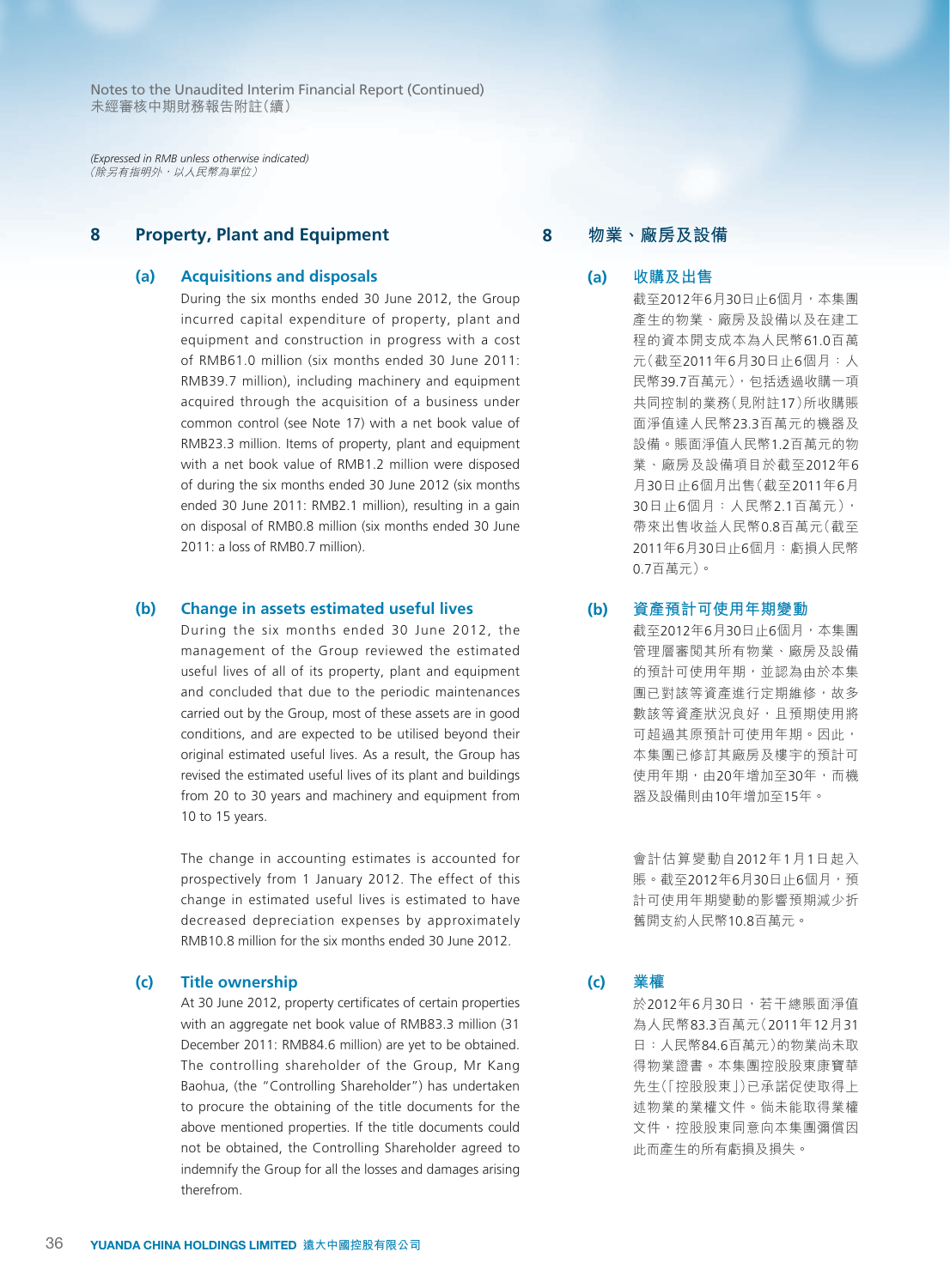*(Expressed in RMB unless otherwise indicated)* (除另有指明外,以人民幣為單位)

# **8 Property, Plant and Equipment**

#### **(a) Acquisitions and disposals**

During the six months ended 30 June 2012, the Group incurred capital expenditure of property, plant and equipment and construction in progress with a cost of RMB61.0 million (six months ended 30 June 2011: RMB39.7 million), including machinery and equipment acquired through the acquisition of a business under common control (see Note 17) with a net book value of RMB23.3 million. Items of property, plant and equipment with a net book value of RMB1.2 million were disposed of during the six months ended 30 June 2012 (six months ended 30 June 2011: RMB2.1 million), resulting in a gain on disposal of RMB0.8 million (six months ended 30 June 2011: a loss of RMB0.7 million).

#### **(b) Change in assets estimated useful lives**

During the six months ended 30 June 2012, the management of the Group reviewed the estimated useful lives of all of its property, plant and equipment and concluded that due to the periodic maintenances carried out by the Group, most of these assets are in good conditions, and are expected to be utilised beyond their original estimated useful lives. As a result, the Group has revised the estimated useful lives of its plant and buildings from 20 to 30 years and machinery and equipment from 10 to 15 years.

The change in accounting estimates is accounted for prospectively from 1 January 2012. The effect of this change in estimated useful lives is estimated to have decreased depreciation expenses by approximately RMB10.8 million for the six months ended 30 June 2012.

#### **(c) Title ownership**

At 30 June 2012, property certificates of certain properties with an aggregate net book value of RMB83.3 million (31 December 2011: RMB84.6 million) are yet to be obtained. The controlling shareholder of the Group, Mr Kang Baohua, (the "Controlling Shareholder") has undertaken to procure the obtaining of the title documents for the above mentioned properties. If the title documents could not be obtained, the Controlling Shareholder agreed to indemnify the Group for all the losses and damages arising therefrom.

### **8 物業、廠房及設備**

#### **(a) 收購及出售**

截至2012年6月30日止6個月,本集團 產生的物業、廠房及設備以及在建工 程的資本開支成本為人民幣61.0百萬 元(截至2011年6月30日止6個月:人 民幣39.7百萬元),包括透過收購一項 共同控制的業務(見附註17)所收購賬 面淨值達人民幣23.3百萬元的機器及 設備。賬面淨值人民幣1.2百萬元的物 業、廠房及設備項目於截至2012年6 月30日止6個月出售(截至2011年6月 30日止6個月:人民幣2.1百萬元), 帶來出售收益人民幣0.8百萬元(截至 2011年6月30日止6個月:虧損人民幣 0.7百萬元)。

#### **(b) 資產預計可使用年期變動**

截至2012年6月30日止6個月,本集團 管理層審閱其所有物業、廠房及設備 的預計可使用年期,並認為由於本集 團已對該等資產進行定期維修,故多 數該等資產狀況良好,且預期使用將 可超過其原預計可使用年期。因此, 本集團已修訂其廠房及樓宇的預計可 使用年期,由20年增加至30年,而機 器及設備則由10年增加至15年。

會計估算變動自2012年1月1日起入 賬。截至2012年6月30日止6個月,預 計可使用年期變動的影響預期減少折 舊開支約人民幣10.8百萬元。

**(c) 業權**

於2012年6月30日,若干總賬面淨值 為人民幣83.3百萬元(2011年12月31 日:人民幣84.6百萬元)的物業尚未取 得物業證書。本集團控股股東康寶華 先生(「控股股東」)已承諾促使取得上 述物業的業權文件。倘未能取得業權 文件,控股股東同意向本集團彌償因 此而產生的所有虧損及損失。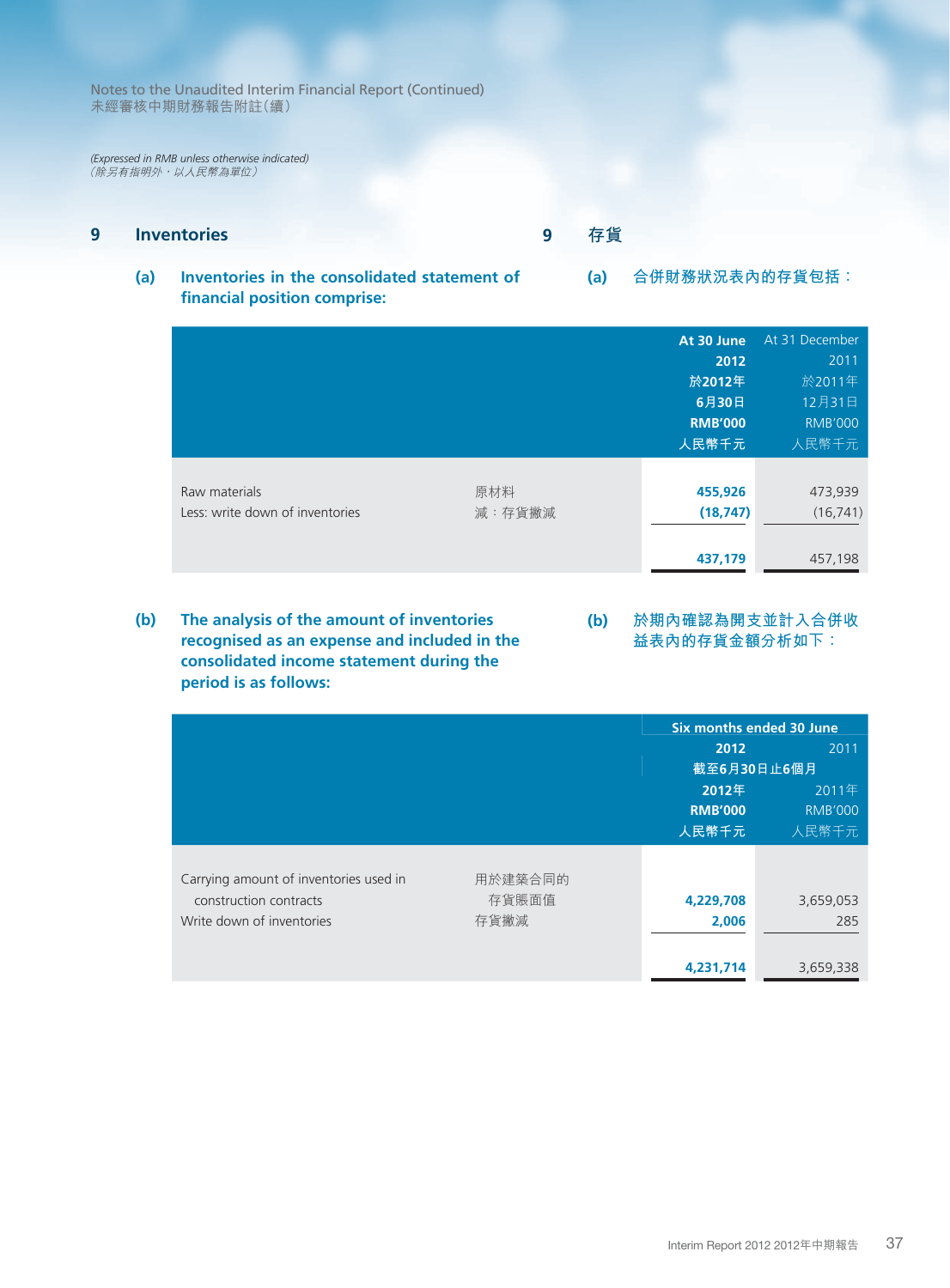*(Expressed in RMB unless otherwise indicated)* (除另有指明外,以人民幣為單位)

# **9 Inventories**

**9 存貨**

**(a) Inventories in the consolidated statement of financial position comprise: (a) 合併財務狀況表內的存貨包括:**

|                                 |        | At 30 June     | At 31 December |
|---------------------------------|--------|----------------|----------------|
|                                 |        | 2012           | 2011           |
|                                 |        | 於2012年         | 於2011年         |
|                                 |        | 6月30日          | 12月31日         |
|                                 |        | <b>RMB'000</b> | <b>RMB'000</b> |
|                                 |        | 人民幣千元          | 人民幣千元          |
|                                 |        |                |                |
| Raw materials                   | 原材料    | 455,926        | 473,939        |
| Less: write down of inventories | 減:存貨撇減 | (18, 747)      | (16, 741)      |
|                                 |        |                |                |
|                                 |        | 437,179        | 457,198        |

**(b) 於期內確認為開支並計入合併收 益表內的存貨金額分析如下: (b) The analysis of the amount of inventories recognised as an expense and included in the consolidated income statement during the period is as follows:**

|                                        |         |                | Six months ended 30 June |
|----------------------------------------|---------|----------------|--------------------------|
|                                        |         | 2012           | 2011                     |
|                                        |         |                | 截至6月30日止6個月              |
|                                        |         | 2012年          | 2011年                    |
|                                        |         | <b>RMB'000</b> | <b>RMB'000</b>           |
|                                        |         | 人民幣千元          | 人民幣千元                    |
|                                        |         |                |                          |
| Carrying amount of inventories used in | 用於建築合同的 |                |                          |
| construction contracts                 | 存貨賬面值   | 4,229,708      | 3,659,053                |
| Write down of inventories              | 存貨撇減    | 2,006          | 285                      |
|                                        |         |                |                          |
|                                        |         | 4,231,714      | 3,659,338                |

Interim Report 2012 2012年中期報告

37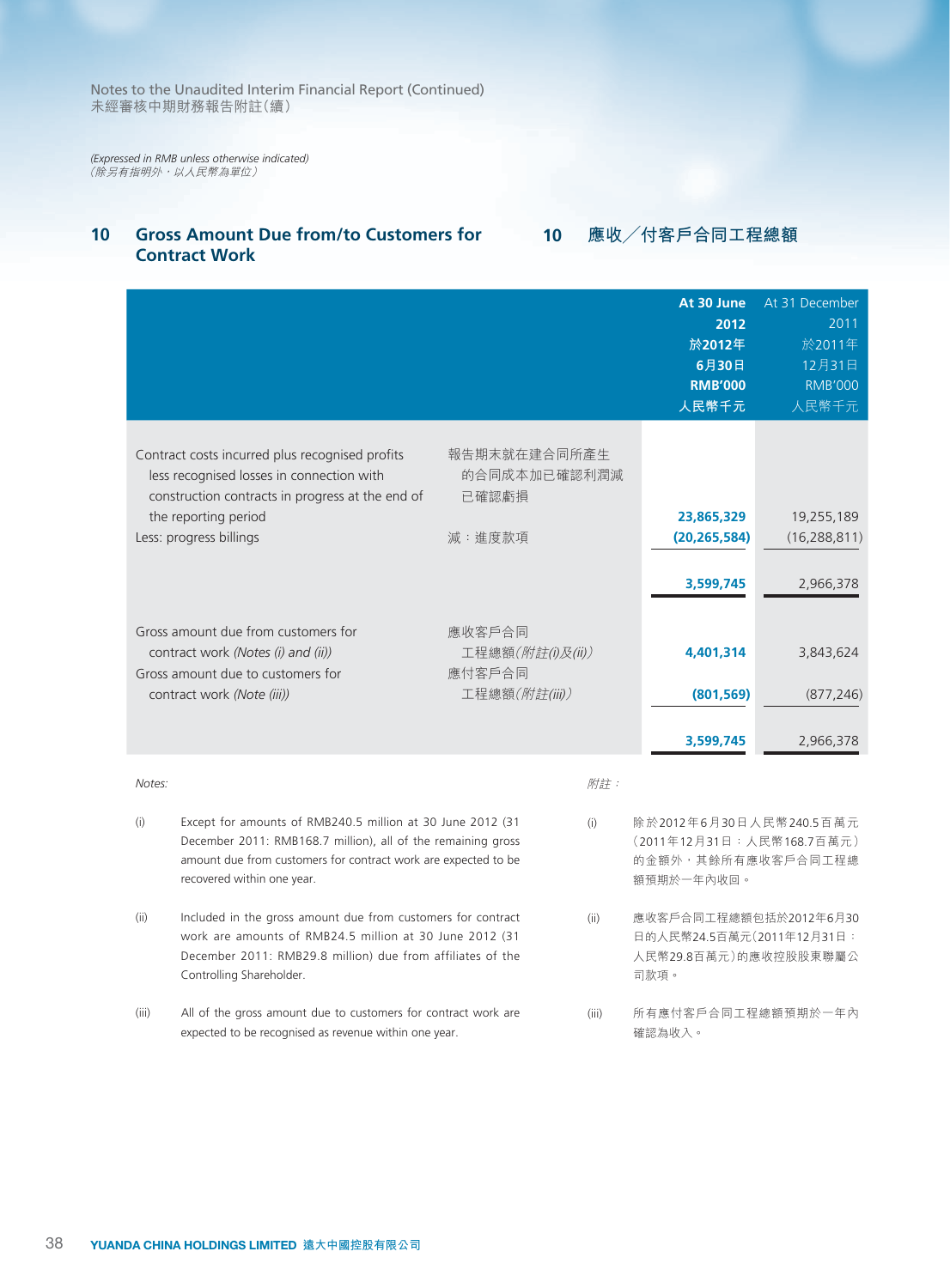*(Expressed in RMB unless otherwise indicated)* (除另有指明外,以人民幣為單位)

# **10 Gross Amount Due from/to Customers for Contract Work**

**10 應收╱付客戶合同工程總額**

|                                                                                                                                                                                                                                   |                                                       |       | At 30 June<br>2012<br>於2012年<br>6月30日<br><b>RMB'000</b><br>人民幣千元                         | At 31 December<br>2011<br>於2011年<br>12月31日<br><b>RMB'000</b><br>人民幣千元 |
|-----------------------------------------------------------------------------------------------------------------------------------------------------------------------------------------------------------------------------------|-------------------------------------------------------|-------|------------------------------------------------------------------------------------------|-----------------------------------------------------------------------|
| Contract costs incurred plus recognised profits<br>less recognised losses in connection with<br>construction contracts in progress at the end of<br>the reporting period<br>Less: progress billings                               | 報告期末就在建合同所產生<br>的合同成本加已確認利潤減<br>已確認虧損<br>減:進度款項       |       | 23,865,329<br>(20, 265, 584)<br>3,599,745                                                | 19,255,189<br>(16, 288, 811)<br>2,966,378                             |
| Gross amount due from customers for<br>contract work (Notes (i) and (ii))<br>Gross amount due to customers for<br>contract work (Note (iii))                                                                                      | 應收客戶合同<br>工程總額(附註(i)及(ii))<br>應付客戶合同<br>工程總額(附註(iii)) |       | 4,401,314<br>(801, 569)<br>3,599,745                                                     | 3,843,624<br>(877, 246)<br>2,966,378                                  |
| Notes:                                                                                                                                                                                                                            |                                                       | 附註:   |                                                                                          |                                                                       |
| (i)<br>Except for amounts of RMB240.5 million at 30 June 2012 (31<br>December 2011: RMB168.7 million), all of the remaining gross<br>amount due from customers for contract work are expected to be<br>recovered within one year. |                                                       | (i)   | 除於2012年6月30日人民幣240.5百萬元<br>(2011年12月31日:人民幣168.7百萬元)<br>的金額外,其餘所有應收客戶合同工程總<br>額預期於一年內收回。 |                                                                       |
| (ii)<br>Included in the gross amount due from customers for contract<br>work are amounts of RMB24.5 million at 30 June 2012 (31<br>December 2011: RMB29.8 million) due from affiliates of the<br>Controlling Shareholder.         |                                                       | (ii)  | 應收客戶合同工程總額包括於2012年6月30<br>日的人民幣24.5百萬元(2011年12月31日:<br>人民幣29.8百萬元)的應收控股股東聯屬公<br>司款項。     |                                                                       |
| All of the gross amount due to customers for contract work are<br>(iii)<br>expected to be recognised as revenue within one year.                                                                                                  |                                                       | (iii) | 所有應付客戶合同工程總額預期於一年內<br>確認為收入。                                                             |                                                                       |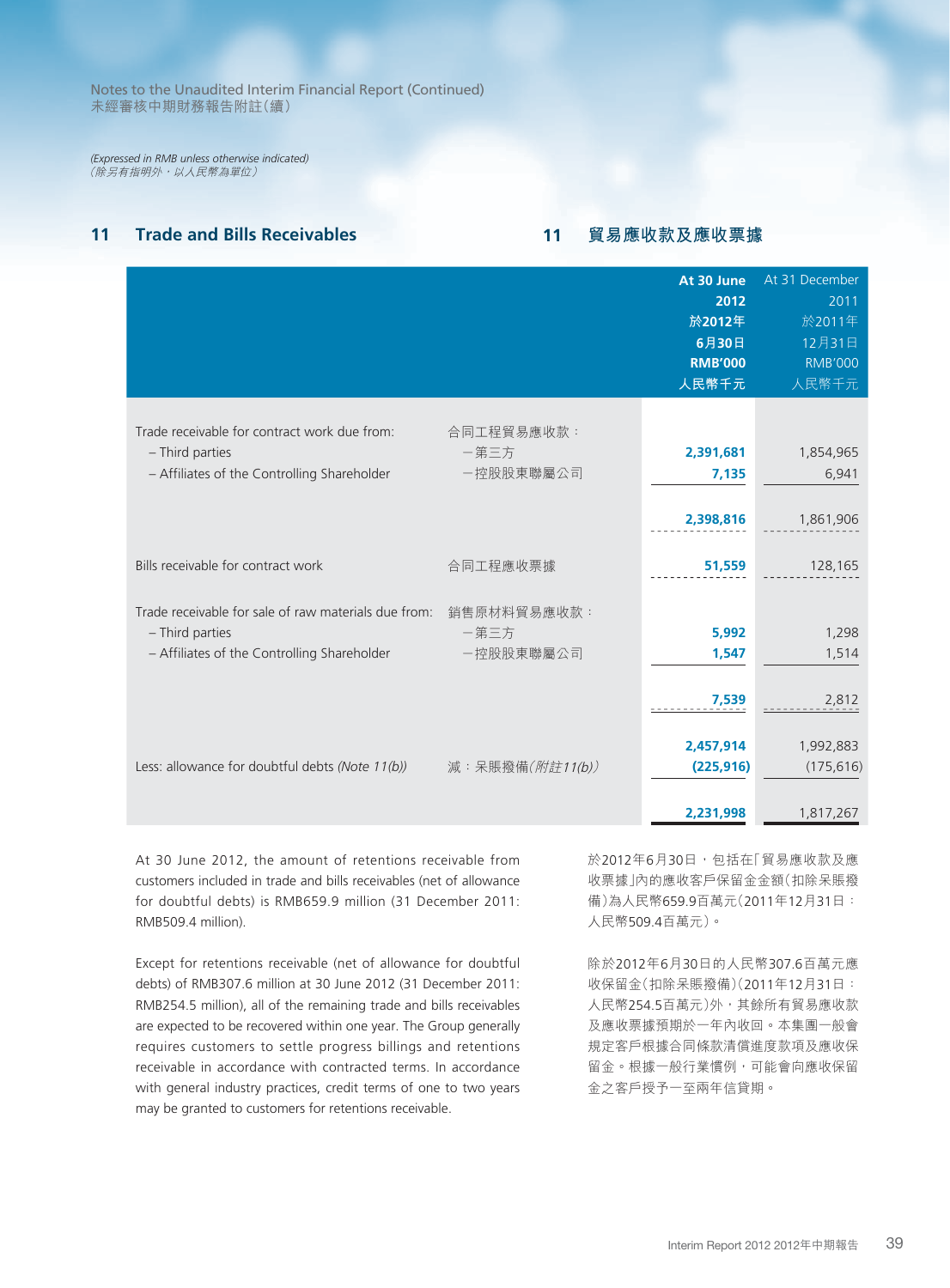*(Expressed in RMB unless otherwise indicated)* (除另有指明外,以人民幣為單位)

# **11 Trade and Bills Receivables 11 貿易應收款及應收票據**

|                                                                                                                                    |                                 | At 30 June<br>2012<br>於2012年<br>6月30日<br><b>RMB'000</b><br>人民幣千元 | At 31 December<br>2011<br>於2011年<br>12月31日<br><b>RMB'000</b><br>人民幣千元 |
|------------------------------------------------------------------------------------------------------------------------------------|---------------------------------|------------------------------------------------------------------|-----------------------------------------------------------------------|
| Trade receivable for contract work due from:<br>- Third parties<br>- Affiliates of the Controlling Shareholder                     | 合同工程貿易應收款:<br>一第三方<br>一控股股東聯屬公司 | 2,391,681<br>7,135<br>2,398,816                                  | 1,854,965<br>6,941<br>1,861,906                                       |
| Bills receivable for contract work                                                                                                 | 合同工程應收票據                        | 51,559                                                           | 128,165                                                               |
| Trade receivable for sale of raw materials due from: 銷售原材料貿易應收款:<br>- Third parties<br>- Affiliates of the Controlling Shareholder | 一第三方<br>一控股股東聯屬公司               | 5,992<br>1,547<br>7,539                                          | 1,298<br>1,514<br>2,812                                               |
| Less: allowance for doubtful debts (Note 11(b))                                                                                    | 減: 呆賬撥備(附註11(b))                | 2,457,914<br>(225, 916)<br>2,231,998                             | 1,992,883<br>(175, 616)<br>1,817,267                                  |

At 30 June 2012, the amount of retentions receivable from customers included in trade and bills receivables (net of allowance for doubtful debts) is RMB659.9 million (31 December 2011: RMB509.4 million).

Except for retentions receivable (net of allowance for doubtful debts) of RMB307.6 million at 30 June 2012 (31 December 2011: RMB254.5 million), all of the remaining trade and bills receivables are expected to be recovered within one year. The Group generally requires customers to settle progress billings and retentions receivable in accordance with contracted terms. In accordance with general industry practices, credit terms of one to two years may be granted to customers for retentions receivable.

於2012年6月30日,包括在「貿易應收款及應 收票據」內的應收客戶保留金金額(扣除呆賬撥 備)為人民幣659.9百萬元(2011年12月31日: 人民幣509.4百萬元)。

除於2012年6月30日的人民幣307.6百萬元應 收保留金(扣除呆賬撥備)(2011年12月31日: 人民幣254.5百萬元)外,其餘所有貿易應收款 及應收票據預期於一年內收回。本集團一般會 規定客戶根據合同條款清償進度款項及應收保 留金。根據一般行業慣例,可能會向應收保留 金之客戶授予一至兩年信貸期。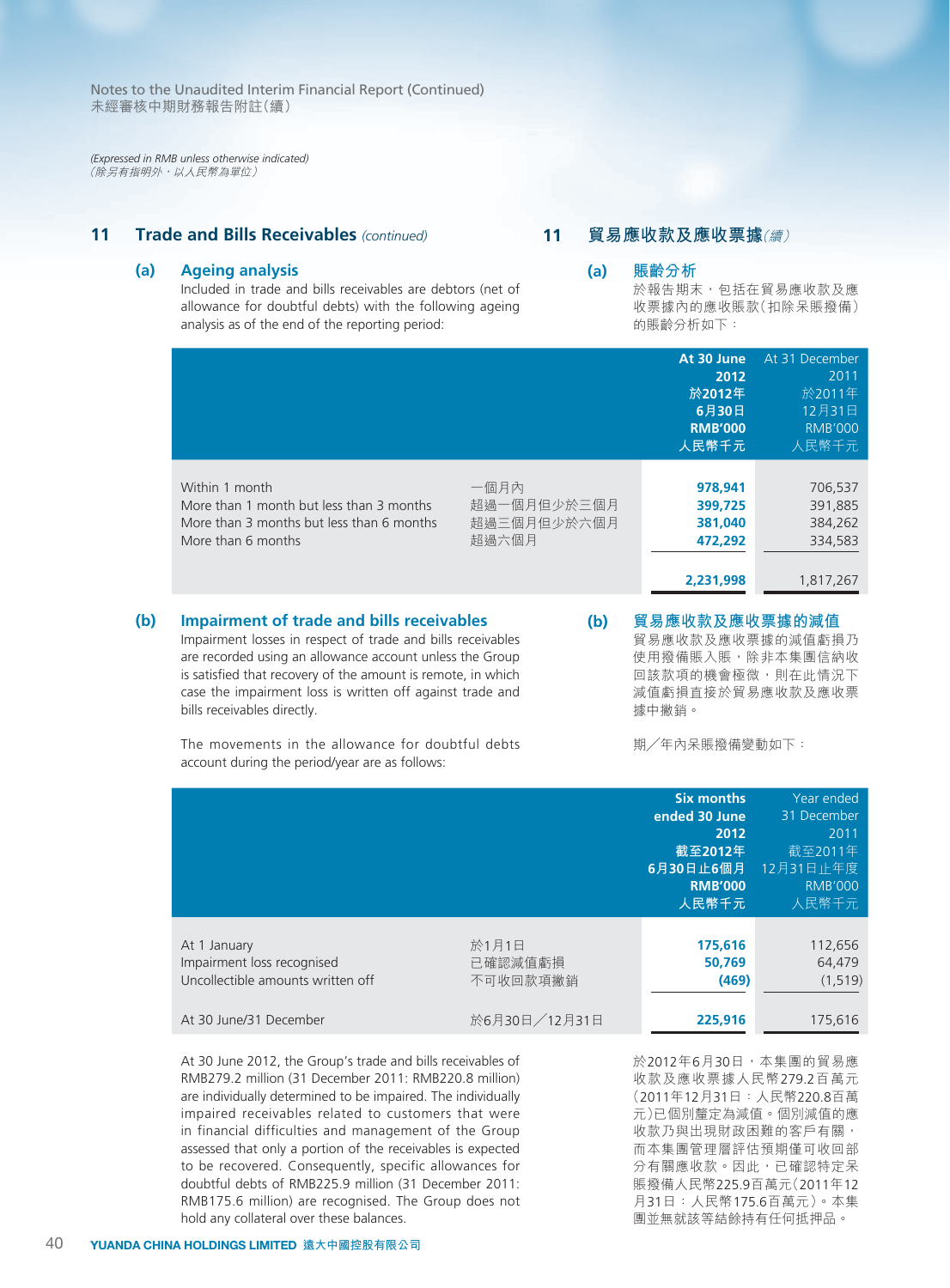*(Expressed in RMB unless otherwise indicated)* (除另有指明外,以人民幣為單位)

### **11 Trade and Bills Receivables** *(continued)*

#### **(a) Ageing analysis**

Included in trade and bills receivables are debtors (net of allowance for doubtful debts) with the following ageing analysis as of the end of the reporting period:

# **11 貿易應收款及應收票據**(續)

**(a) 賬齡分析** 於報告期末,包括在貿易應收款及應 收票據內的應收賬款(扣除呆賬撥備) 的賬齡分析如下:

|     |                                                                                                                               |                                             | At 30 June<br>2012<br>於2012年<br>6月30日<br><b>RMB'000</b><br>人民幣千元 | At 31 December<br>2011<br>於2011年<br>12月31日<br><b>RMB'000</b><br>人民幣千元 |
|-----|-------------------------------------------------------------------------------------------------------------------------------|---------------------------------------------|------------------------------------------------------------------|-----------------------------------------------------------------------|
|     | Within 1 month<br>More than 1 month but less than 3 months<br>More than 3 months but less than 6 months<br>More than 6 months | 一個月內<br>超過一個月但少於三個月<br>超過三個月但少於六個月<br>超過六個月 | 978,941<br>399,725<br>381,040<br>472,292<br>2,231,998            | 706,537<br>391,885<br>384,262<br>334,583<br>1,817,267                 |
| (b) | <b>Impairment of trade and bills receivables</b>                                                                              | (b)                                         | 貿易應收款及應收票據的減值                                                    |                                                                       |

Impairment losses in respect of trade and bills receivables are recorded using an allowance account unless the Group is satisfied that recovery of the amount is remote, in which case the impairment loss is written off against trade and bills receivables directly.

The movements in the allowance for doubtful debts account during the period/year are as follows:

**(b) 貿易應收款及應收票據的減值** 貿易應收款及應收票據的減值虧損乃 使用撥備賬入賬,除非本集團信納收 回該款項的機會極微,則在此情況下

減值虧損直接於貿易應收款及應收票

期╱年內呆賬撥備變動如下:

據中撇銷。

|                                                                                 |                              | <b>Six months</b><br>ended 30 June<br>2012<br>截至2012年<br>6月30日止6個月<br><b>RMB'000</b><br>人民幣千元 | Year ended<br>31 December<br>2011<br>截至2011年<br>12月31日止年度<br><b>RMB'000</b><br>人民幣千元 |
|---------------------------------------------------------------------------------|------------------------------|-----------------------------------------------------------------------------------------------|--------------------------------------------------------------------------------------|
| At 1 January<br>Impairment loss recognised<br>Uncollectible amounts written off | 於1月1日<br>已確認減值虧損<br>不可收回款項撇銷 | 175,616<br>50.769<br>(469)                                                                    | 112,656<br>64,479<br>(1, 519)                                                        |
| At 30 June/31 December                                                          | 於6月30日/12月31日                | 225,916                                                                                       | 175,616                                                                              |

At 30 June 2012, the Group's trade and bills receivables of RMB279.2 million (31 December 2011: RMB220.8 million) are individually determined to be impaired. The individually impaired receivables related to customers that were in financial difficulties and management of the Group assessed that only a portion of the receivables is expected to be recovered. Consequently, specific allowances for doubtful debts of RMB225.9 million (31 December 2011: RMB175.6 million) are recognised. The Group does not hold any collateral over these balances.

於2012年6月30日,本集團的貿易應 收款及應收票據人民幣279.2百萬元 (2011年12月31日:人民幣220.8百萬 元)已個別釐定為減值。個別減值的應 收款乃與出現財政困難的客戶有關, 而本集團管理層評估預期僅可收回部 分有關應收款。因此,已確認特定呆 賬撥備人民幣225.9百萬元(2011年12 月31日:人民幣175.6百萬元)。本集 團並無就該等結餘持有任何抵押品。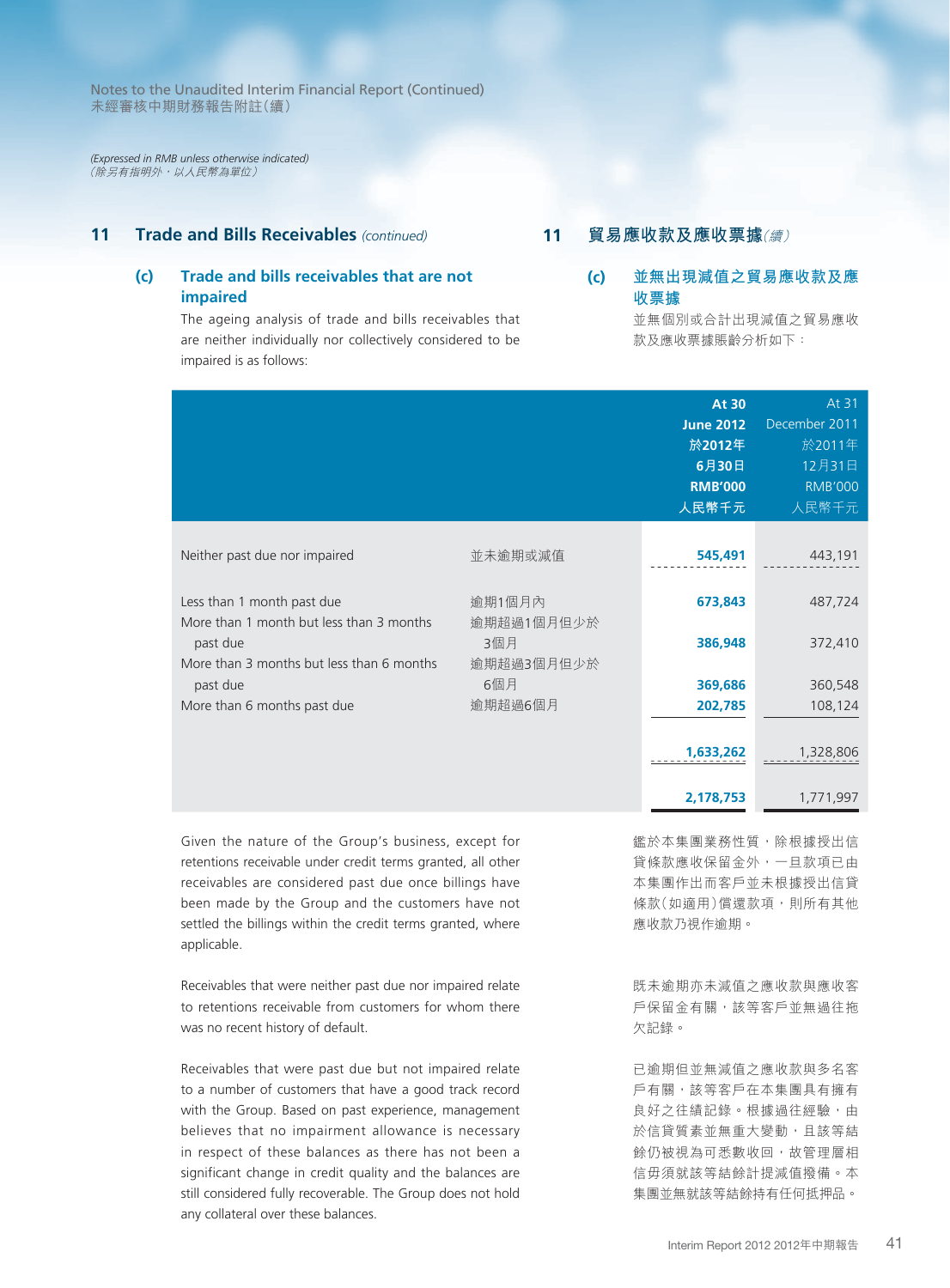*(Expressed in RMB unless otherwise indicated)* (除另有指明外,以人民幣為單位)

### **11 Trade and Bills Receivables** *(continued)*

# **(c) Trade and bills receivables that are not impaired**

The ageing analysis of trade and bills receivables that are neither individually nor collectively considered to be impaired is as follows:

# **11 貿易應收款及應收票據**(續)

# **(c) 並無出現減值之貿易應收款及應 收票據**

並無個別或合計出現減值之貿易應收 款及應收票據賬齡分析如下:

|                                                                        |                      | <b>At 30</b><br><b>June 2012</b><br>於2012年<br>6月30日<br><b>RMB'000</b><br>人民幣千元 | At 31<br>December 2011<br>於2011年<br>12月31日<br><b>RMB'000</b><br>人民幣千元 |
|------------------------------------------------------------------------|----------------------|--------------------------------------------------------------------------------|-----------------------------------------------------------------------|
| Neither past due nor impaired                                          | 並未逾期或減值              | 545,491                                                                        | 443,191                                                               |
| Less than 1 month past due<br>More than 1 month but less than 3 months | 逾期1個月內<br>逾期超過1個月但少於 | 673,843                                                                        | 487,724                                                               |
| past due<br>More than 3 months but less than 6 months                  | 3個月<br>逾期超過3個月但少於    | 386,948                                                                        | 372,410                                                               |
| past due                                                               | 6個月                  | 369,686                                                                        | 360,548                                                               |
| More than 6 months past due                                            | 逾期超過6個月              | 202,785                                                                        | 108,124                                                               |
|                                                                        |                      | 1,633,262                                                                      | 1,328,806                                                             |
|                                                                        |                      | 2,178,753                                                                      | 1,771,997                                                             |

Given the nature of the Group's business, except for retentions receivable under credit terms granted, all other receivables are considered past due once billings have been made by the Group and the customers have not settled the billings within the credit terms granted, where applicable.

Receivables that were neither past due nor impaired relate to retentions receivable from customers for whom there was no recent history of default.

Receivables that were past due but not impaired relate to a number of customers that have a good track record with the Group. Based on past experience, management believes that no impairment allowance is necessary in respect of these balances as there has not been a significant change in credit quality and the balances are still considered fully recoverable. The Group does not hold any collateral over these balances.

鑑於本集團業務性質,除根據授出信 貸條款應收保留金外,一旦款項已由 本集團作出而客戶並未根據授出信貸 條款(如適用)償還款項,則所有其他 應收款乃視作逾期。

既未逾期亦未減值之應收款與應收客 戶保留金有關,該等客戶並無過往拖 欠記錄。

已逾期但並無減值之應收款與多名客 戶有關,該等客戶在本集團具有擁有 良好之往績記錄。根據過往經驗,由 於信貸質素並無重大變動,且該等結 餘仍被視為可悉數收回,故管理層相 信毋須就該等結餘計提減值撥備。本 集團並無就該等結餘持有任何抵押品。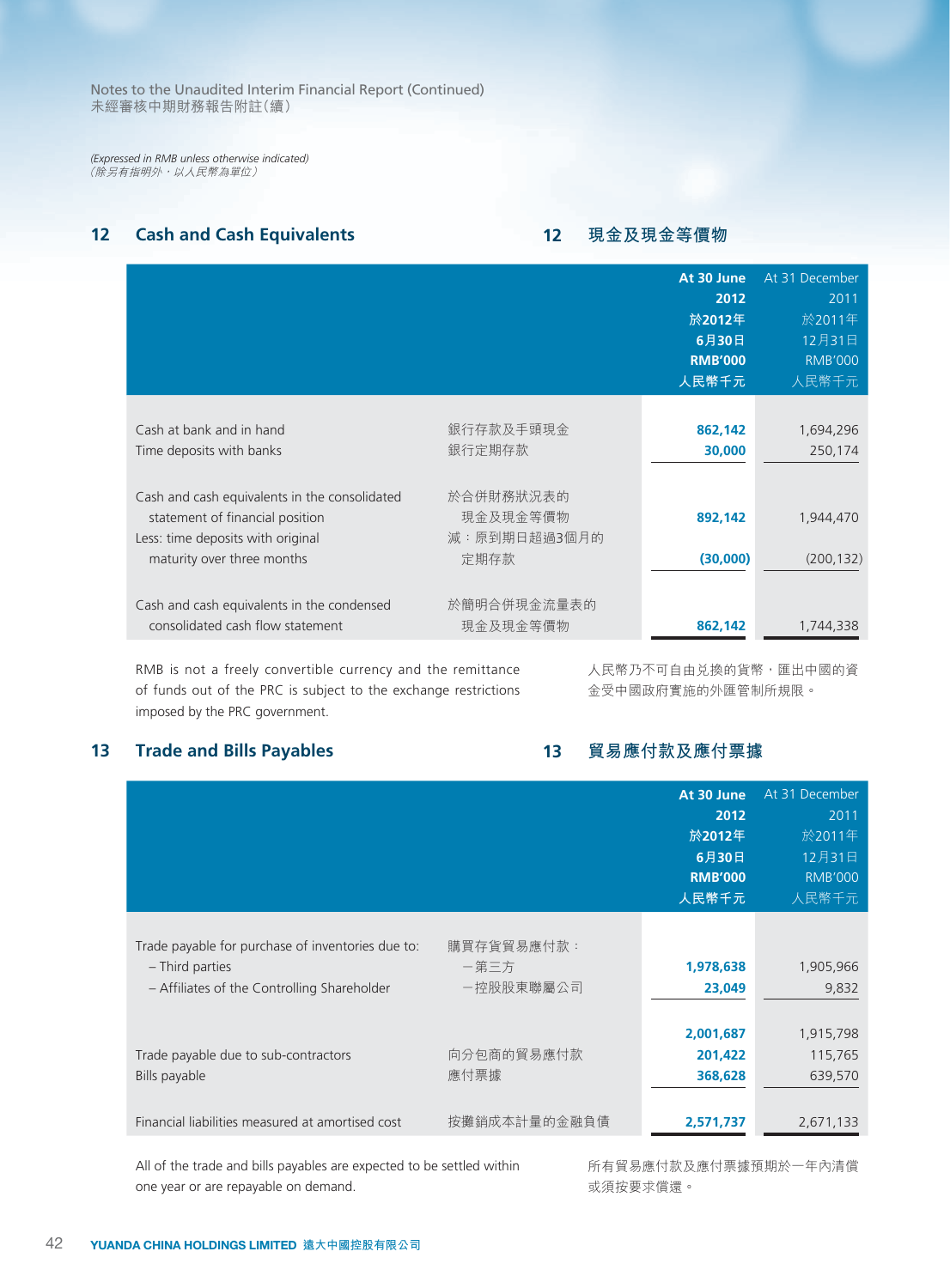*(Expressed in RMB unless otherwise indicated)* (除另有指明外,以人民幣為單位)

# **12 Cash and Cash Equivalents**

# **12 現金及現金等價物**

|                                                                                                                                                     |                                               | At 30 June<br>2012<br>於2012年<br>6月30日<br><b>RMB'000</b><br>人民幣千元 | At 31 December<br>2011<br>於2011年<br>12月31日<br><b>RMB'000</b><br>人民幣千元 |
|-----------------------------------------------------------------------------------------------------------------------------------------------------|-----------------------------------------------|------------------------------------------------------------------|-----------------------------------------------------------------------|
| Cash at bank and in hand<br>Time deposits with banks                                                                                                | 銀行存款及手頭現金<br>銀行定期存款                           | 862,142<br>30,000                                                | 1,694,296<br>250,174                                                  |
| Cash and cash equivalents in the consolidated<br>statement of financial position<br>Less: time deposits with original<br>maturity over three months | 於合併財務狀況表的<br>現金及現金等價物<br>減:原到期日超過3個月的<br>定期存款 | 892,142<br>(30,000)                                              | 1,944,470<br>(200, 132)                                               |
| Cash and cash equivalents in the condensed<br>consolidated cash flow statement                                                                      | 於簡明合併現金流量表的<br>現金及現金等價物                       | 862,142                                                          | 1,744,338                                                             |

RMB is not a freely convertible currency and the remittance of funds out of the PRC is subject to the exchange restrictions imposed by the PRC government.

人民幣乃不可自由兌換的貨幣,匯出中國的資 金受中國政府實施的外匯管制所規限。

# **13 Trade and Bills Payables**

**13 貿易應付款及應付票據**

|                                                                                                                     |                                 | At 30 June<br>2012<br>於2012年<br>6月30日<br><b>RMB'000</b><br>人民幣千元 | At 31 December<br>2011<br>於2011年<br>12月31日<br><b>RMB'000</b><br>人民幣千元 |
|---------------------------------------------------------------------------------------------------------------------|---------------------------------|------------------------------------------------------------------|-----------------------------------------------------------------------|
| Trade payable for purchase of inventories due to:<br>- Third parties<br>- Affiliates of the Controlling Shareholder | 購買存貨貿易應付款:<br>一第三方<br>一控股股東聯屬公司 | 1,978,638<br>23,049                                              | 1,905,966<br>9,832                                                    |
| Trade payable due to sub-contractors<br>Bills payable                                                               | 向分包商的貿易應付款<br>應付票據              | 2,001,687<br>201,422<br>368,628                                  | 1,915,798<br>115,765<br>639,570                                       |
| Financial liabilities measured at amortised cost                                                                    | 按攤銷成本計量的金融負債                    | 2,571,737                                                        | 2,671,133                                                             |

All of the trade and bills payables are expected to be settled within one year or are repayable on demand.

或須按要求償還。

所有貿易應付款及應付票據預期於一年內清償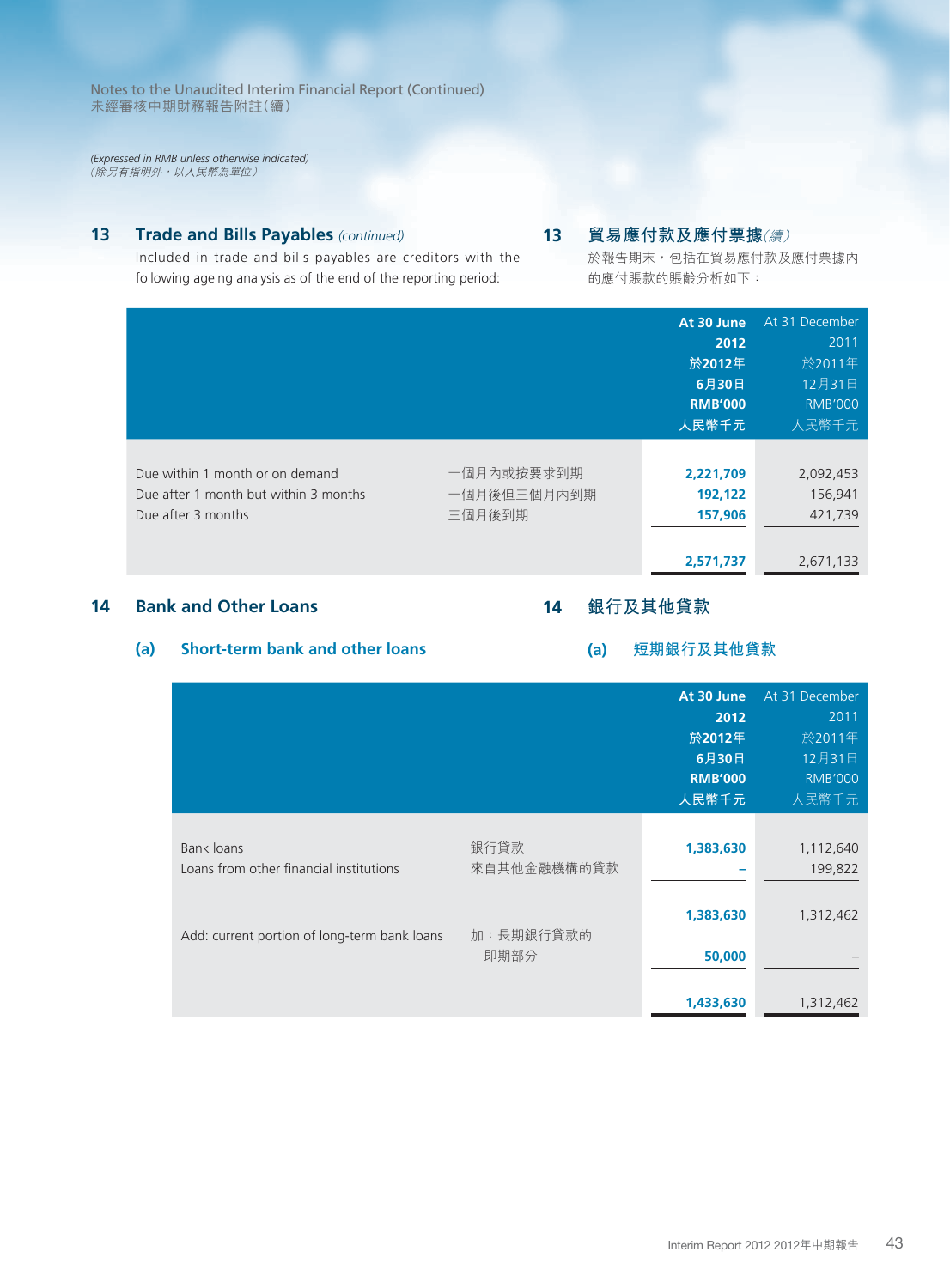*(Expressed in RMB unless otherwise indicated)* (除另有指明外,以人民幣為單位)

# **13 Trade and Bills Payables** *(continued)*

Included in trade and bills payables are creditors with the following ageing analysis as of the end of the reporting period:

# **13 貿易應付款及應付票據**(續)

於報告期末,包括在貿易應付款及應付票據內 的應付賬款的賬齡分析如下:

|                                       |             | At 30 June     | At 31 December |
|---------------------------------------|-------------|----------------|----------------|
|                                       |             | 2012           | 2011           |
|                                       |             | 於2012年         | 於2011年         |
|                                       |             | 6月30日          | 12月31日         |
|                                       |             | <b>RMB'000</b> | <b>RMB'000</b> |
|                                       |             | 人民幣千元          | 人民幣千元          |
|                                       |             |                |                |
| Due within 1 month or on demand       | 一個月內或按要求到期  | 2,221,709      | 2,092,453      |
| Due after 1 month but within 3 months | 一個月後但三個月內到期 | 192,122        | 156,941        |
| Due after 3 months                    | 三個月後到期      | 157,906        | 421,739        |
|                                       |             |                |                |
|                                       |             | 2,571,737      | 2,671,133      |

# **14 Bank and Other Loans**

# **14 銀行及其他貸款**

# **(a) Short-term bank and other loans**

#### **(a) 短期銀行及其他貸款**

|                                                       |                     | At 30 June<br>2012<br>於2012年<br>6月30日<br><b>RMB'000</b><br>人民幣千元 | At 31 December<br>2011<br>於2011年<br>12月31日<br><b>RMB'000</b><br>人民幣千元 |
|-------------------------------------------------------|---------------------|------------------------------------------------------------------|-----------------------------------------------------------------------|
| Bank loans<br>Loans from other financial institutions | 銀行貸款<br>來自其他金融機構的貸款 | 1,383,630                                                        | 1,112,640<br>199,822                                                  |
| Add: current portion of long-term bank loans          | 加:長期銀行貸款的<br>即期部分   | 1,383,630<br>50,000                                              | 1,312,462                                                             |
|                                                       |                     | 1,433,630                                                        | 1,312,462                                                             |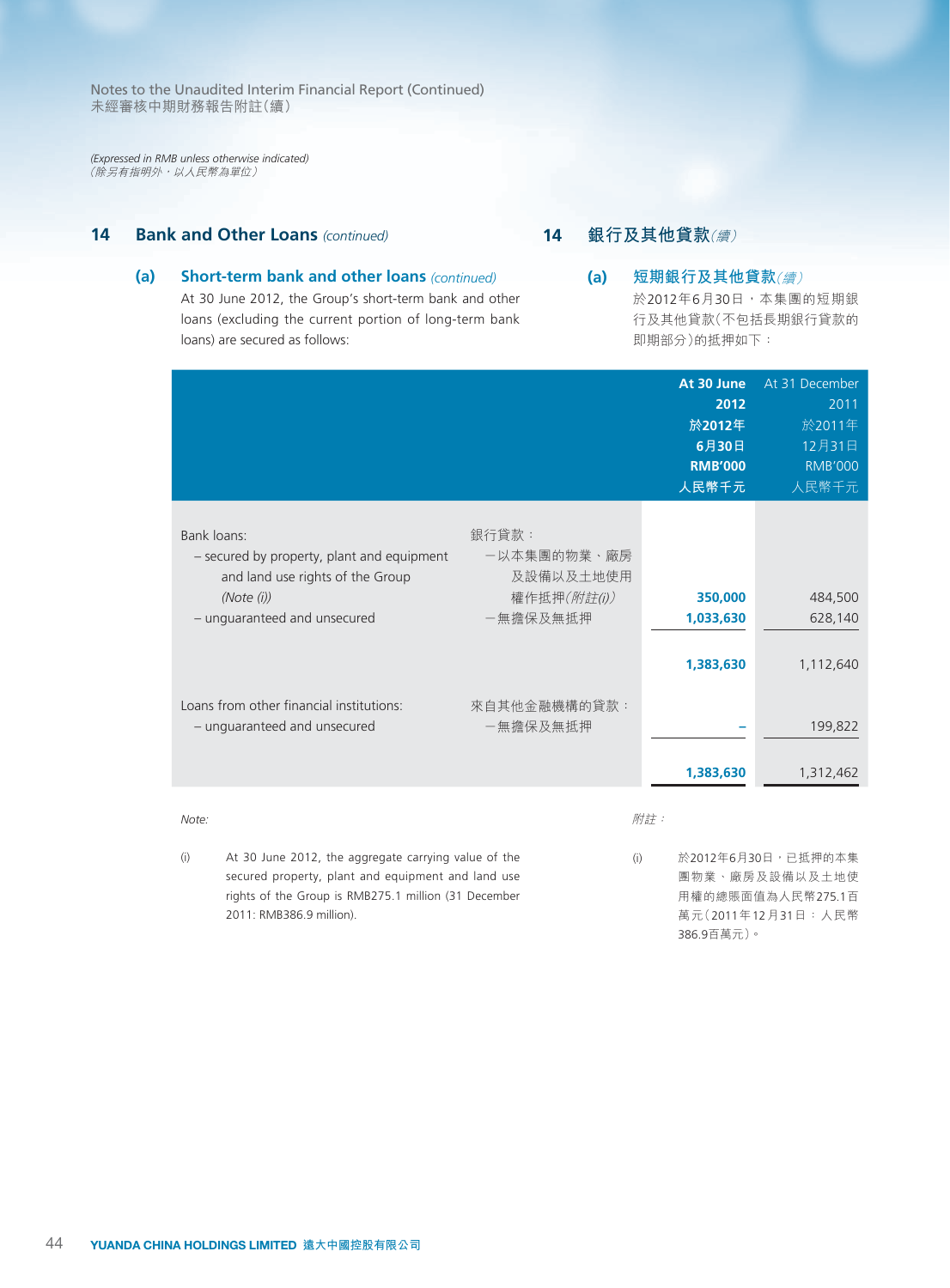*(Expressed in RMB unless otherwise indicated)* (除另有指明外,以人民幣為單位)

# **14 Bank and Other Loans** *(continued)*

# **14 銀行及其他貸款**(續)

# **(a) Short-term bank and other loans** *(continued)*

At 30 June 2012, the Group's short-term bank and other loans (excluding the current portion of long-term bank loans) are secured as follows:

**(a) 短期銀行及其他貸款**(續) 於2012年6月30日,本集團的短期銀 行及其他貸款(不包括長期銀行貸款的 即期部分)的抵押如下:

|                                                                                                                                             |                                                              | At 30 June<br>2012<br>於2012年<br>6月30日<br><b>RMB'000</b><br>人民幣千元 | At 31 December<br>2011<br>於2011年<br>12月31日<br><b>RMB'000</b><br>人民幣千元 |
|---------------------------------------------------------------------------------------------------------------------------------------------|--------------------------------------------------------------|------------------------------------------------------------------|-----------------------------------------------------------------------|
| Bank loans:<br>- secured by property, plant and equipment<br>and land use rights of the Group<br>(Note (i))<br>- unguaranteed and unsecured | 銀行貸款:<br>ー以本集團的物業、廠房<br>及設備以及土地使用<br>權作抵押(附註(i))<br>一無擔保及無抵押 | 350,000<br>1,033,630<br>1,383,630                                | 484,500<br>628,140<br>1,112,640                                       |
| Loans from other financial institutions:<br>- unguaranteed and unsecured                                                                    | 來自其他金融機構的貸款:<br>一無擔保及無抵押                                     | 1,383,630                                                        | 199,822<br>1,312,462                                                  |
| Note:                                                                                                                                       |                                                              | 附註:                                                              |                                                                       |

(i) At 30 June 2012, the aggregate carrying value of the secured property, plant and equipment and land use rights of the Group is RMB275.1 million (31 December 2011: RMB386.9 million).

(i) 於2012年6月30日,已抵押的本集 團物業、廠房及設備以及土地使 用權的總賬面值為人民幣275.1百 萬元(2011年12月31日:人民幣 386.9百萬元)。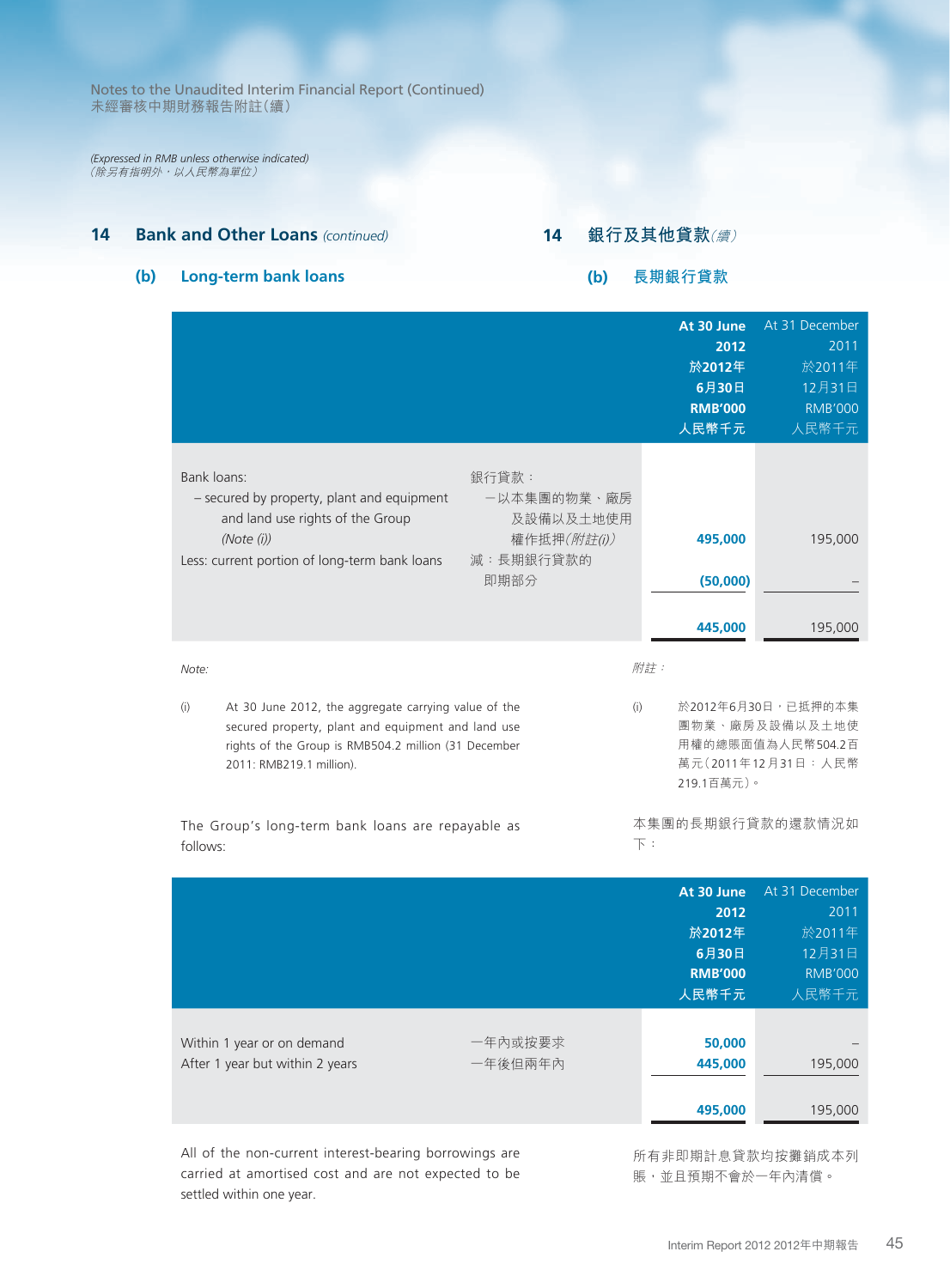*(Expressed in RMB unless otherwise indicated)* (除另有指明外,以人民幣為單位)

# **14 Bank and Other Loans** *(continued)*

# **14 銀行及其他貸款**(續)

# **(b) Long-term bank loans**

# **(b) 長期銀行貸款**

|                                                                                                                                                                                                       |                                                                       |                       | At 30 June<br>2012<br>於2012年<br>6月30日<br><b>RMB'000</b><br>人民幣千元 | At 31 December<br>2011<br>於2011年<br>12月31日<br><b>RMB'000</b><br>人民幣千元           |
|-------------------------------------------------------------------------------------------------------------------------------------------------------------------------------------------------------|-----------------------------------------------------------------------|-----------------------|------------------------------------------------------------------|---------------------------------------------------------------------------------|
| Bank loans:<br>- secured by property, plant and equipment<br>and land use rights of the Group<br>(Note (i))<br>Less: current portion of long-term bank loans                                          | 銀行貸款:<br>ー以本集團的物業、廠房<br>及設備以及土地使用<br>權作抵押(附註(i))<br>減:長期銀行貸款的<br>即期部分 |                       | 495,000<br>(50,000)<br>445,000                                   | 195,000<br>195,000                                                              |
| Note:                                                                                                                                                                                                 |                                                                       | 附註:                   |                                                                  |                                                                                 |
| At 30 June 2012, the aggregate carrying value of the<br>(i)<br>secured property, plant and equipment and land use<br>rights of the Group is RMB504.2 million (31 December<br>2011: RMB219.1 million). |                                                                       | (i)                   | 219.1百萬元)。                                                       | 於2012年6月30日,已抵押的本集<br>團物業、廠房及設備以及土地使<br>用權的總賬面值為人民幣504.2百<br>萬元(2011年12月31日:人民幣 |
| The Group's long-term bank loans are repayable as<br>follows:                                                                                                                                         |                                                                       | $\overline{\Gamma}$ : |                                                                  | 本集團的長期銀行貸款的還款情況如                                                                |
|                                                                                                                                                                                                       |                                                                       |                       | At 30 June<br>2012<br>於2012年<br>6月30日<br><b>RMB'000</b><br>人民幣千元 | At 31 December<br>2011<br>於2011年<br>12月31日<br><b>RMB'000</b><br>人民幣千元           |
| Within 1 year or on demand<br>After 1 year but within 2 years                                                                                                                                         | -年內或按要求<br>一年後但兩年內                                                    |                       | 50,000<br>445,000                                                | 195,000                                                                         |
|                                                                                                                                                                                                       |                                                                       |                       | 495,000                                                          | 195,000                                                                         |

All of the non-current interest-bearing borrowings are carried at amortised cost and are not expected to be settled within one year.

所有非即期計息貸款均按攤銷成本列 賬,並且預期不會於一年內清償。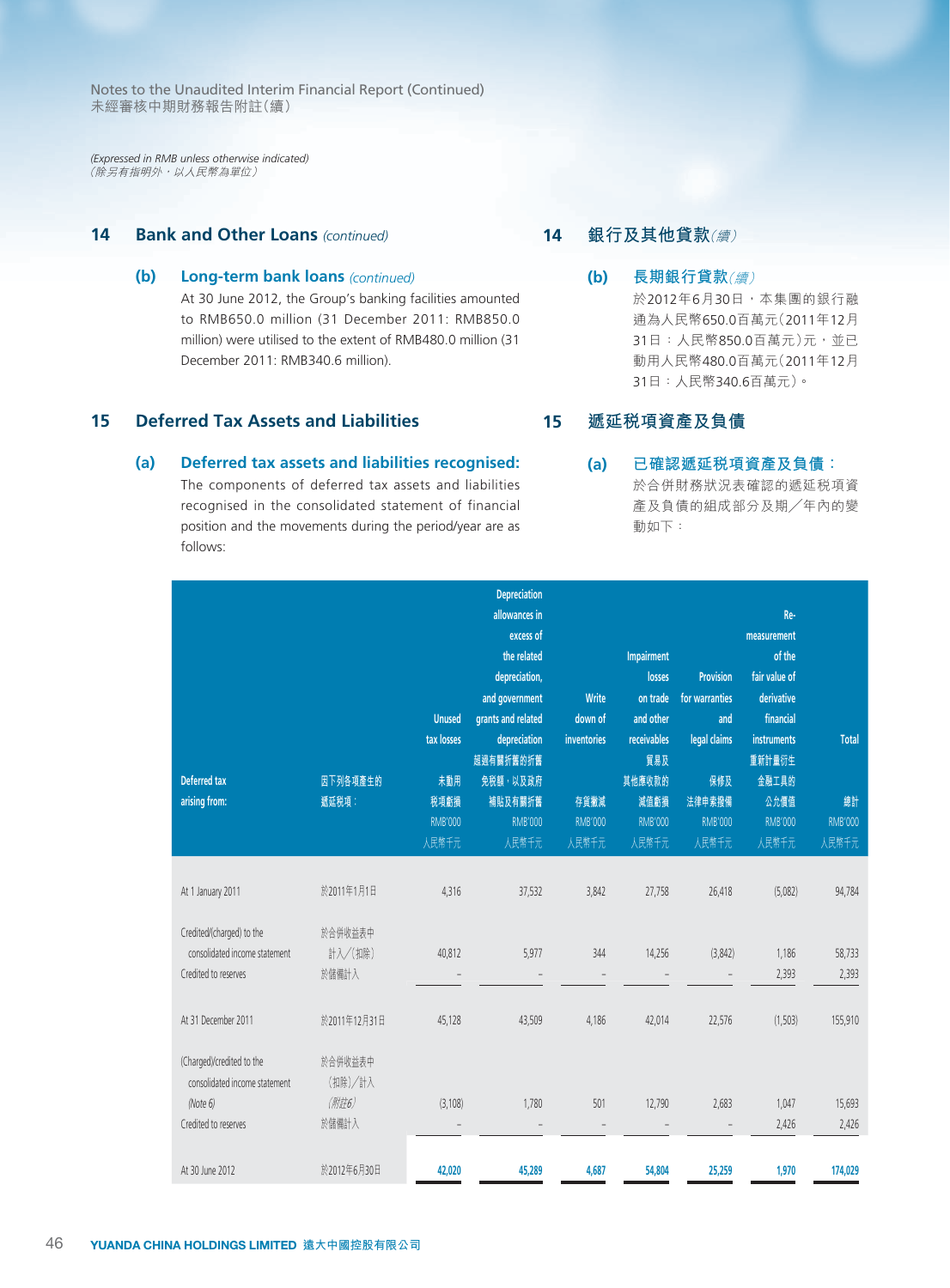*(Expressed in RMB unless otherwise indicated)* (除另有指明外,以人民幣為單位)

# **14 Bank and Other Loans** *(continued)*

# **(b) Long-term bank loans** *(continued)*

At 30 June 2012, the Group's banking facilities amounted to RMB650.0 million (31 December 2011: RMB850.0 million) were utilised to the extent of RMB480.0 million (31 December 2011: RMB340.6 million).

# **15 Deferred Tax Assets and Liabilities**

#### **(a) Deferred tax assets and liabilities recognised:**

The components of deferred tax assets and liabilities recognised in the consolidated statement of financial position and the movements during the period/year are as follows:

# **14 銀行及其他貸款**(續)

**(b) 長期銀行貸款**(續) 於2012年6月30日,本集團的銀行融 通為人民幣650.0百萬元(2011年12月 31日:人民幣850.0百萬元)元,並已 動用人民幣480.0百萬元(2011年12月 31日:人民幣340.6百萬元)。

#### **15 遞延稅項資產及負債**

# **(a) 已確認遞延稅項資產及負債:**

於合併財務狀況表確認的遞延稅項資 產及負債的組成部分及期╱年內的變 動如下:

|                               |              |                | Depreciation             |                |                          |                          |                |                |
|-------------------------------|--------------|----------------|--------------------------|----------------|--------------------------|--------------------------|----------------|----------------|
|                               |              |                | allowances in            |                |                          |                          | Re-            |                |
|                               |              |                | excess of                |                |                          |                          | measurement    |                |
|                               |              |                | the related              |                | Impairment               |                          | of the         |                |
|                               |              |                | depreciation,            |                | losses                   | <b>Provision</b>         | fair value of  |                |
|                               |              |                | and government           | Write          | on trade                 | for warranties           | derivative     |                |
|                               |              | <b>Unused</b>  | grants and related       | down of        | and other                | and                      | financial      |                |
|                               |              | tax losses     | depreciation             | inventories    | receivables              | legal claims             | instruments    | <b>Total</b>   |
|                               |              |                | 超過有關折舊的折舊                |                | 貿易及                      |                          | 重新計量衍生         |                |
| <b>Deferred tax</b>           | 因下列各項產生的     | 未動用            | 免税額,以及政府                 |                | 其他應收款的                   | 保修及                      | 金融工具的          |                |
| arising from:                 | 遞延税項:        | 税項虧損           | 補貼及有關折舊                  | 存貨撇減           | 減值虧損                     | 法律申索撥備                   | 公允價值           | 總計             |
|                               |              | <b>RMB'000</b> | <b>RMB'000</b>           | <b>RMB'000</b> | <b>RMB'000</b>           | <b>RMB'000</b>           | <b>RMB'000</b> | <b>RMB'000</b> |
|                               |              | 人民幣千元          | 人民幣千元                    | 人民幣千元          | 人民幣千元                    | 人民幣千元                    | 人民幣千元          | 人民幣千元          |
|                               |              |                |                          |                |                          |                          |                |                |
| At 1 January 2011             | 於2011年1月1日   | 4,316          | 37,532                   | 3,842          | 27,758                   | 26,418                   | (5,082)        | 94,784         |
|                               |              |                |                          |                |                          |                          |                |                |
| Credited/(charged) to the     | 於合併收益表中      |                |                          |                |                          |                          |                |                |
| consolidated income statement | 計入/(扣除)      | 40,812         | 5,977                    | 344            | 14,256                   | (3,842)                  | 1,186          | 58,733         |
| Credited to reserves          | 於儲備計入        |                |                          |                |                          |                          | 2,393          | 2,393          |
|                               |              |                |                          |                |                          |                          |                |                |
| At 31 December 2011           | 於2011年12月31日 | 45,128         | 43,509                   | 4,186          | 42,014                   | 22,576                   | (1,503)        | 155,910        |
|                               |              |                |                          |                |                          |                          |                |                |
| (Charged)/credited to the     | 於合併收益表中      |                |                          |                |                          |                          |                |                |
| consolidated income statement | (扣除)/計入      |                |                          |                |                          |                          |                |                |
| (Note 6)                      | (附註6)        | (3, 108)       | 1,780                    | 501            | 12,790                   | 2,683                    | 1,047          | 15,693         |
| Credited to reserves          | 於儲備計入        | $\overline{a}$ | $\overline{\phantom{a}}$ | $\overline{a}$ | $\overline{\phantom{a}}$ | $\overline{\phantom{a}}$ | 2,426          | 2,426          |
|                               |              |                |                          |                |                          |                          |                |                |
| At 30 June 2012               | 於2012年6月30日  | 42,020         | 45,289                   | 4,687          | 54,804                   | 25,259                   | 1,970          | 174,029        |
|                               |              |                |                          |                |                          |                          |                |                |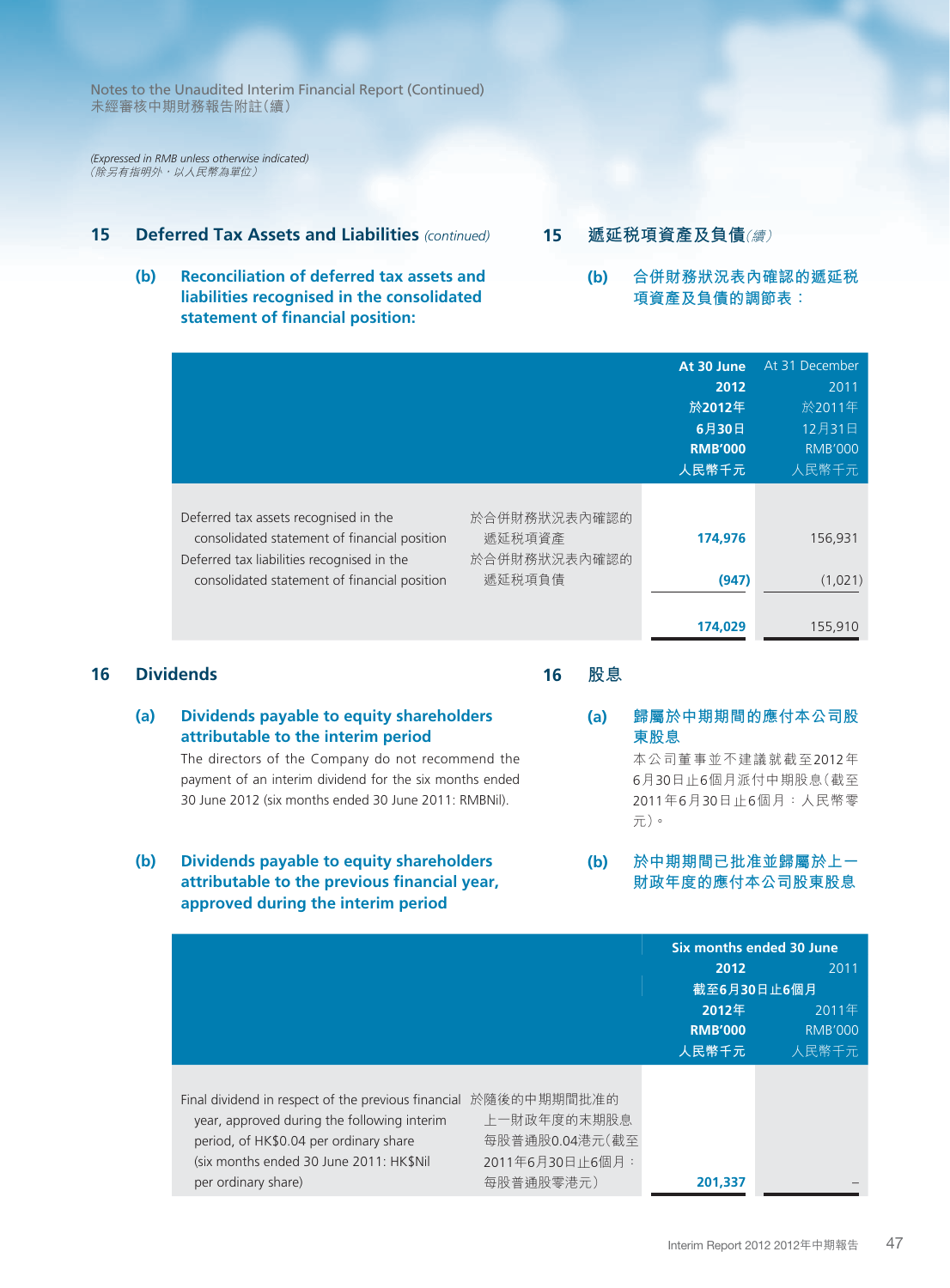*(Expressed in RMB unless otherwise indicated)* (除另有指明外,以人民幣為單位)

# **15 Deferred Tax Assets and Liabilities** *(continued)*

**(b) Reconciliation of deferred tax assets and liabilities recognised in the consolidated statement of financial position:**

# **15 遞延稅項資產及負債**(續)

**(b) 合併財務狀況表內確認的遞延稅 項資產及負債的調節表:**

|                                                                                                                                                                                     |                                                  | At 30 June<br>2012<br>於2012年<br>6月30日<br><b>RMB'000</b><br>人民幣千元 | At 31 December<br>2011<br>於2011年<br>12月31日<br><b>RMB'000</b><br>人民幣千元 |
|-------------------------------------------------------------------------------------------------------------------------------------------------------------------------------------|--------------------------------------------------|------------------------------------------------------------------|-----------------------------------------------------------------------|
| Deferred tax assets recognised in the<br>consolidated statement of financial position<br>Deferred tax liabilities recognised in the<br>consolidated statement of financial position | 於合併財務狀況表內確認的<br>遞延税項資產<br>於合併財務狀況表內確認的<br>遞延税項負債 | 174,976<br>(947)<br>174.029                                      | 156,931<br>(1,021)<br>155,910                                         |

# **16 Dividends**

**16 股息**

- **(a) Dividends payable to equity shareholders attributable to the interim period** The directors of the Company do not recommend the payment of an interim dividend for the six months ended 30 June 2012 (six months ended 30 June 2011: RMBNil). **東股息**
- **(b) Dividends payable to equity shareholders attributable to the previous financial year, approved during the interim period**

# **(a) 歸屬於中期期間的應付本公司股**

本公司董事並不建議就截至2012年 6月30日止6個月派付中期股息(截至 2011年6月30日止6個月:人民幣零 元)。

**(b) 於中期期間已批准並歸屬於上一 財政年度的應付本公司股東股息**

|                                                                                                                                                                                                                            |                                                               | <b>Six months ended 30 June</b> |                |
|----------------------------------------------------------------------------------------------------------------------------------------------------------------------------------------------------------------------------|---------------------------------------------------------------|---------------------------------|----------------|
|                                                                                                                                                                                                                            |                                                               | 2012                            | 2011           |
|                                                                                                                                                                                                                            |                                                               |                                 | 截至6月30日止6個月    |
|                                                                                                                                                                                                                            |                                                               | 2012年                           | 2011年          |
|                                                                                                                                                                                                                            |                                                               | <b>RMB'000</b>                  | <b>RMB'000</b> |
|                                                                                                                                                                                                                            |                                                               | 人民幣千元                           | 人民幣千元          |
| Final dividend in respect of the previous financial 於隨後的中期期間批准的<br>year, approved during the following interim<br>period, of HK\$0.04 per ordinary share<br>(six months ended 30 June 2011: HK\$Nil<br>per ordinary share) | 上一財政年度的末期股息<br>每股普通股0.04港元(截至<br>2011年6月30日止6個月:<br>每股普通股零港元) | 201.337                         |                |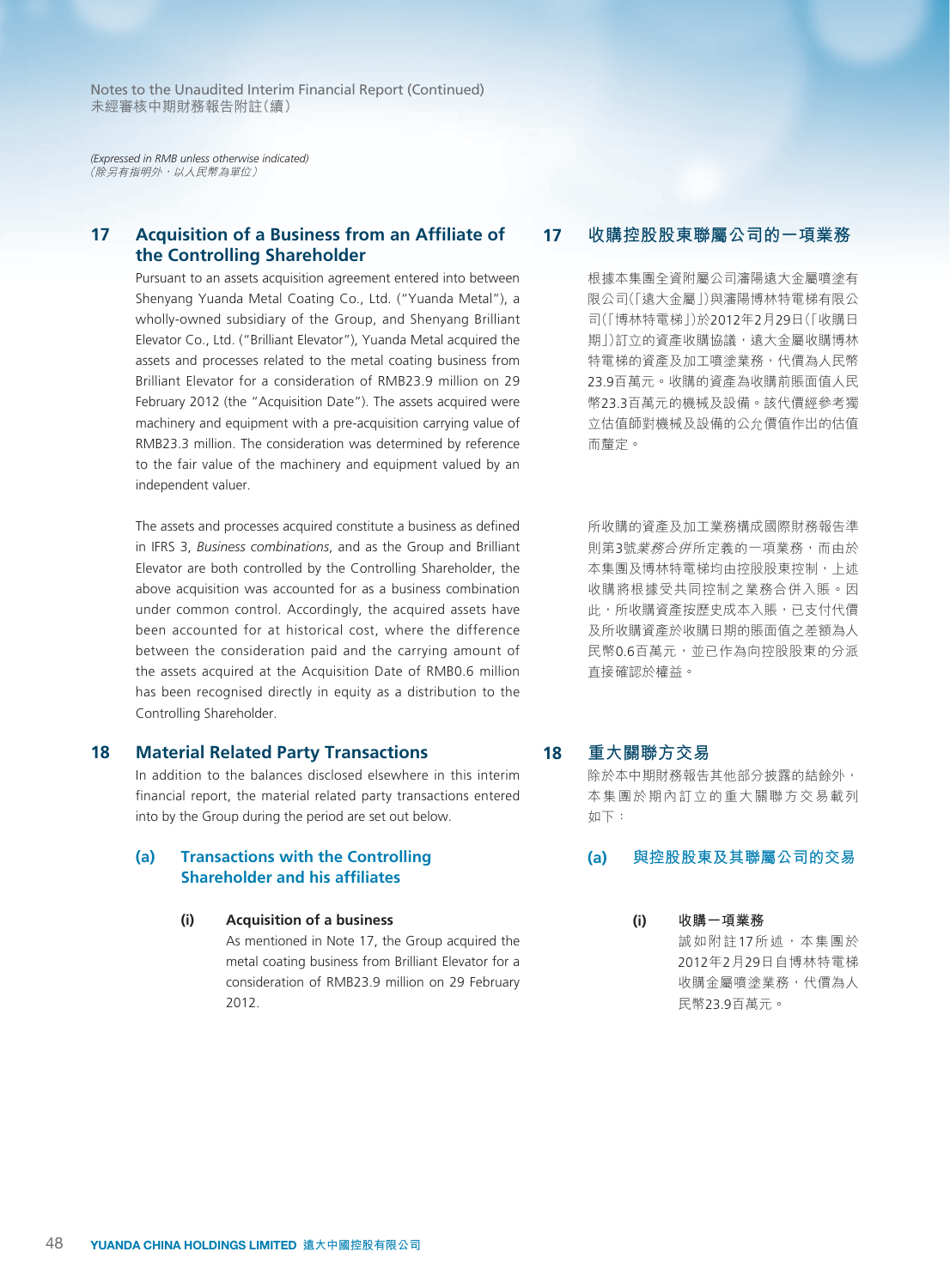*(Expressed in RMB unless otherwise indicated)* (除另有指明外,以人民幣為單位)

# **17 Acquisition of a Business from an Affiliate of the Controlling Shareholder**

Pursuant to an assets acquisition agreement entered into between Shenyang Yuanda Metal Coating Co., Ltd. ("Yuanda Metal"), a wholly-owned subsidiary of the Group, and Shenyang Brilliant Elevator Co., Ltd. ("Brilliant Elevator"), Yuanda Metal acquired the assets and processes related to the metal coating business from Brilliant Elevator for a consideration of RMB23.9 million on 29 February 2012 (the "Acquisition Date"). The assets acquired were machinery and equipment with a pre-acquisition carrying value of RMB23.3 million. The consideration was determined by reference to the fair value of the machinery and equipment valued by an independent valuer.

The assets and processes acquired constitute a business as defined in IFRS 3, *Business combinations*, and as the Group and Brilliant Elevator are both controlled by the Controlling Shareholder, the above acquisition was accounted for as a business combination under common control. Accordingly, the acquired assets have been accounted for at historical cost, where the difference between the consideration paid and the carrying amount of the assets acquired at the Acquisition Date of RMB0.6 million has been recognised directly in equity as a distribution to the Controlling Shareholder.

#### **18 Material Related Party Transactions**

In addition to the balances disclosed elsewhere in this interim financial report, the material related party transactions entered into by the Group during the period are set out below.

#### **(a) Transactions with the Controlling Shareholder and his affiliates**

#### **(i) Acquisition of a business**

As mentioned in Note 17, the Group acquired the metal coating business from Brilliant Elevator for a consideration of RMB23.9 million on 29 February 2012.

# **17 收購控股股東聯屬公司的一項業務**

根據本集團全資附屬公司瀋陽遠大金屬噴塗有 限公司(「遠大金屬」)與瀋陽博林特電梯有限公 司(「博林特電梯」)於2012年2月29日(「收購日 期1)訂立的資產收購協議,遠大金屬收購博林 特電梯的資產及加工噴塗業務,代價為人民幣 23.9百萬元。收購的資產為收購前賬面值人民 幣23.3百萬元的機械及設備。該代價經參考獨 立估值師對機械及設備的公允價值作出的估值 而釐定。

所收購的資產及加工業務構成國際財務報告準 則第3號業務合併所定義的一項業務,而由於 本集團及博林特電梯均由控股股東控制,上述 收購將根據受共同控制之業務合併入賬。因 此,所收購資產按歷史成本入賬,已支付代價 及所收購資產於收購日期的賬面值之差額為人 民幣0.6百萬元,並已作為向控股股東的分派 直接確認於權益。

# **18 重大關聯方交易**

除於本中期財務報告其他部分披露的結餘外, 本集團於期內訂立的重大關聯方交易載列 如下:

#### **(a) 與控股股東及其聯屬公司的交易**

**(i) 收購一項業務** 誠如附註17所述,本集團於 2012年2月29日自博林特電梯 收購金屬噴塗業務,代價為人 民幣23.9百萬元。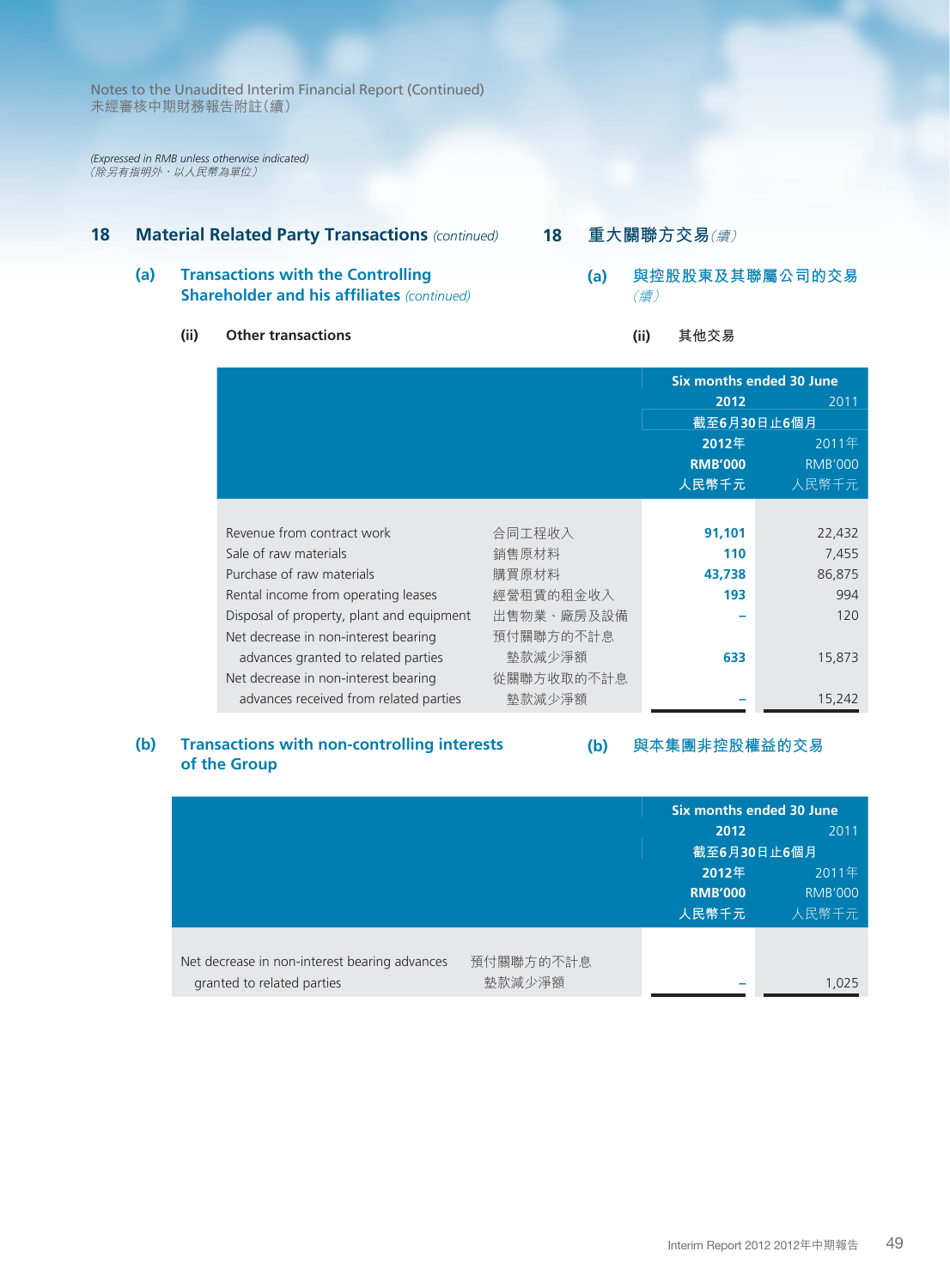*(Expressed in RMB unless otherwise indicated)* (除另有指明外,以人民幣為單位)

# **18 Material Related Party Transactions** *(continued)*

# **(a) Transactions with the Controlling Shareholder and his affiliates** *(continued)*

# **(ii) Other transactions**

- **18 重大關聯方交易**(續)
	- **(a) 與控股股東及其聯屬公司的交易** (續)

# **(ii) 其他交易**

|                                           |            | <b>Six months ended 30 June</b> |                |
|-------------------------------------------|------------|---------------------------------|----------------|
|                                           |            | 2012                            | 2011           |
|                                           |            | 截至6月30日止6個月                     |                |
|                                           |            | 2012年                           | 2011年          |
|                                           |            | <b>RMB'000</b>                  | <b>RMB'000</b> |
|                                           |            | 人民幣千元                           | 人民幣千元          |
|                                           |            |                                 |                |
| Revenue from contract work                | 合同工程收入     | 91,101                          | 22,432         |
| Sale of raw materials                     | 銷售原材料      | 110                             | 7,455          |
| Purchase of raw materials                 | 購買原材料      | 43,738                          | 86,875         |
| Rental income from operating leases       | 經營租賃的租金收入  | 193                             | 994            |
| Disposal of property, plant and equipment | 出售物業、廠房及設備 |                                 | 120            |
| Net decrease in non-interest bearing      | 預付關聯方的不計息  |                                 |                |
| advances granted to related parties       | 墊款減少淨額     | 633                             | 15,873         |
| Net decrease in non-interest bearing      | 從關聯方收取的不計息 |                                 |                |
| advances received from related parties    | 墊款減少淨額     |                                 | 15,242         |
|                                           |            |                                 |                |

### **(b) Transactions with non-controlling interests (b) 與本集團非控股權益的交易 of the Group**

|                                               |           |                | Six months ended 30 June |
|-----------------------------------------------|-----------|----------------|--------------------------|
|                                               |           | 2012           | 2011                     |
|                                               |           | 截至6月30日止6個月    |                          |
|                                               |           | 2012年          | 2011年                    |
|                                               |           | <b>RMB'000</b> | <b>RMB'000</b>           |
|                                               |           | 人民幣千元          | 人民幣千元                    |
|                                               |           |                |                          |
| Net decrease in non-interest bearing advances | 預付關聯方的不計息 |                |                          |
| granted to related parties                    | 墊款減少淨額    |                | 1,025                    |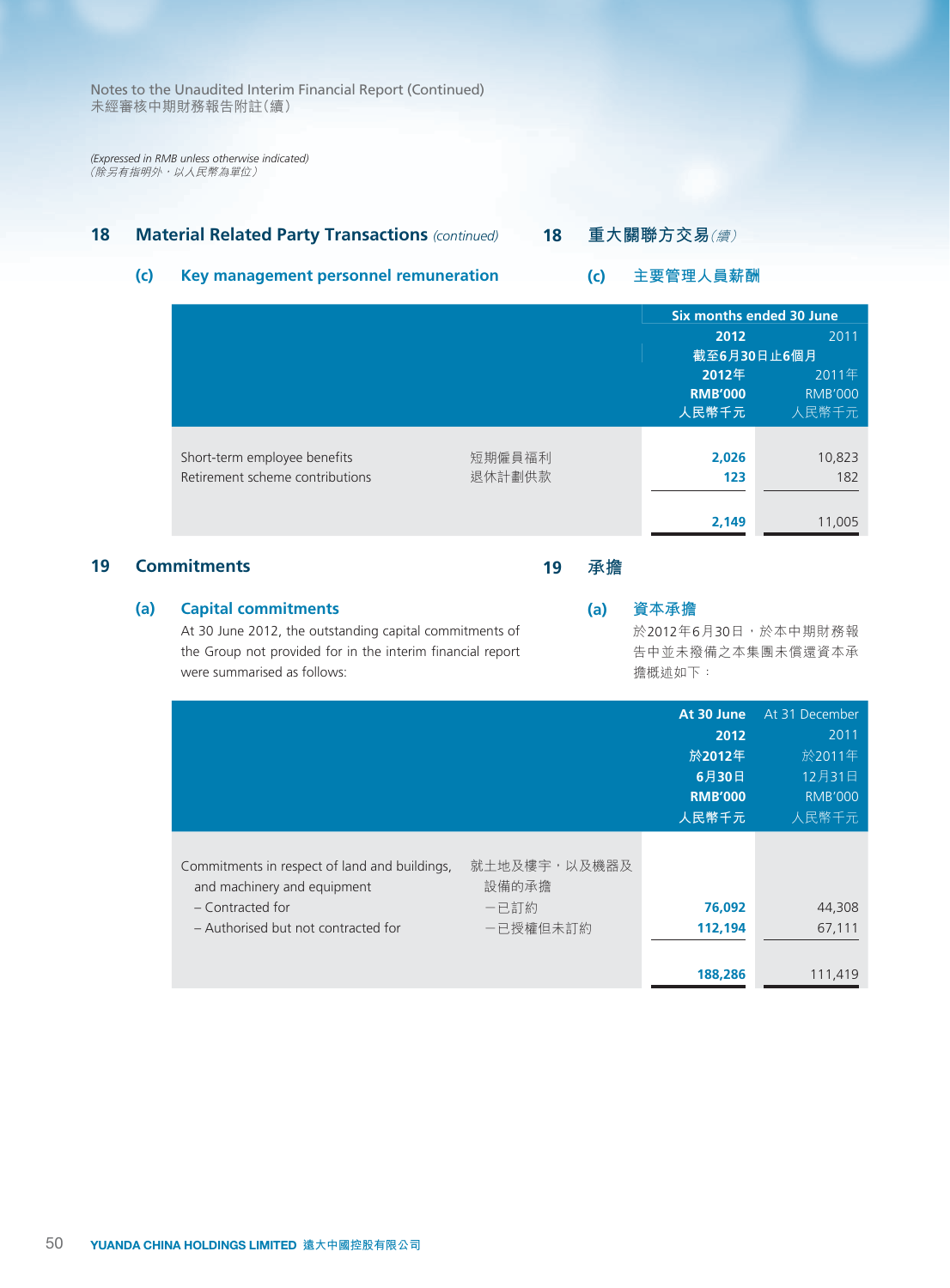*(Expressed in RMB unless otherwise indicated)* (除另有指明外,以人民幣為單位)

# **18 Material Related Party Transactions** *(continued)*

# **18 重大關聯方交易**(續)

**(c) 主要管理人員薪酬**

# **(c) Key management personnel remuneration**

|                                                                 |                  |                                  | Six months ended 30 June         |
|-----------------------------------------------------------------|------------------|----------------------------------|----------------------------------|
|                                                                 |                  | 2012                             | 2011                             |
|                                                                 |                  | 截至6月30日止6個月                      |                                  |
|                                                                 |                  | 2012年<br><b>RMB'000</b><br>人民幣千元 | 2011年<br><b>RMB'000</b><br>人民幣千元 |
| Short-term employee benefits<br>Retirement scheme contributions | 短期僱員福利<br>退休計劃供款 | 2,026<br>123                     | 10,823<br>182                    |
|                                                                 |                  | 2,149                            | 11,005                           |

# **19 Commitments**

#### **(a) Capital commitments**

At 30 June 2012, the outstanding capital commitments of the Group not provided for in the interim financial report were summarised as follows:

# **(a) 資本承擔**

**19 承擔**

於2012年6月30日,於本中期財務報 告中並未撥備之本集團未償還資本承 擔概述如下:

|                                                                              |                       | At 30 June     | At 31 December |
|------------------------------------------------------------------------------|-----------------------|----------------|----------------|
|                                                                              |                       | 2012           | 2011           |
|                                                                              |                       | 於2012年         | 於2011年         |
|                                                                              |                       | 6月30日          | 12月31日         |
|                                                                              |                       | <b>RMB'000</b> | <b>RMB'000</b> |
|                                                                              |                       | 人民幣千元          | 人民幣千元          |
| Commitments in respect of land and buildings,<br>and machinery and equipment | 就土地及樓宇,以及機器及<br>設備的承擔 |                |                |
| - Contracted for                                                             | 一已訂約                  | 76,092         | 44,308         |
| - Authorised but not contracted for                                          | 一已授權但未訂約              | 112,194        | 67,111         |
|                                                                              |                       |                |                |
|                                                                              |                       | 188,286        | 111,419        |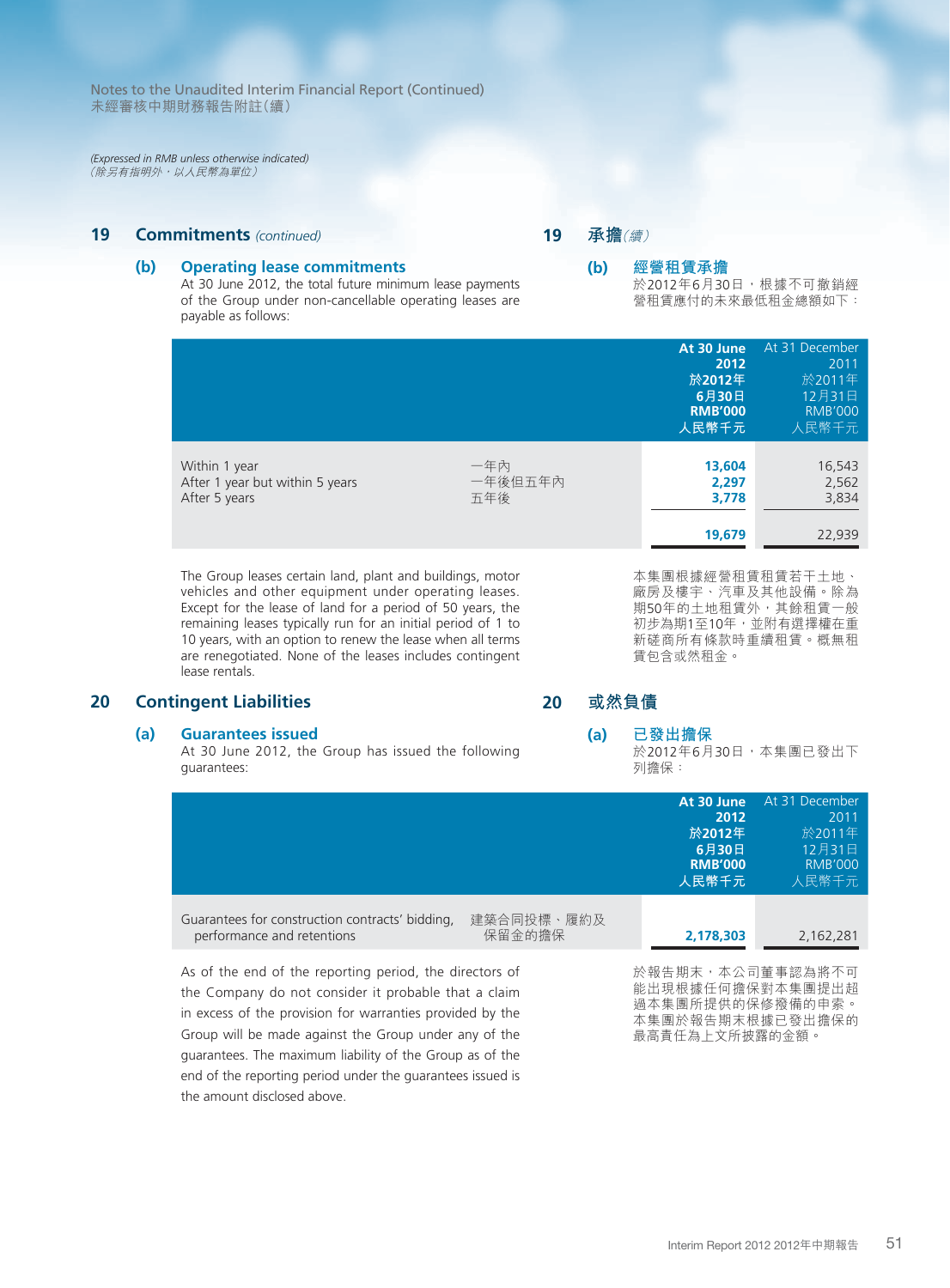*(Expressed in RMB unless otherwise indicated)* (除另有指明外,以人民幣為單位)

# **19 Commitments** *(continued)*

#### **(b) Operating lease commitments**

At 30 June 2012, the total future minimum lease payments of the Group under non-cancellable operating leases are payable as follows:

#### **19 承擔**(續)

#### **(b) 經營租賃承擔** 於2012年6月30日,根據不可撤銷經 營租賃應付的未來最低租金總額如下:

|                                                                                                                   |                       | At 30 June<br>2012<br>於2012年<br>6月30日<br><b>RMB'000</b><br>人民幣千元 | At 31 December<br>2011<br>於2011年<br>12月31日<br><b>RMB'000</b><br>人民幣千元 |
|-------------------------------------------------------------------------------------------------------------------|-----------------------|------------------------------------------------------------------|-----------------------------------------------------------------------|
| Within 1 year<br>After 1 year but within 5 years<br>After 5 years                                                 | 一年內<br>一年後旧五年內<br>五年後 | 13,604<br>2,297<br>3.778<br>19,679                               | 16,543<br>2,562<br>3,834<br>22,939                                    |
| The Group leases certain land, plant and buildings, motor<br>vehicles and other equipment under operating leases. |                       | 本集團根據經營租賃租賃若干土地、<br>廠房及樓宇、汽車及其他設備。除為                             |                                                                       |

Except for the lease of land for a period of 50 years, the remaining leases typically run for an initial period of 1 to 10 years, with an option to renew the lease when all terms are renegotiated. None of the leases includes contingent lease rentals.

# **20 Contingent Liabilities**

#### **(a) Guarantees issued**

At 30 June 2012, the Group has issued the following guarantees:

guarantees. The maximum liability of the Group as of the end of the reporting period under the guarantees issued is 期50年的土地租賃外,其餘租賃一般 初步為期1至10年,並附有選擇權在重 新磋商所有條款時重續租賃。概無租 賃包含或然租金。

### **20 或然負債**

# **(a) 已發出擔保**

於2012年6月30日,本集團已發出下 列擔保:

最高責任為上文所披露的金額。

|                                                                                                                                                                                                                                       |                      | At 30 June<br>2012<br>於2012年<br>6月30日<br><b>RMB'000</b><br>人民幣千元                               | At 31 December<br>2011<br>於2011年<br>12月31日<br><b>RMB'000</b><br>人民幣千元 |
|---------------------------------------------------------------------------------------------------------------------------------------------------------------------------------------------------------------------------------------|----------------------|------------------------------------------------------------------------------------------------|-----------------------------------------------------------------------|
| Guarantees for construction contracts' bidding.<br>performance and retentions                                                                                                                                                         | 建築合同投標、履約及<br>保留金的擔保 | 2,178,303                                                                                      | 2,162,281                                                             |
| As of the end of the reporting period, the directors of<br>the Company do not consider it probable that a claim<br>in excess of the provision for warranties provided by the<br>Group will be made against the Group under any of the |                      | 於報告期末,本公司董事認為將不可<br>能出現根據任何擔保對本集團提出超<br>過本集團所提供的保修撥備的申索。<br>本集團於報告期末根據已發出擔保的<br>最高青仟為上文所披露的金額。 |                                                                       |

the amount disclosed above.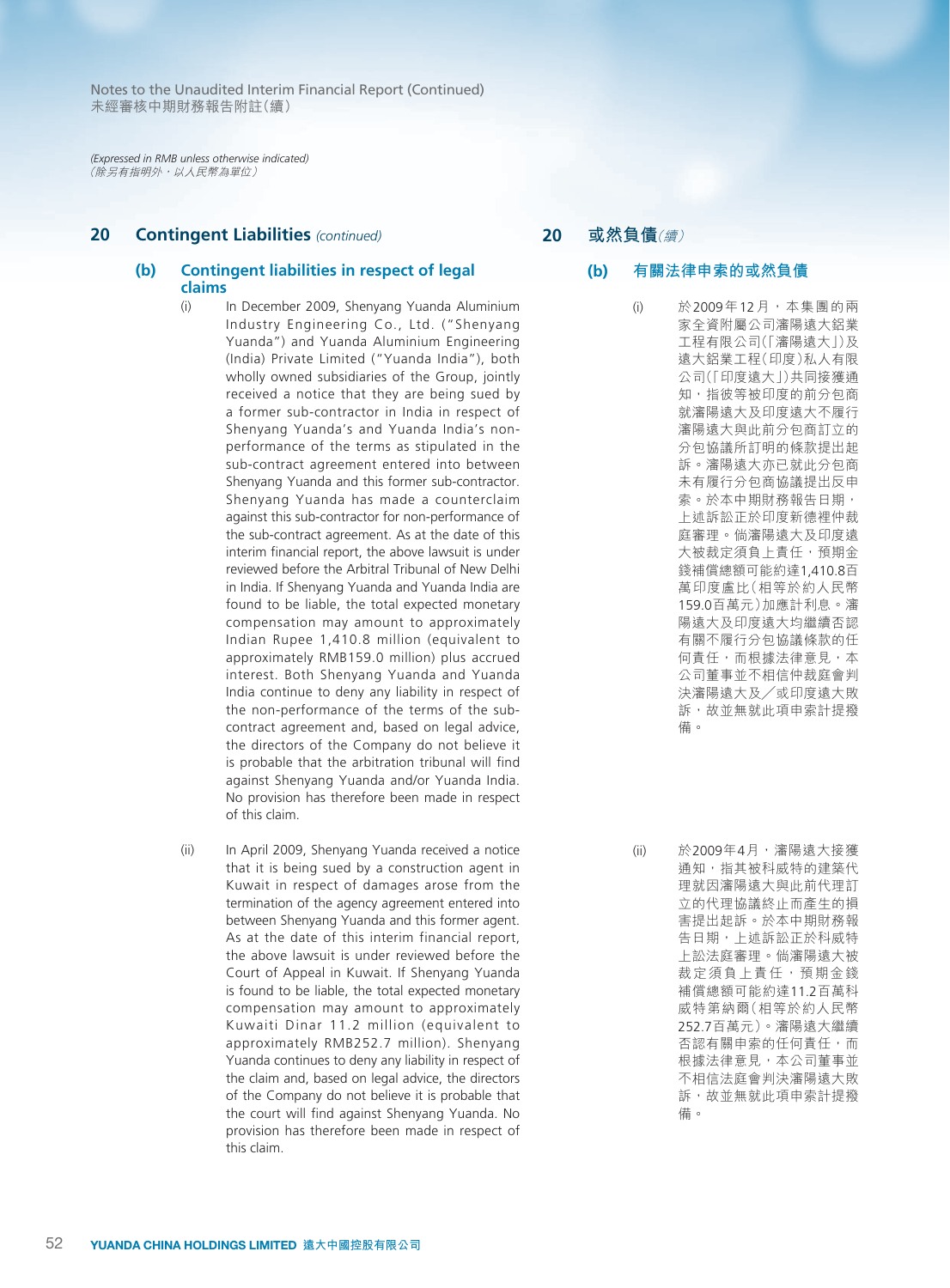*(Expressed in RMB unless otherwise indicated)* (除另有指明外,以人民幣為單位)

# **20 Contingent Liabilities** *(continued)*

#### **(b) Contingent liabilities in respect of legal claims**

- (i) In December 2009, Shenyang Yuanda Aluminium Industry Engineering Co., Ltd. ("Shenyang Yuanda") and Yuanda Aluminium Engineering (India) Private Limited ("Yuanda India"), both wholly owned subsidiaries of the Group, jointly received a notice that they are being sued by a former sub-contractor in India in respect of Shenyang Yuanda's and Yuanda India's nonperformance of the terms as stipulated in the sub-contract agreement entered into between Shenyang Yuanda and this former sub-contractor. Shenyang Yuanda has made a counterclaim against this sub-contractor for non-performance of the sub-contract agreement. As at the date of this interim financial report, the above lawsuit is under reviewed before the Arbitral Tribunal of New Delhi in India. If Shenyang Yuanda and Yuanda India are found to be liable, the total expected monetary compensation may amount to approximately Indian Rupee 1,410.8 million (equivalent to approximately RMB159.0 million) plus accrued interest. Both Shenyang Yuanda and Yuanda India continue to deny any liability in respect of the non-performance of the terms of the subcontract agreement and, based on legal advice, the directors of the Company do not believe it is probable that the arbitration tribunal will find against Shenyang Yuanda and/or Yuanda India. No provision has therefore been made in respect of this claim.
- (ii) In April 2009, Shenyang Yuanda received a notice that it is being sued by a construction agent in Kuwait in respect of damages arose from the termination of the agency agreement entered into between Shenyang Yuanda and this former agent. As at the date of this interim financial report, the above lawsuit is under reviewed before the Court of Appeal in Kuwait. If Shenyang Yuanda is found to be liable, the total expected monetary compensation may amount to approximately Kuwaiti Dinar 11.2 million (equivalent to approximately RMB252.7 million). Shenyang Yuanda continues to deny any liability in respect of the claim and, based on legal advice, the directors of the Company do not believe it is probable that the court will find against Shenyang Yuanda. No provision has therefore been made in respect of this claim.

**20 或然負債**(續)

### **(b) 有關法律申索的或然負債**

(i) 於2009年12月,本集團的兩 家全資附屬公司瀋陽遠大鋁業 工程有限公司(「瀋陽遠大」)及 遠大鋁業工程(印度)私人有限 公司(「印度遠大」)共同接獲通 知,指彼等被印度的前分包商 就瀋陽遠大及印度遠大不履行 瀋陽遠大與此前分包商訂立的 分包協議所訂明的條款提出起 訴。瀋陽遠大亦已就此分包商 未有履行分包商協議提出反申 索。於本中期財務報告日期, 上述訴訟正於印度新德裡仲裁 庭審理。倘瀋陽遠大及印度遠 大被裁定須負上責任,預期金 錢補償總額可能約達1,410.8百 萬印度盧比(相等於約人民幣 159.0百萬元)加應計利息。瀋 陽遠大及印度遠大均繼續否認 有關不履行分包協議條款的任 何責任,而根據法律意見,本 公司董事並不相信仲裁庭會判 決瀋陽遠大及╱或印度遠大敗 訴,故並無就此項申索計提撥 備。

(ii) 於2009年4月,瀋陽遠大接獲 通知,指其被科威特的建築代 理就因瀋陽遠大與此前代理訂 立的代理協議終止而產生的損 害提出起訴。於本中期財務報 告日期,上述訴訟正於科威特 上訟法庭審理。倘瀋陽遠大被 裁定須負上責任,預期金錢 補償總額可能約達11.2百萬科 威特第納爾(相等於約人民幣 252.7百萬元)。瀋陽遠大繼續 否認有關申索的任何責任,而 根據法律意見,本公司董事並 不相信法庭會判決瀋陽遠大敗 訴,故並無就此項申索計提撥 備。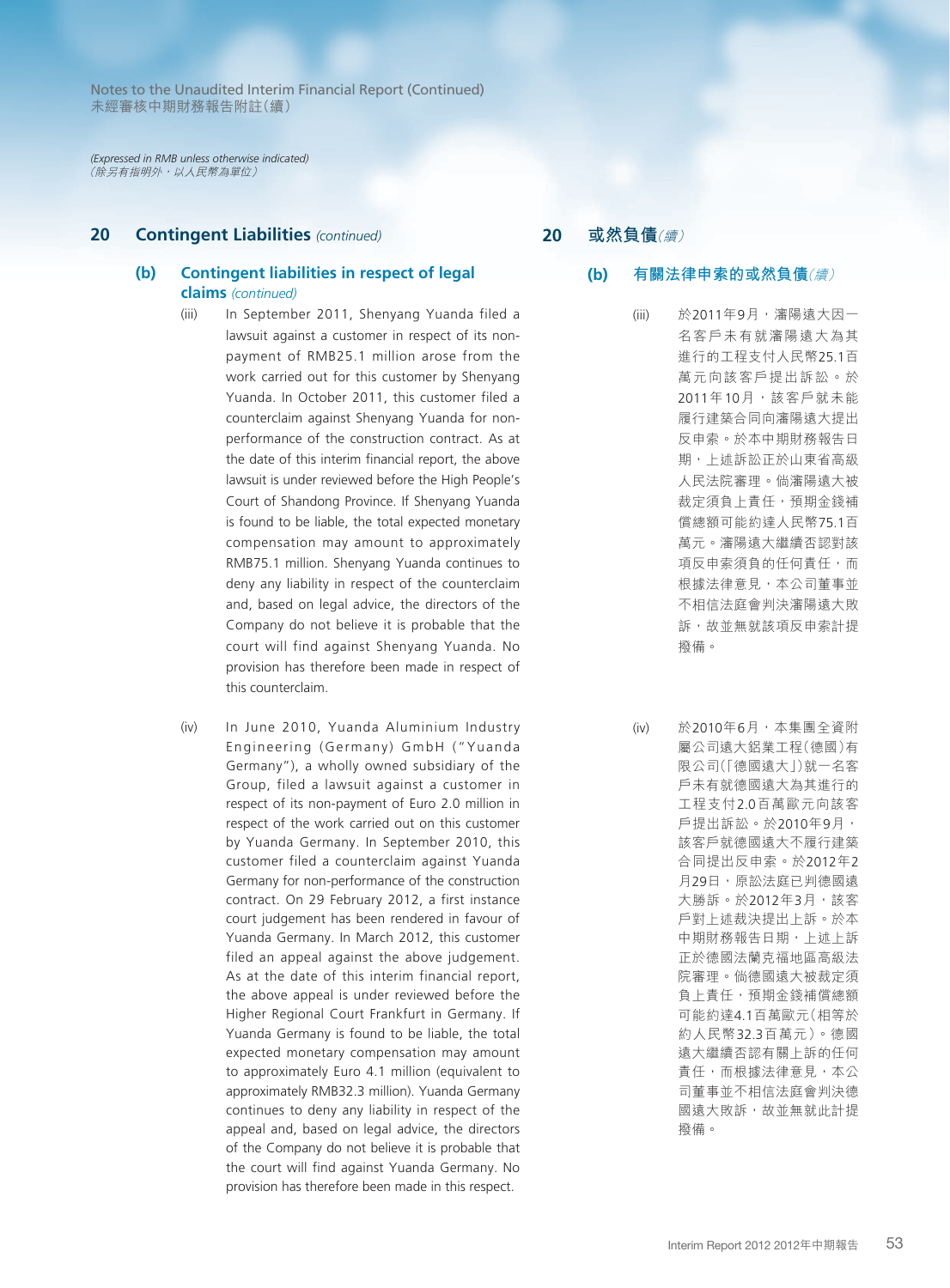*(Expressed in RMB unless otherwise indicated)* (除另有指明外,以人民幣為單位)

# **20 Contingent Liabilities** *(continued)*

#### **(b) Contingent liabilities in respect of legal claims** *(continued)*

- (iii) In September 2011, Shenyang Yuanda filed a lawsuit against a customer in respect of its nonpayment of RMB25.1 million arose from the work carried out for this customer by Shenyang Yuanda. In October 2011, this customer filed a counterclaim against Shenyang Yuanda for nonperformance of the construction contract. As at the date of this interim financial report, the above lawsuit is under reviewed before the High People's Court of Shandong Province. If Shenyang Yuanda is found to be liable, the total expected monetary compensation may amount to approximately RMB75.1 million. Shenyang Yuanda continues to deny any liability in respect of the counterclaim and, based on legal advice, the directors of the Company do not believe it is probable that the court will find against Shenyang Yuanda. No provision has therefore been made in respect of this counterclaim.
- (iv) In June 2010, Yuanda Aluminium Industry Engineering (Germany) GmbH ("Yuanda Germany"), a wholly owned subsidiary of the Group, filed a lawsuit against a customer in respect of its non-payment of Euro 2.0 million in respect of the work carried out on this customer by Yuanda Germany. In September 2010, this customer filed a counterclaim against Yuanda Germany for non-performance of the construction contract. On 29 February 2012, a first instance court judgement has been rendered in favour of Yuanda Germany. In March 2012, this customer filed an appeal against the above judgement. As at the date of this interim financial report, the above appeal is under reviewed before the Higher Regional Court Frankfurt in Germany. If Yuanda Germany is found to be liable, the total expected monetary compensation may amount to approximately Euro 4.1 million (equivalent to approximately RMB32.3 million). Yuanda Germany continues to deny any liability in respect of the appeal and, based on legal advice, the directors of the Company do not believe it is probable that the court will find against Yuanda Germany. No provision has therefore been made in this respect.

**20 或然負債**(續)

#### **(b) 有關法律申索的或然負債**(續)

- (iii) 於2011年9月,瀋陽遠大因一 名客戶未有就瀋陽遠大為其 進行的工程支付人民幣25.1百 萬元向該客戶提出訴訟。於 2011年10月,該客戶就未能 履行建築合同向瀋陽遠大提出 反申索。於本中期財務報告日 期,上述訴訟正於山東省高級 人民法院審理。倘瀋陽遠大被 裁定須負上責任,預期金錢補 償總額可能約達人民幣75.1百 萬元。瀋陽遠大繼續否認對該 項反申索須負的任何責任,而 根據法律意見,本公司董事並 不相信法庭會判決瀋陽遠大敗 訴,故並無就該項反申索計提 撥備。
- (iv) 於2010年6月,本集團全資附 屬公司遠大鋁業工程(德國)有 限公司(「德國遠大」)就一名客 戶未有就德國遠大為其進行的 工程支付2.0百萬歐元向該客 戶提出訴訟。於2010年9月, 該客戶就德國遠大不履行建築 合同提出反申索。於2012年2 月29日,原訟法庭已判德國遠 大勝訴。於2012年3月,該客 戶對上述裁決提出上訴。於本 中期財務報告日期,上述上訴 正於德國法蘭克福地區高級法 院審理。倘德國遠大被裁定須 負上責任,預期金錢補償總額 可能約達4.1百萬歐元(相等於 約人民幣32.3百萬元)。德國 遠大繼續否認有關上訴的任何 責任,而根據法律意見,本公 司董事並不相信法庭會判決德 國遠大敗訴,故並無就此計提 撥備。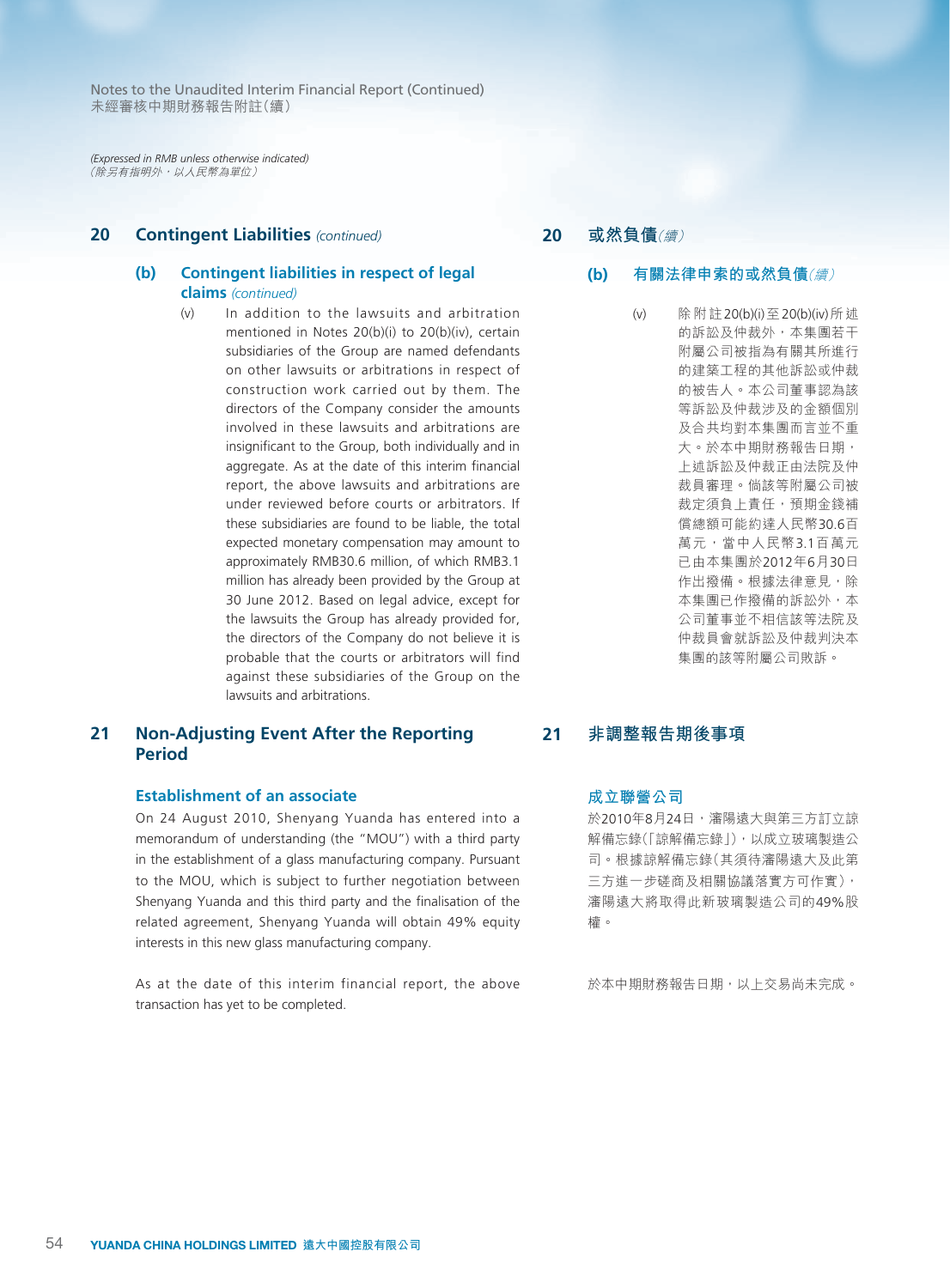*(Expressed in RMB unless otherwise indicated)* (除另有指明外,以人民幣為單位)

# **20 Contingent Liabilities** *(continued)*

#### **(b) Contingent liabilities in respect of legal claims** *(continued)*

(v) In addition to the lawsuits and arbitration mentioned in Notes 20(b)(i) to 20(b)(iv), certain subsidiaries of the Group are named defendants on other lawsuits or arbitrations in respect of construction work carried out by them. The directors of the Company consider the amounts involved in these lawsuits and arbitrations are insignificant to the Group, both individually and in aggregate. As at the date of this interim financial report, the above lawsuits and arbitrations are under reviewed before courts or arbitrators. If these subsidiaries are found to be liable, the total expected monetary compensation may amount to approximately RMB30.6 million, of which RMB3.1 million has already been provided by the Group at 30 June 2012. Based on legal advice, except for the lawsuits the Group has already provided for, the directors of the Company do not believe it is probable that the courts or arbitrators will find against these subsidiaries of the Group on the lawsuits and arbitrations.

# **21 Non-Adjusting Event After the Reporting Period**

#### **Establishment of an associate**

On 24 August 2010, Shenyang Yuanda has entered into a memorandum of understanding (the "MOU") with a third party in the establishment of a glass manufacturing company. Pursuant to the MOU, which is subject to further negotiation between Shenyang Yuanda and this third party and the finalisation of the related agreement, Shenyang Yuanda will obtain 49% equity interests in this new glass manufacturing company.

As at the date of this interim financial report, the above transaction has yet to be completed.

# **20 或然負債**(續)

- **(b) 有關法律申索的或然負債**(續)
	- (v) 除附註20(b)(i)至20(b)(iv)所述 的訴訟及仲裁外,本集團若干 附屬公司被指為有關其所進行 的建築工程的其他訴訟或仲裁 的被告人。本公司董事認為該 等訴訟及仲裁涉及的金額個別 及合共均對本集團而言並不重 大。於本中期財務報告日期, 上述訴訟及仲裁正由法院及仲 裁員審理。倘該等附屬公司被 裁定須負上責任,預期金錢補 償總額可能約達人民幣30.6百 萬元,當中人民幣3.1百萬元 已由本集團於2012年6月30日 作出撥備。根據法律意見,除 本集團已作撥備的訴訟外,本 公司董事並不相信該等法院及 仲裁員會就訴訟及仲裁判決本 集團的該等附屬公司敗訴。

# **21 非調整報告期後事項**

#### **成立聯營公司**

於2010年8月24日,瀋陽遠大與第三方訂立諒 解備忘錄(「諒解備忘錄」),以成立玻璃製造公 司。根據諒解備忘錄(其須待瀋陽遠大及此第 三方進一步磋商及相關協議落實方可作實), 瀋陽遠大將取得此新玻璃製造公司的49%股 權。

於本中期財務報告日期,以上交易尚未完成。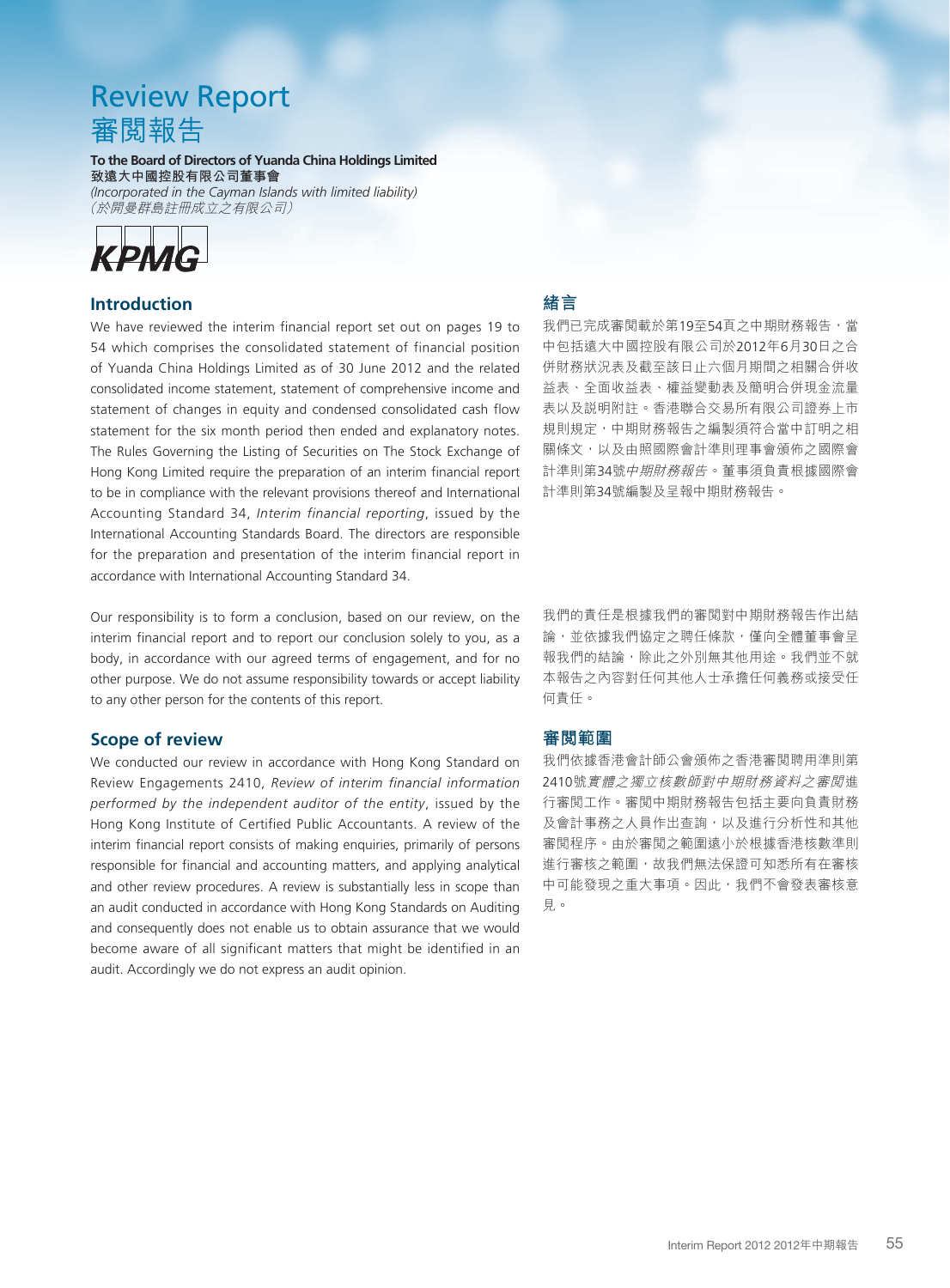# Review Report 審閱報告

**To the Board of Directors of Yuanda China Holdings Limited 致遠大中國控股有限公司董事會**

*(Incorporated in the Cayman Islands with limited liability)* (於開曼群島註冊成立之有限公司)



# **Introduction**

We have reviewed the interim financial report set out on pages 19 to 54 which comprises the consolidated statement of financial position of Yuanda China Holdings Limited as of 30 June 2012 and the related consolidated income statement, statement of comprehensive income and statement of changes in equity and condensed consolidated cash flow statement for the six month period then ended and explanatory notes. The Rules Governing the Listing of Securities on The Stock Exchange of Hong Kong Limited require the preparation of an interim financial report to be in compliance with the relevant provisions thereof and International Accounting Standard 34, *Interim financial reporting*, issued by the International Accounting Standards Board. The directors are responsible for the preparation and presentation of the interim financial report in accordance with International Accounting Standard 34.

Our responsibility is to form a conclusion, based on our review, on the interim financial report and to report our conclusion solely to you, as a body, in accordance with our agreed terms of engagement, and for no other purpose. We do not assume responsibility towards or accept liability to any other person for the contents of this report.

### **Scope of review**

We conducted our review in accordance with Hong Kong Standard on Review Engagements 2410, *Review of interim financial information performed by the independent auditor of the entity*, issued by the Hong Kong Institute of Certified Public Accountants. A review of the interim financial report consists of making enquiries, primarily of persons responsible for financial and accounting matters, and applying analytical and other review procedures. A review is substantially less in scope than an audit conducted in accordance with Hong Kong Standards on Auditing and consequently does not enable us to obtain assurance that we would become aware of all significant matters that might be identified in an audit. Accordingly we do not express an audit opinion.

# **緒言**

我們已完成審閲載於第19至54頁之中期財務報告,當 中包括遠大中國控股有限公司於2012年6月30日之合 併財務狀況表及截至該日止六個月期間之相關合併收 益表、全面收益表、權益變動表及簡明合併現金流量 表以及說明附註。香港聯合交易所有限公司證券上市 規則規定,中期財務報告之編製須符合當中訂明之相 關條文,以及由照國際會計準則理事會頒佈之國際會 計準則第34號中期財務報告。董事須負責根據國際會 計準則第34號編製及呈報中期財務報告。

我們的責任是根據我們的審閲對中期財務報告作出結 論,並依據我們協定之聘任條款,僅向全體董事會呈 報我們的結論,除此之外別無其他用途。我們並不就 本報告之內容對任何其他人士承擔任何義務或接受任 何責任。

# **審閱範圍**

我們依據香港會計師公會頒佈之香港審閱聘用準則第 2410號實體之獨立核數師對中期財務資料之審閱進 行審閱工作。審閱中期財務報告包括主要向負責財務 及會計事務之人員作出查詢,以及進行分析性和其他 審閱程序。由於審閱之範圍遠小於根據香港核數準則 進行審核之範圍,故我們無法保證可知悉所有在審核 中可能發現之重大事項。因此,我們不會發表審核意 見。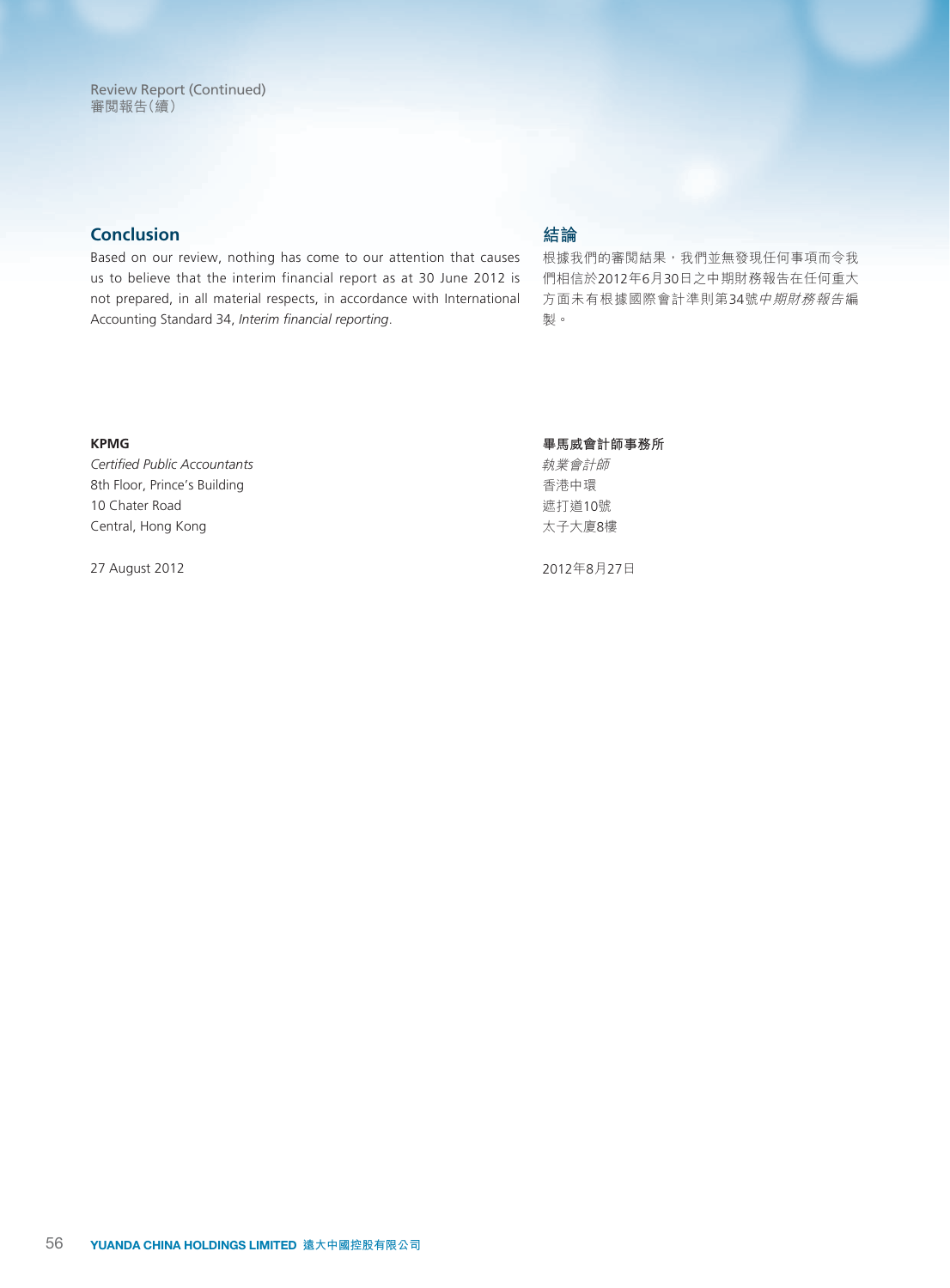# **Conclusion**

Based on our review, nothing has come to our attention that causes us to believe that the interim financial report as at 30 June 2012 is not prepared, in all material respects, in accordance with International Accounting Standard 34, *Interim financial reporting*.

# **結論**

根據我們的審閲結果,我們並無發現任何事項而令我 們相信於2012年6月30日之中期財務報告在任何重大 方面未有根據國際會計準則第34號中期財務報告編 製。

#### **KPMG**

*Certified Public Accountants* 8th Floor, Prince's Building 10 Chater Road Central, Hong Kong

27 August 2012

**畢馬威會計師事務所**

執業會計師 香港中環 遮打道10號 太子大廈8樓

2012年8月27日